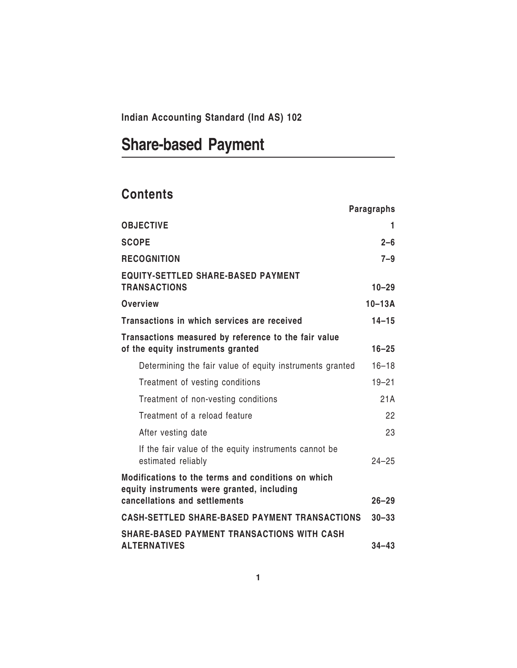**Indian Accounting Standard (Ind AS) 102**

# **Share-based Payment**

# **Contents**

|                                                                                                                                   | <b>Paragraphs</b> |
|-----------------------------------------------------------------------------------------------------------------------------------|-------------------|
| <b>OBJECTIVE</b>                                                                                                                  | 1                 |
| <b>SCOPE</b>                                                                                                                      | $2 - 6$           |
| <b>RECOGNITION</b>                                                                                                                | $7 - 9$           |
| <b>EQUITY-SETTLED SHARE-BASED PAYMENT</b><br><b>TRANSACTIONS</b>                                                                  | $10 - 29$         |
| <b>Overview</b>                                                                                                                   | $10-13A$          |
| Transactions in which services are received                                                                                       | $14 - 15$         |
| Transactions measured by reference to the fair value<br>of the equity instruments granted                                         | $16 - 25$         |
| Determining the fair value of equity instruments granted                                                                          | $16 - 18$         |
| Treatment of vesting conditions                                                                                                   | $19 - 21$         |
| Treatment of non-vesting conditions                                                                                               | 21A               |
| Treatment of a reload feature                                                                                                     | 22                |
| After vesting date                                                                                                                | 23                |
| If the fair value of the equity instruments cannot be<br>estimated reliably                                                       | $24 - 25$         |
| Modifications to the terms and conditions on which<br>equity instruments were granted, including<br>cancellations and settlements | $26 - 29$         |
| <b>CASH-SETTLED SHARE-BASED PAYMENT TRANSACTIONS</b>                                                                              | $30 - 33$         |
| <b>SHARE-BASED PAYMENT TRANSACTIONS WITH CASH</b>                                                                                 |                   |
| <b>ALTERNATIVES</b>                                                                                                               | $34 - 43$         |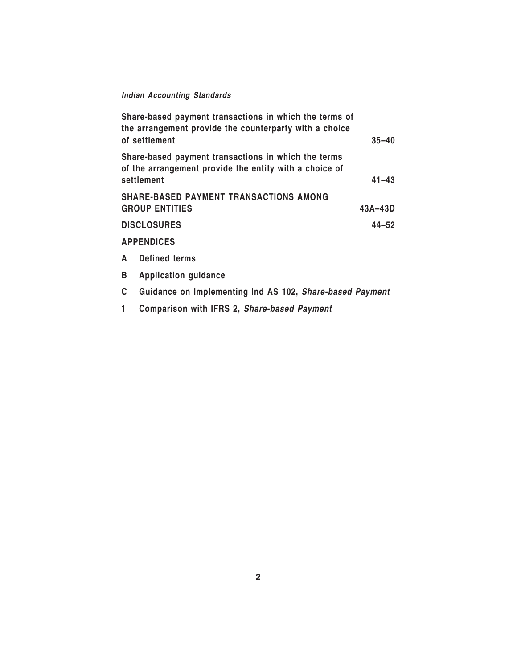| Share-based payment transactions in which the terms of<br>the arrangement provide the counterparty with a choice<br>of settlement | $35 - 40$ |
|-----------------------------------------------------------------------------------------------------------------------------------|-----------|
| Share-based payment transactions in which the terms<br>of the arrangement provide the entity with a choice of                     |           |
| settlement                                                                                                                        | $41 - 43$ |
| <b>SHARE-BASED PAYMENT TRANSACTIONS AMONG</b>                                                                                     |           |
| <b>GROUP ENTITIES</b>                                                                                                             | $43A-43D$ |
| <b>DISCLOSURES</b>                                                                                                                | $44 - 52$ |
| <b>APPENDICES</b>                                                                                                                 |           |
| <b>Defined terms</b><br>A                                                                                                         |           |
| B<br><b>Application guidance</b>                                                                                                  |           |

- **C Guidance on Implementing Ind AS 102, Share-based Payment**
- **1 Comparison with IFRS 2, Share-based Payment**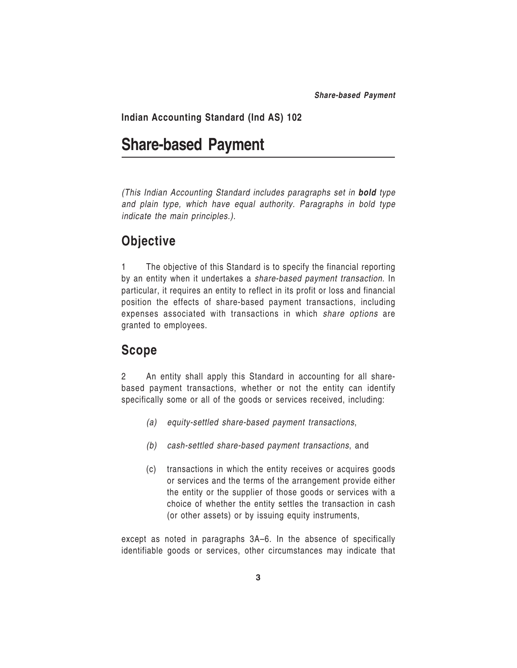**Indian Accounting Standard (Ind AS) 102**

# **Share-based Payment**

(This Indian Accounting Standard includes paragraphs set in **bold** type and plain type, which have equal authority. Paragraphs in bold type indicate the main principles.).

## **Objective**

1 The objective of this Standard is to specify the financial reporting by an entity when it undertakes a share-based payment transaction. In particular, it requires an entity to reflect in its profit or loss and financial position the effects of share-based payment transactions, including expenses associated with transactions in which share options are granted to employees.

## **Scope**

2 An entity shall apply this Standard in accounting for all sharebased payment transactions, whether or not the entity can identify specifically some or all of the goods or services received, including:

- (a) equity-settled share-based payment transactions,
- (b) cash-settled share-based payment transactions, and
- (c) transactions in which the entity receives or acquires goods or services and the terms of the arrangement provide either the entity or the supplier of those goods or services with a choice of whether the entity settles the transaction in cash (or other assets) or by issuing equity instruments,

except as noted in paragraphs 3A–6. In the absence of specifically identifiable goods or services, other circumstances may indicate that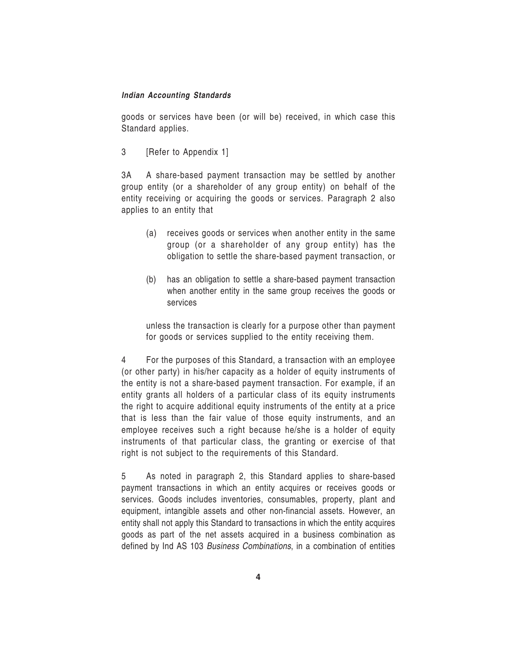goods or services have been (or will be) received, in which case this Standard applies.

3 [Refer to Appendix 1]

3A A share-based payment transaction may be settled by another group entity (or a shareholder of any group entity) on behalf of the entity receiving or acquiring the goods or services. Paragraph 2 also applies to an entity that

- (a) receives goods or services when another entity in the same group (or a shareholder of any group entity) has the obligation to settle the share-based payment transaction, or
- (b) has an obligation to settle a share-based payment transaction when another entity in the same group receives the goods or services

unless the transaction is clearly for a purpose other than payment for goods or services supplied to the entity receiving them.

4 For the purposes of this Standard, a transaction with an employee (or other party) in his/her capacity as a holder of equity instruments of the entity is not a share-based payment transaction. For example, if an entity grants all holders of a particular class of its equity instruments the right to acquire additional equity instruments of the entity at a price that is less than the fair value of those equity instruments, and an employee receives such a right because he/she is a holder of equity instruments of that particular class, the granting or exercise of that right is not subject to the requirements of this Standard.

5 As noted in paragraph 2, this Standard applies to share-based payment transactions in which an entity acquires or receives goods or services. Goods includes inventories, consumables, property, plant and equipment, intangible assets and other non-financial assets. However, an entity shall not apply this Standard to transactions in which the entity acquires goods as part of the net assets acquired in a business combination as defined by Ind AS 103 Business Combinations, in a combination of entities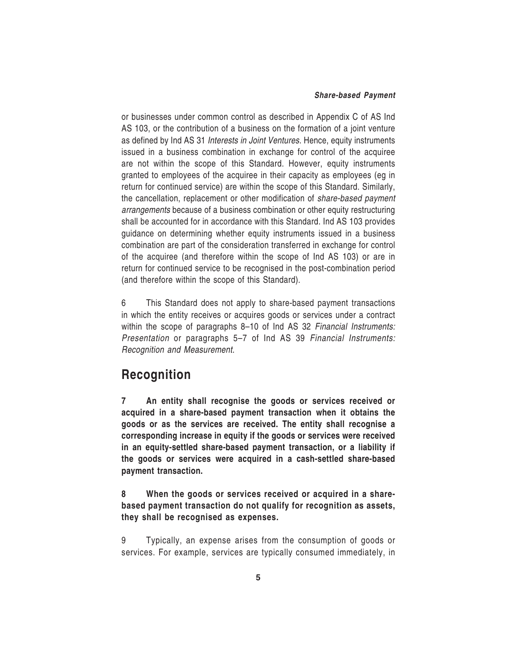or businesses under common control as described in Appendix C of AS Ind AS 103, or the contribution of a business on the formation of a joint venture as defined by Ind AS 31 Interests in Joint Ventures. Hence, equity instruments issued in a business combination in exchange for control of the acquiree are not within the scope of this Standard. However, equity instruments granted to employees of the acquiree in their capacity as employees (eg in return for continued service) are within the scope of this Standard. Similarly, the cancellation, replacement or other modification of share-based payment arrangements because of a business combination or other equity restructuring shall be accounted for in accordance with this Standard. Ind AS 103 provides guidance on determining whether equity instruments issued in a business combination are part of the consideration transferred in exchange for control of the acquiree (and therefore within the scope of Ind AS 103) or are in return for continued service to be recognised in the post-combination period (and therefore within the scope of this Standard).

6 This Standard does not apply to share-based payment transactions in which the entity receives or acquires goods or services under a contract within the scope of paragraphs 8–10 of Ind AS 32 Financial Instruments: Presentation or paragraphs 5–7 of Ind AS 39 Financial Instruments: Recognition and Measurement.

## **Recognition**

**7 An entity shall recognise the goods or services received or acquired in a share-based payment transaction when it obtains the goods or as the services are received. The entity shall recognise a corresponding increase in equity if the goods or services were received in an equity-settled share-based payment transaction, or a liability if the goods or services were acquired in a cash-settled share-based payment transaction.**

**8 When the goods or services received or acquired in a sharebased payment transaction do not qualify for recognition as assets, they shall be recognised as expenses.**

9 Typically, an expense arises from the consumption of goods or services. For example, services are typically consumed immediately, in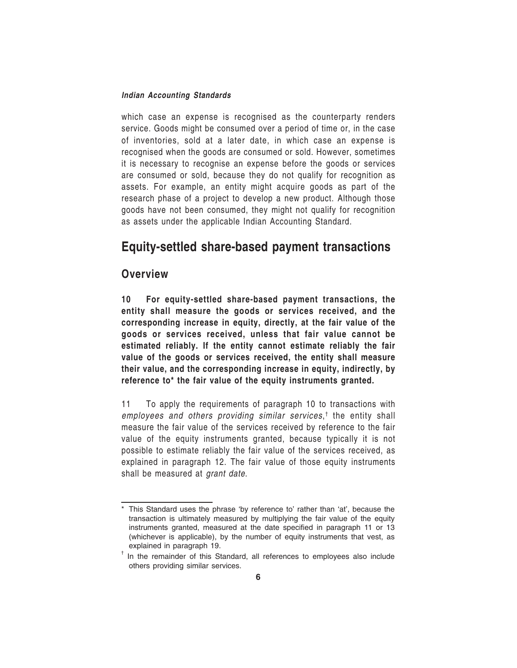which case an expense is recognised as the counterparty renders service. Goods might be consumed over a period of time or, in the case of inventories, sold at a later date, in which case an expense is recognised when the goods are consumed or sold. However, sometimes it is necessary to recognise an expense before the goods or services are consumed or sold, because they do not qualify for recognition as assets. For example, an entity might acquire goods as part of the research phase of a project to develop a new product. Although those goods have not been consumed, they might not qualify for recognition as assets under the applicable Indian Accounting Standard.

## **Equity-settled share-based payment transactions**

### **Overview**

**10 For equity-settled share-based payment transactions, the entity shall measure the goods or services received, and the corresponding increase in equity, directly, at the fair value of the goods or services received, unless that fair value cannot be estimated reliably. If the entity cannot estimate reliably the fair value of the goods or services received, the entity shall measure their value, and the corresponding increase in equity, indirectly, by reference to\* the fair value of the equity instruments granted.**

11 To apply the requirements of paragraph 10 to transactions with employees and others providing similar services,<sup>†</sup> the entity shall measure the fair value of the services received by reference to the fair value of the equity instruments granted, because typically it is not possible to estimate reliably the fair value of the services received, as explained in paragraph 12. The fair value of those equity instruments shall be measured at grant date.

<sup>\*</sup> This Standard uses the phrase 'by reference to' rather than 'at', because the transaction is ultimately measured by multiplying the fair value of the equity instruments granted, measured at the date specified in paragraph 11 or 13 (whichever is applicable), by the number of equity instruments that vest, as explained in paragraph 19.

<sup>†</sup> In the remainder of this Standard, all references to employees also include others providing similar services.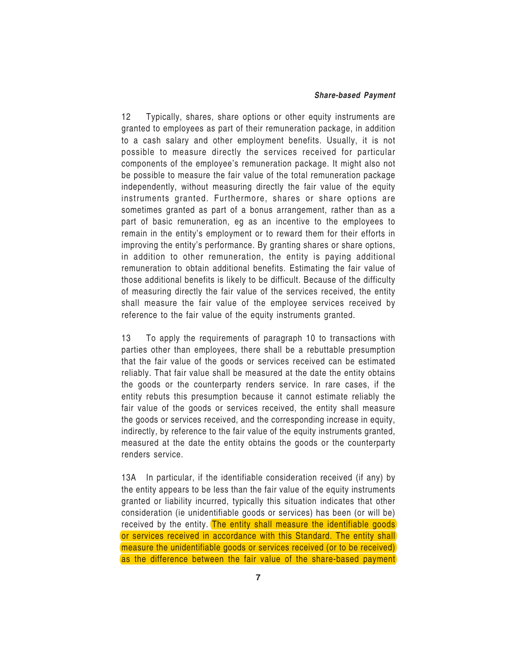12 Typically, shares, share options or other equity instruments are granted to employees as part of their remuneration package, in addition to a cash salary and other employment benefits. Usually, it is not possible to measure directly the services received for particular components of the employee's remuneration package. It might also not be possible to measure the fair value of the total remuneration package independently, without measuring directly the fair value of the equity instruments granted. Furthermore, shares or share options are sometimes granted as part of a bonus arrangement, rather than as a part of basic remuneration, eg as an incentive to the employees to remain in the entity's employment or to reward them for their efforts in improving the entity's performance. By granting shares or share options, in addition to other remuneration, the entity is paying additional remuneration to obtain additional benefits. Estimating the fair value of those additional benefits is likely to be difficult. Because of the difficulty of measuring directly the fair value of the services received, the entity shall measure the fair value of the employee services received by reference to the fair value of the equity instruments granted.

13 To apply the requirements of paragraph 10 to transactions with parties other than employees, there shall be a rebuttable presumption that the fair value of the goods or services received can be estimated reliably. That fair value shall be measured at the date the entity obtains the goods or the counterparty renders service. In rare cases, if the entity rebuts this presumption because it cannot estimate reliably the fair value of the goods or services received, the entity shall measure the goods or services received, and the corresponding increase in equity, indirectly, by reference to the fair value of the equity instruments granted, measured at the date the entity obtains the goods or the counterparty renders service.

13A In particular, if the identifiable consideration received (if any) by the entity appears to be less than the fair value of the equity instruments granted or liability incurred, typically this situation indicates that other consideration (ie unidentifiable goods or services) has been (or will be) received by the entity. The entity shall measure the identifiable goods or services received in accordance with this Standard. The entity shall measure the unidentifiable goods or services received (or to be received) as the difference between the fair value of the share-based payment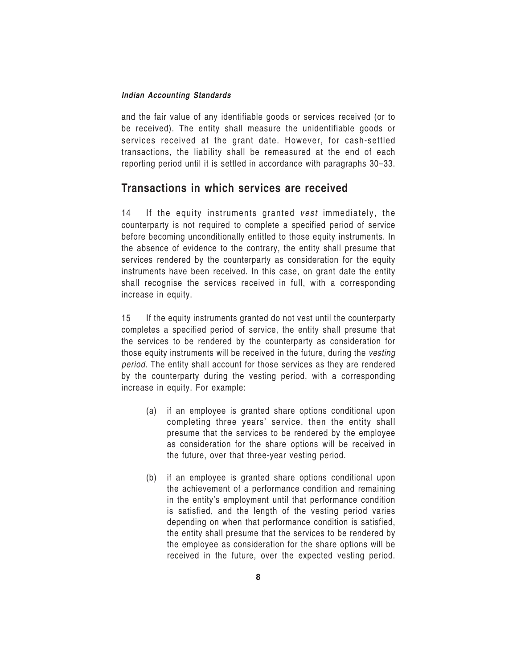and the fair value of any identifiable goods or services received (or to be received). The entity shall measure the unidentifiable goods or services received at the grant date. However, for cash-settled transactions, the liability shall be remeasured at the end of each reporting period until it is settled in accordance with paragraphs 30–33.

### **Transactions in which services are received**

14 If the equity instruments granted vest immediately, the counterparty is not required to complete a specified period of service before becoming unconditionally entitled to those equity instruments. In the absence of evidence to the contrary, the entity shall presume that services rendered by the counterparty as consideration for the equity instruments have been received. In this case, on grant date the entity shall recognise the services received in full, with a corresponding increase in equity.

15 If the equity instruments granted do not vest until the counterparty completes a specified period of service, the entity shall presume that the services to be rendered by the counterparty as consideration for those equity instruments will be received in the future, during the vesting period. The entity shall account for those services as they are rendered by the counterparty during the vesting period, with a corresponding increase in equity. For example:

- (a) if an employee is granted share options conditional upon completing three years' service, then the entity shall presume that the services to be rendered by the employee as consideration for the share options will be received in the future, over that three-year vesting period.
- (b) if an employee is granted share options conditional upon the achievement of a performance condition and remaining in the entity's employment until that performance condition is satisfied, and the length of the vesting period varies depending on when that performance condition is satisfied, the entity shall presume that the services to be rendered by the employee as consideration for the share options will be received in the future, over the expected vesting period.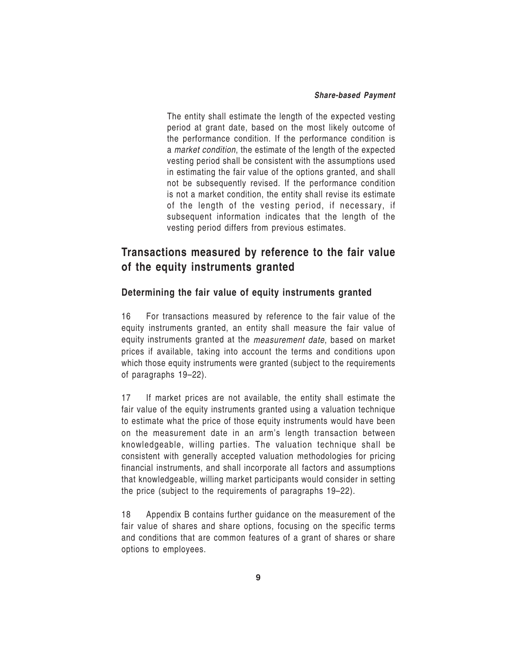The entity shall estimate the length of the expected vesting period at grant date, based on the most likely outcome of the performance condition. If the performance condition is a market condition, the estimate of the length of the expected vesting period shall be consistent with the assumptions used in estimating the fair value of the options granted, and shall not be subsequently revised. If the performance condition is not a market condition, the entity shall revise its estimate of the length of the vesting period, if necessary, if subsequent information indicates that the length of the vesting period differs from previous estimates.

## **Transactions measured by reference to the fair value of the equity instruments granted**

### **Determining the fair value of equity instruments granted**

16 For transactions measured by reference to the fair value of the equity instruments granted, an entity shall measure the fair value of equity instruments granted at the measurement date, based on market prices if available, taking into account the terms and conditions upon which those equity instruments were granted (subject to the requirements of paragraphs 19–22).

17 If market prices are not available, the entity shall estimate the fair value of the equity instruments granted using a valuation technique to estimate what the price of those equity instruments would have been on the measurement date in an arm's length transaction between knowledgeable, willing parties. The valuation technique shall be consistent with generally accepted valuation methodologies for pricing financial instruments, and shall incorporate all factors and assumptions that knowledgeable, willing market participants would consider in setting the price (subject to the requirements of paragraphs 19–22).

18 Appendix B contains further guidance on the measurement of the fair value of shares and share options, focusing on the specific terms and conditions that are common features of a grant of shares or share options to employees.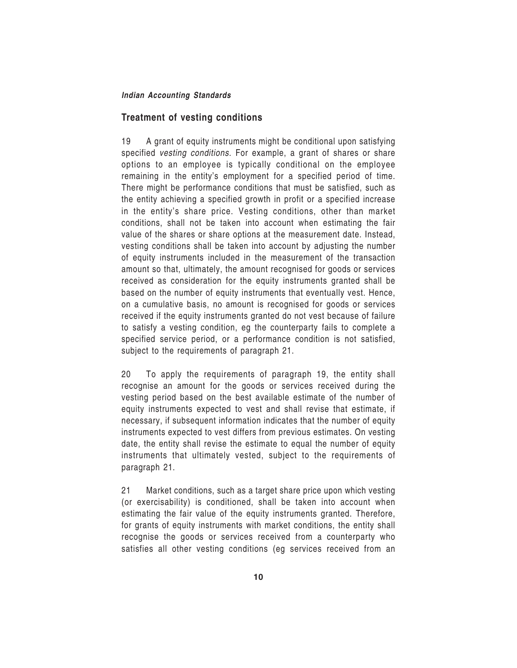### **Treatment of vesting conditions**

19 A grant of equity instruments might be conditional upon satisfying specified vesting conditions. For example, a grant of shares or share options to an employee is typically conditional on the employee remaining in the entity's employment for a specified period of time. There might be performance conditions that must be satisfied, such as the entity achieving a specified growth in profit or a specified increase in the entity's share price. Vesting conditions, other than market conditions, shall not be taken into account when estimating the fair value of the shares or share options at the measurement date. Instead, vesting conditions shall be taken into account by adjusting the number of equity instruments included in the measurement of the transaction amount so that, ultimately, the amount recognised for goods or services received as consideration for the equity instruments granted shall be based on the number of equity instruments that eventually vest. Hence, on a cumulative basis, no amount is recognised for goods or services received if the equity instruments granted do not vest because of failure to satisfy a vesting condition, eg the counterparty fails to complete a specified service period, or a performance condition is not satisfied, subject to the requirements of paragraph 21.

20 To apply the requirements of paragraph 19, the entity shall recognise an amount for the goods or services received during the vesting period based on the best available estimate of the number of equity instruments expected to vest and shall revise that estimate, if necessary, if subsequent information indicates that the number of equity instruments expected to vest differs from previous estimates. On vesting date, the entity shall revise the estimate to equal the number of equity instruments that ultimately vested, subject to the requirements of paragraph 21.

21 Market conditions, such as a target share price upon which vesting (or exercisability) is conditioned, shall be taken into account when estimating the fair value of the equity instruments granted. Therefore, for grants of equity instruments with market conditions, the entity shall recognise the goods or services received from a counterparty who satisfies all other vesting conditions (eg services received from an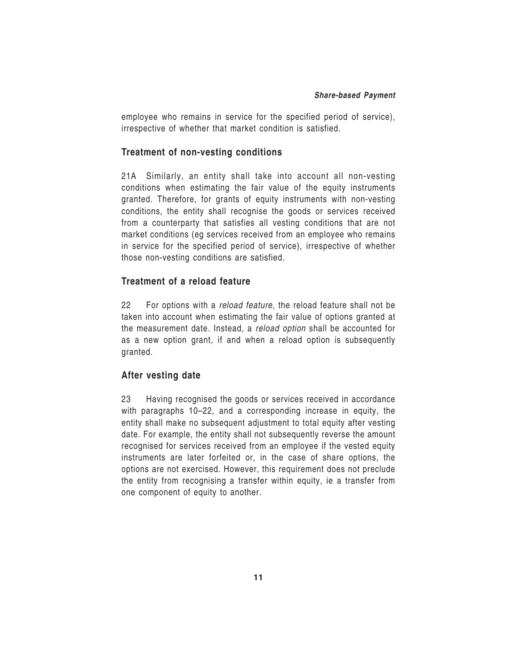employee who remains in service for the specified period of service), irrespective of whether that market condition is satisfied.

### **Treatment of non-vesting conditions**

21A Similarly, an entity shall take into account all non-vesting conditions when estimating the fair value of the equity instruments granted. Therefore, for grants of equity instruments with non-vesting conditions, the entity shall recognise the goods or services received from a counterparty that satisfies all vesting conditions that are not market conditions (eg services received from an employee who remains in service for the specified period of service), irrespective of whether those non-vesting conditions are satisfied.

#### **Treatment of a reload feature**

22 For options with a reload feature, the reload feature shall not be taken into account when estimating the fair value of options granted at the measurement date. Instead, a reload option shall be accounted for as a new option grant, if and when a reload option is subsequently granted.

#### **After vesting date**

23 Having recognised the goods or services received in accordance with paragraphs 10–22, and a corresponding increase in equity, the entity shall make no subsequent adjustment to total equity after vesting date. For example, the entity shall not subsequently reverse the amount recognised for services received from an employee if the vested equity instruments are later forfeited or, in the case of share options, the options are not exercised. However, this requirement does not preclude the entity from recognising a transfer within equity, ie a transfer from one component of equity to another.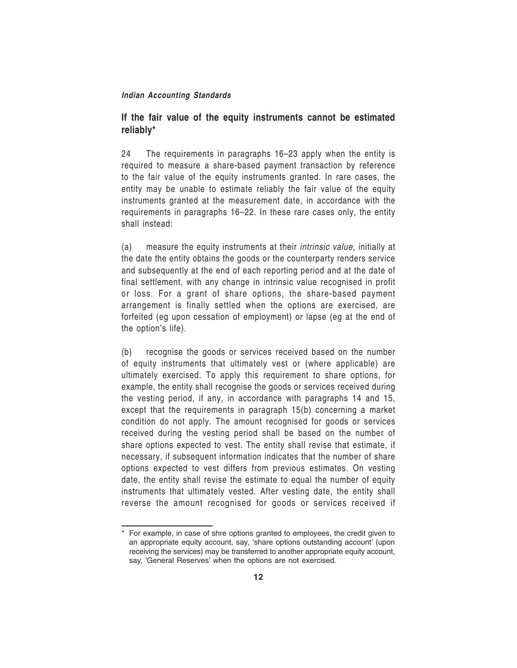### **If the fair value of the equity instruments cannot be estimated reliably\***

24 The requirements in paragraphs 16–23 apply when the entity is required to measure a share-based payment transaction by reference to the fair value of the equity instruments granted. In rare cases, the entity may be unable to estimate reliably the fair value of the equity instruments granted at the measurement date, in accordance with the requirements in paragraphs 16–22. In these rare cases only, the entity shall instead:

(a) measure the equity instruments at their intrinsic value, initially at the date the entity obtains the goods or the counterparty renders service and subsequently at the end of each reporting period and at the date of final settlement, with any change in intrinsic value recognised in profit or loss. For a grant of share options, the share-based payment arrangement is finally settled when the options are exercised, are forfeited (eg upon cessation of employment) or lapse (eg at the end of the option's life).

(b) recognise the goods or services received based on the number of equity instruments that ultimately vest or (where applicable) are ultimately exercised. To apply this requirement to share options, for example, the entity shall recognise the goods or services received during the vesting period, if any, in accordance with paragraphs 14 and 15, except that the requirements in paragraph 15(b) concerning a market condition do not apply. The amount recognised for goods or services received during the vesting period shall be based on the number of share options expected to vest. The entity shall revise that estimate, if necessary, if subsequent information indicates that the number of share options expected to vest differs from previous estimates. On vesting date, the entity shall revise the estimate to equal the number of equity instruments that ultimately vested. After vesting date, the entity shall reverse the amount recognised for goods or services received if

<sup>\*</sup> For example, in case of shre options granted to employees, the credit given to an appropriate equity account, say, 'share options outstanding account' (upon receiving the services) may be transferred to another appropriate equity account, say, 'General Reserves' when the options are not exercised.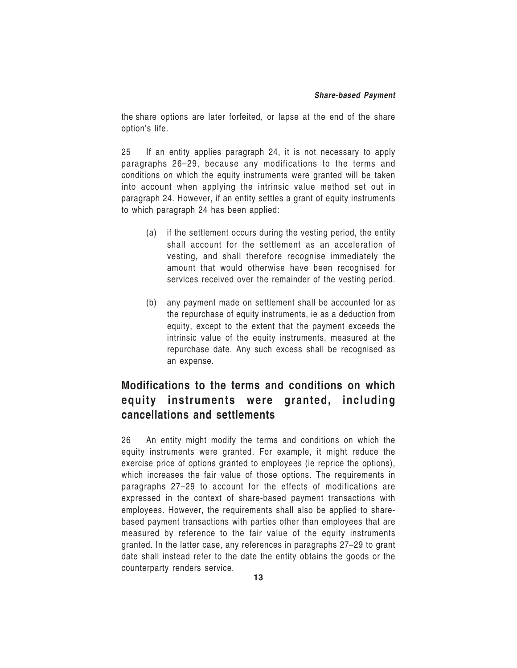the share options are later forfeited, or lapse at the end of the share option's life.

25 If an entity applies paragraph 24, it is not necessary to apply paragraphs 26–29, because any modifications to the terms and conditions on which the equity instruments were granted will be taken into account when applying the intrinsic value method set out in paragraph 24. However, if an entity settles a grant of equity instruments to which paragraph 24 has been applied:

- (a) if the settlement occurs during the vesting period, the entity shall account for the settlement as an acceleration of vesting, and shall therefore recognise immediately the amount that would otherwise have been recognised for services received over the remainder of the vesting period.
- (b) any payment made on settlement shall be accounted for as the repurchase of equity instruments, ie as a deduction from equity, except to the extent that the payment exceeds the intrinsic value of the equity instruments, measured at the repurchase date. Any such excess shall be recognised as an expense.

## **Modifications to the terms and conditions on which equity instruments were granted, including cancellations and settlements**

26 An entity might modify the terms and conditions on which the equity instruments were granted. For example, it might reduce the exercise price of options granted to employees (ie reprice the options), which increases the fair value of those options. The requirements in paragraphs 27–29 to account for the effects of modifications are expressed in the context of share-based payment transactions with employees. However, the requirements shall also be applied to sharebased payment transactions with parties other than employees that are measured by reference to the fair value of the equity instruments granted. In the latter case, any references in paragraphs 27–29 to grant date shall instead refer to the date the entity obtains the goods or the counterparty renders service.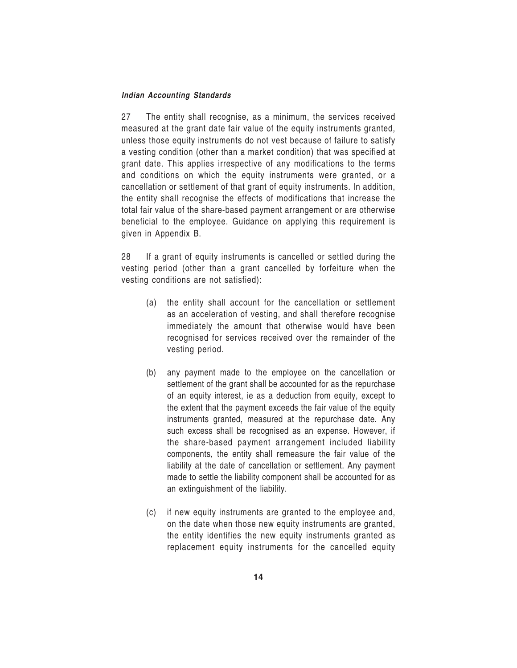27 The entity shall recognise, as a minimum, the services received measured at the grant date fair value of the equity instruments granted, unless those equity instruments do not vest because of failure to satisfy a vesting condition (other than a market condition) that was specified at grant date. This applies irrespective of any modifications to the terms and conditions on which the equity instruments were granted, or a cancellation or settlement of that grant of equity instruments. In addition, the entity shall recognise the effects of modifications that increase the total fair value of the share-based payment arrangement or are otherwise beneficial to the employee. Guidance on applying this requirement is given in Appendix B.

28 If a grant of equity instruments is cancelled or settled during the vesting period (other than a grant cancelled by forfeiture when the vesting conditions are not satisfied):

- (a) the entity shall account for the cancellation or settlement as an acceleration of vesting, and shall therefore recognise immediately the amount that otherwise would have been recognised for services received over the remainder of the vesting period.
- (b) any payment made to the employee on the cancellation or settlement of the grant shall be accounted for as the repurchase of an equity interest, ie as a deduction from equity, except to the extent that the payment exceeds the fair value of the equity instruments granted, measured at the repurchase date. Any such excess shall be recognised as an expense. However, if the share-based payment arrangement included liability components, the entity shall remeasure the fair value of the liability at the date of cancellation or settlement. Any payment made to settle the liability component shall be accounted for as an extinguishment of the liability.
- (c) if new equity instruments are granted to the employee and, on the date when those new equity instruments are granted, the entity identifies the new equity instruments granted as replacement equity instruments for the cancelled equity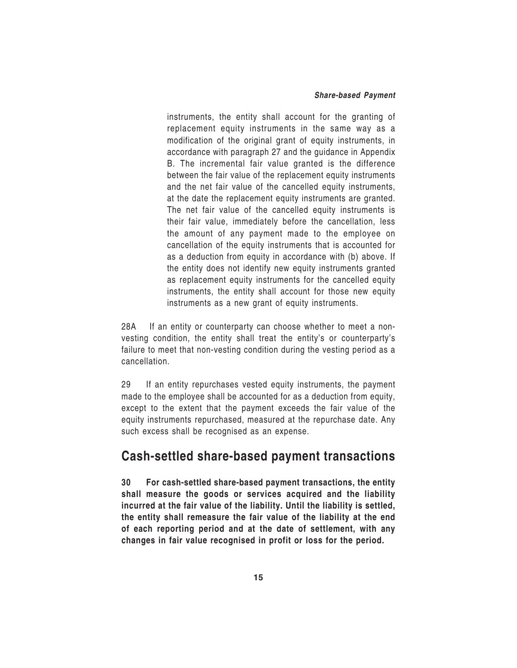instruments, the entity shall account for the granting of replacement equity instruments in the same way as a modification of the original grant of equity instruments, in accordance with paragraph 27 and the guidance in Appendix B. The incremental fair value granted is the difference between the fair value of the replacement equity instruments and the net fair value of the cancelled equity instruments, at the date the replacement equity instruments are granted. The net fair value of the cancelled equity instruments is their fair value, immediately before the cancellation, less the amount of any payment made to the employee on cancellation of the equity instruments that is accounted for as a deduction from equity in accordance with (b) above. If the entity does not identify new equity instruments granted as replacement equity instruments for the cancelled equity instruments, the entity shall account for those new equity instruments as a new grant of equity instruments.

28A If an entity or counterparty can choose whether to meet a nonvesting condition, the entity shall treat the entity's or counterparty's failure to meet that non-vesting condition during the vesting period as a cancellation.

29 If an entity repurchases vested equity instruments, the payment made to the employee shall be accounted for as a deduction from equity, except to the extent that the payment exceeds the fair value of the equity instruments repurchased, measured at the repurchase date. Any such excess shall be recognised as an expense.

## **Cash-settled share-based payment transactions**

**30 For cash-settled share-based payment transactions, the entity shall measure the goods or services acquired and the liability incurred at the fair value of the liability. Until the liability is settled, the entity shall remeasure the fair value of the liability at the end of each reporting period and at the date of settlement, with any changes in fair value recognised in profit or loss for the period.**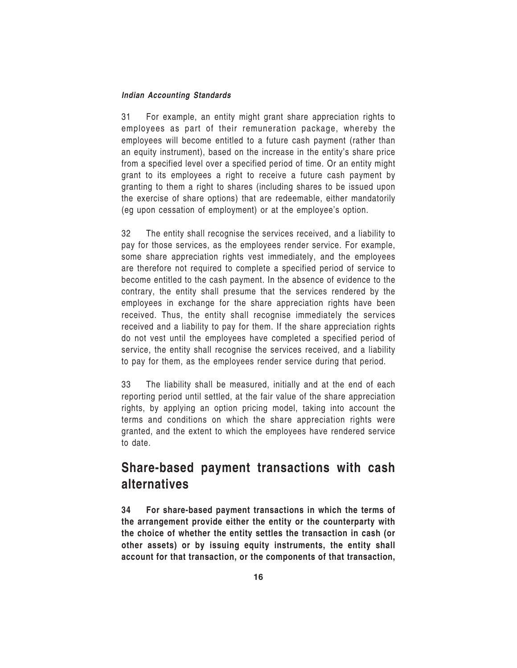31 For example, an entity might grant share appreciation rights to employees as part of their remuneration package, whereby the employees will become entitled to a future cash payment (rather than an equity instrument), based on the increase in the entity's share price from a specified level over a specified period of time. Or an entity might grant to its employees a right to receive a future cash payment by granting to them a right to shares (including shares to be issued upon the exercise of share options) that are redeemable, either mandatorily (eg upon cessation of employment) or at the employee's option.

32 The entity shall recognise the services received, and a liability to pay for those services, as the employees render service. For example, some share appreciation rights vest immediately, and the employees are therefore not required to complete a specified period of service to become entitled to the cash payment. In the absence of evidence to the contrary, the entity shall presume that the services rendered by the employees in exchange for the share appreciation rights have been received. Thus, the entity shall recognise immediately the services received and a liability to pay for them. If the share appreciation rights do not vest until the employees have completed a specified period of service, the entity shall recognise the services received, and a liability to pay for them, as the employees render service during that period.

33 The liability shall be measured, initially and at the end of each reporting period until settled, at the fair value of the share appreciation rights, by applying an option pricing model, taking into account the terms and conditions on which the share appreciation rights were granted, and the extent to which the employees have rendered service to date.

## **Share-based payment transactions with cash alternatives**

**34 For share-based payment transactions in which the terms of the arrangement provide either the entity or the counterparty with the choice of whether the entity settles the transaction in cash (or other assets) or by issuing equity instruments, the entity shall account for that transaction, or the components of that transaction,**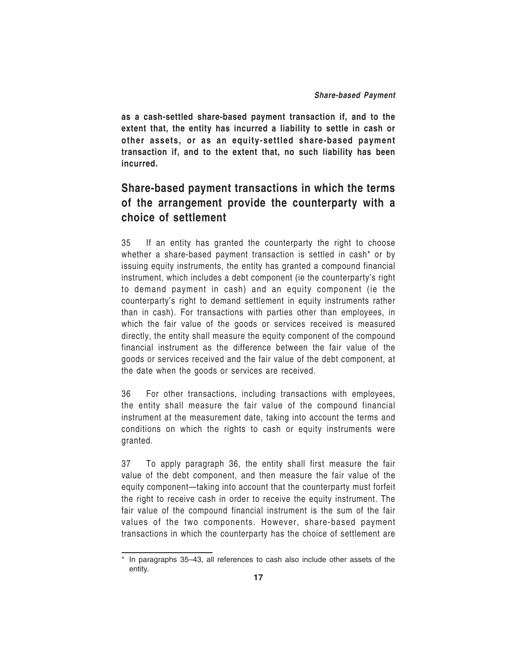**as a cash-settled share-based payment transaction if, and to the extent that, the entity has incurred a liability to settle in cash or other assets, or as an equity-settled share-based payment transaction if, and to the extent that, no such liability has been incurred.**

## **Share-based payment transactions in which the terms of the arrangement provide the counterparty with a choice of settlement**

35 If an entity has granted the counterparty the right to choose whether a share-based payment transaction is settled in cash<sup>\*</sup> or by issuing equity instruments, the entity has granted a compound financial instrument, which includes a debt component (ie the counterparty's right to demand payment in cash) and an equity component (ie the counterparty's right to demand settlement in equity instruments rather than in cash). For transactions with parties other than employees, in which the fair value of the goods or services received is measured directly, the entity shall measure the equity component of the compound financial instrument as the difference between the fair value of the goods or services received and the fair value of the debt component, at the date when the goods or services are received.

36 For other transactions, including transactions with employees, the entity shall measure the fair value of the compound financial instrument at the measurement date, taking into account the terms and conditions on which the rights to cash or equity instruments were granted.

37 To apply paragraph 36, the entity shall first measure the fair value of the debt component, and then measure the fair value of the equity component—taking into account that the counterparty must forfeit the right to receive cash in order to receive the equity instrument. The fair value of the compound financial instrument is the sum of the fair values of the two components. However, share-based payment transactions in which the counterparty has the choice of settlement are

<sup>\*</sup> In paragraphs 35–43, all references to cash also include other assets of the entity.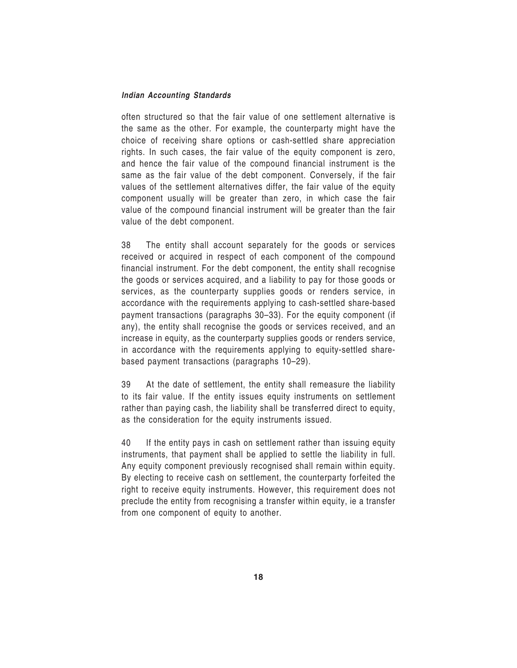often structured so that the fair value of one settlement alternative is the same as the other. For example, the counterparty might have the choice of receiving share options or cash-settled share appreciation rights. In such cases, the fair value of the equity component is zero, and hence the fair value of the compound financial instrument is the same as the fair value of the debt component. Conversely, if the fair values of the settlement alternatives differ, the fair value of the equity component usually will be greater than zero, in which case the fair value of the compound financial instrument will be greater than the fair value of the debt component.

38 The entity shall account separately for the goods or services received or acquired in respect of each component of the compound financial instrument. For the debt component, the entity shall recognise the goods or services acquired, and a liability to pay for those goods or services, as the counterparty supplies goods or renders service, in accordance with the requirements applying to cash-settled share-based payment transactions (paragraphs 30–33). For the equity component (if any), the entity shall recognise the goods or services received, and an increase in equity, as the counterparty supplies goods or renders service, in accordance with the requirements applying to equity-settled sharebased payment transactions (paragraphs 10–29).

39 At the date of settlement, the entity shall remeasure the liability to its fair value. If the entity issues equity instruments on settlement rather than paying cash, the liability shall be transferred direct to equity, as the consideration for the equity instruments issued.

40 If the entity pays in cash on settlement rather than issuing equity instruments, that payment shall be applied to settle the liability in full. Any equity component previously recognised shall remain within equity. By electing to receive cash on settlement, the counterparty forfeited the right to receive equity instruments. However, this requirement does not preclude the entity from recognising a transfer within equity, ie a transfer from one component of equity to another.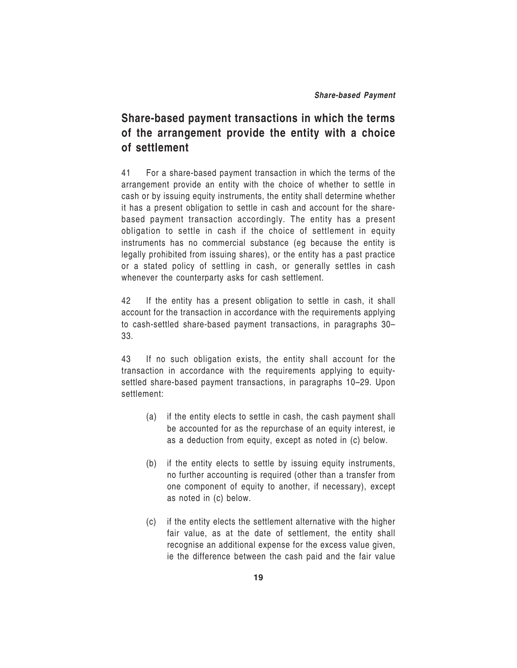## **Share-based payment transactions in which the terms of the arrangement provide the entity with a choice of settlement**

41 For a share-based payment transaction in which the terms of the arrangement provide an entity with the choice of whether to settle in cash or by issuing equity instruments, the entity shall determine whether it has a present obligation to settle in cash and account for the sharebased payment transaction accordingly. The entity has a present obligation to settle in cash if the choice of settlement in equity instruments has no commercial substance (eg because the entity is legally prohibited from issuing shares), or the entity has a past practice or a stated policy of settling in cash, or generally settles in cash whenever the counterparty asks for cash settlement.

42 If the entity has a present obligation to settle in cash, it shall account for the transaction in accordance with the requirements applying to cash-settled share-based payment transactions, in paragraphs 30– 33.

43 If no such obligation exists, the entity shall account for the transaction in accordance with the requirements applying to equitysettled share-based payment transactions, in paragraphs 10–29. Upon settlement:

- (a) if the entity elects to settle in cash, the cash payment shall be accounted for as the repurchase of an equity interest, ie as a deduction from equity, except as noted in (c) below.
- (b) if the entity elects to settle by issuing equity instruments, no further accounting is required (other than a transfer from one component of equity to another, if necessary), except as noted in (c) below.
- (c) if the entity elects the settlement alternative with the higher fair value, as at the date of settlement, the entity shall recognise an additional expense for the excess value given, ie the difference between the cash paid and the fair value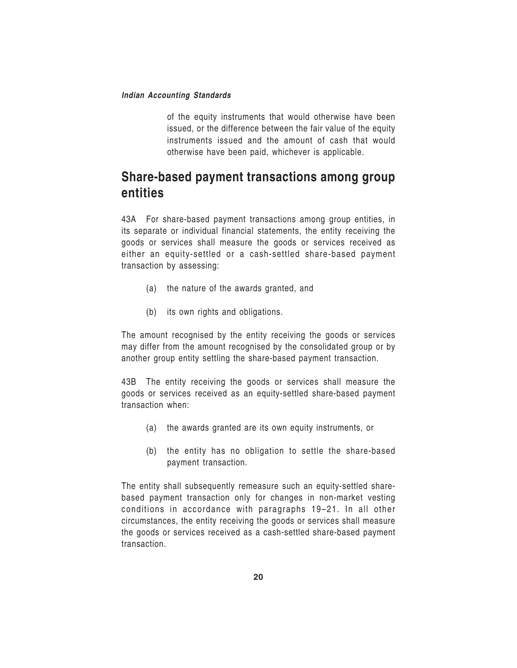of the equity instruments that would otherwise have been issued, or the difference between the fair value of the equity instruments issued and the amount of cash that would otherwise have been paid, whichever is applicable.

## **Share-based payment transactions among group entities**

43A For share-based payment transactions among group entities, in its separate or individual financial statements, the entity receiving the goods or services shall measure the goods or services received as either an equity-settled or a cash-settled share-based payment transaction by assessing:

- (a) the nature of the awards granted, and
- (b) its own rights and obligations.

The amount recognised by the entity receiving the goods or services may differ from the amount recognised by the consolidated group or by another group entity settling the share-based payment transaction.

43B The entity receiving the goods or services shall measure the goods or services received as an equity-settled share-based payment transaction when:

- (a) the awards granted are its own equity instruments, or
- (b) the entity has no obligation to settle the share-based payment transaction.

The entity shall subsequently remeasure such an equity-settled sharebased payment transaction only for changes in non-market vesting conditions in accordance with paragraphs 19–21. In all other circumstances, the entity receiving the goods or services shall measure the goods or services received as a cash-settled share-based payment transaction.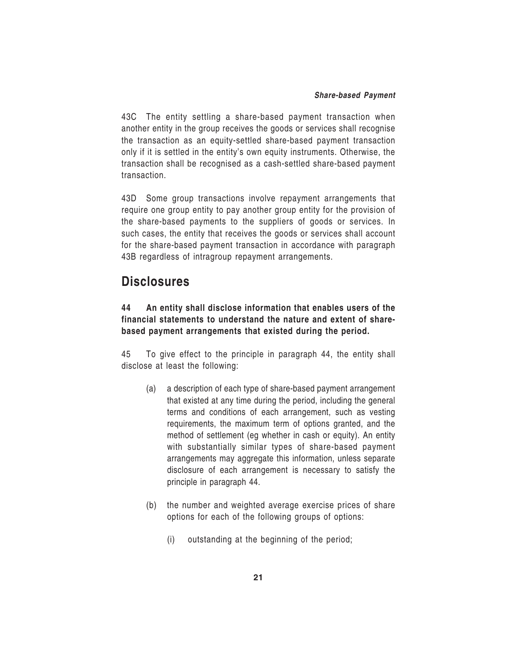43C The entity settling a share-based payment transaction when another entity in the group receives the goods or services shall recognise the transaction as an equity-settled share-based payment transaction only if it is settled in the entity's own equity instruments. Otherwise, the transaction shall be recognised as a cash-settled share-based payment transaction.

43D Some group transactions involve repayment arrangements that require one group entity to pay another group entity for the provision of the share-based payments to the suppliers of goods or services. In such cases, the entity that receives the goods or services shall account for the share-based payment transaction in accordance with paragraph 43B regardless of intragroup repayment arrangements.

## **Disclosures**

### **44 An entity shall disclose information that enables users of the financial statements to understand the nature and extent of sharebased payment arrangements that existed during the period.**

45 To give effect to the principle in paragraph 44, the entity shall disclose at least the following:

- (a) a description of each type of share-based payment arrangement that existed at any time during the period, including the general terms and conditions of each arrangement, such as vesting requirements, the maximum term of options granted, and the method of settlement (eg whether in cash or equity). An entity with substantially similar types of share-based payment arrangements may aggregate this information, unless separate disclosure of each arrangement is necessary to satisfy the principle in paragraph 44.
- (b) the number and weighted average exercise prices of share options for each of the following groups of options:
	- (i) outstanding at the beginning of the period;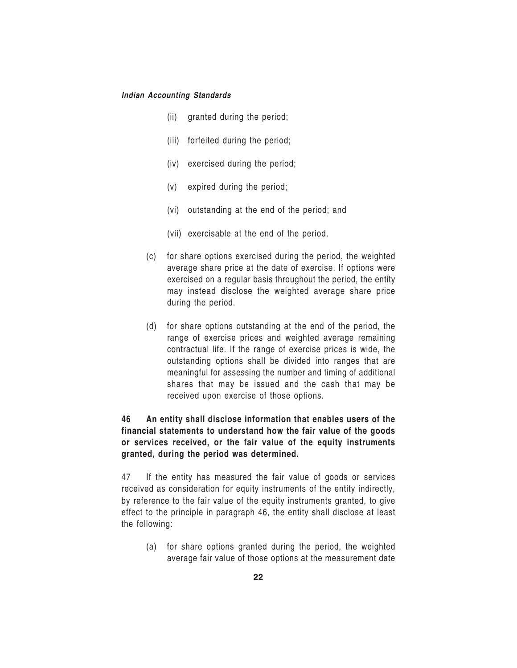- (ii) granted during the period;
- (iii) forfeited during the period;
- (iv) exercised during the period;
- (v) expired during the period;
- (vi) outstanding at the end of the period; and
- (vii) exercisable at the end of the period.
- (c) for share options exercised during the period, the weighted average share price at the date of exercise. If options were exercised on a regular basis throughout the period, the entity may instead disclose the weighted average share price during the period.
- (d) for share options outstanding at the end of the period, the range of exercise prices and weighted average remaining contractual life. If the range of exercise prices is wide, the outstanding options shall be divided into ranges that are meaningful for assessing the number and timing of additional shares that may be issued and the cash that may be received upon exercise of those options.

### **46 An entity shall disclose information that enables users of the financial statements to understand how the fair value of the goods or services received, or the fair value of the equity instruments granted, during the period was determined.**

47 If the entity has measured the fair value of goods or services received as consideration for equity instruments of the entity indirectly, by reference to the fair value of the equity instruments granted, to give effect to the principle in paragraph 46, the entity shall disclose at least the following:

(a) for share options granted during the period, the weighted average fair value of those options at the measurement date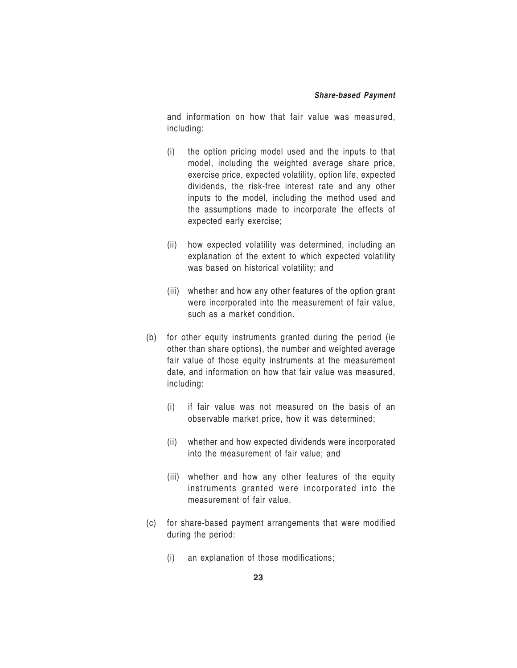and information on how that fair value was measured, including:

- (i) the option pricing model used and the inputs to that model, including the weighted average share price, exercise price, expected volatility, option life, expected dividends, the risk-free interest rate and any other inputs to the model, including the method used and the assumptions made to incorporate the effects of expected early exercise;
- (ii) how expected volatility was determined, including an explanation of the extent to which expected volatility was based on historical volatility; and
- (iii) whether and how any other features of the option grant were incorporated into the measurement of fair value, such as a market condition.
- (b) for other equity instruments granted during the period (ie other than share options), the number and weighted average fair value of those equity instruments at the measurement date, and information on how that fair value was measured, including:
	- (i) if fair value was not measured on the basis of an observable market price, how it was determined;
	- (ii) whether and how expected dividends were incorporated into the measurement of fair value; and
	- (iii) whether and how any other features of the equity instruments granted were incorporated into the measurement of fair value.
- (c) for share-based payment arrangements that were modified during the period:
	- (i) an explanation of those modifications;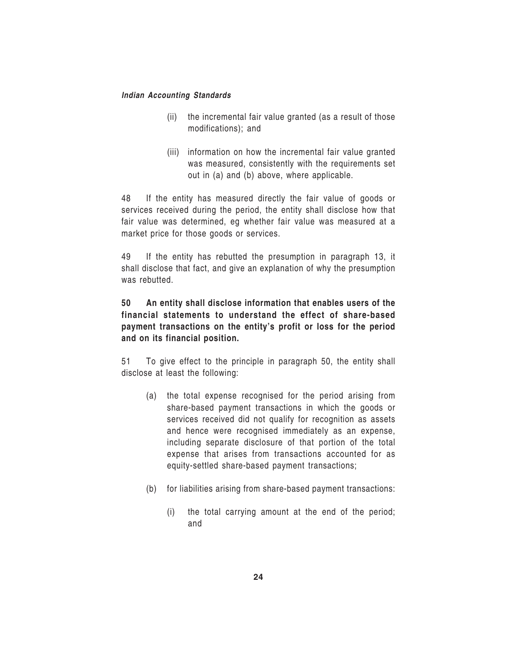- (ii) the incremental fair value granted (as a result of those modifications); and
- (iii) information on how the incremental fair value granted was measured, consistently with the requirements set out in (a) and (b) above, where applicable.

48 If the entity has measured directly the fair value of goods or services received during the period, the entity shall disclose how that fair value was determined, eg whether fair value was measured at a market price for those goods or services.

49 If the entity has rebutted the presumption in paragraph 13, it shall disclose that fact, and give an explanation of why the presumption was rebutted.

### **50 An entity shall disclose information that enables users of the financial statements to understand the effect of share-based payment transactions on the entity's profit or loss for the period and on its financial position.**

51 To give effect to the principle in paragraph 50, the entity shall disclose at least the following:

- (a) the total expense recognised for the period arising from share-based payment transactions in which the goods or services received did not qualify for recognition as assets and hence were recognised immediately as an expense, including separate disclosure of that portion of the total expense that arises from transactions accounted for as equity-settled share-based payment transactions;
- (b) for liabilities arising from share-based payment transactions:
	- (i) the total carrying amount at the end of the period; and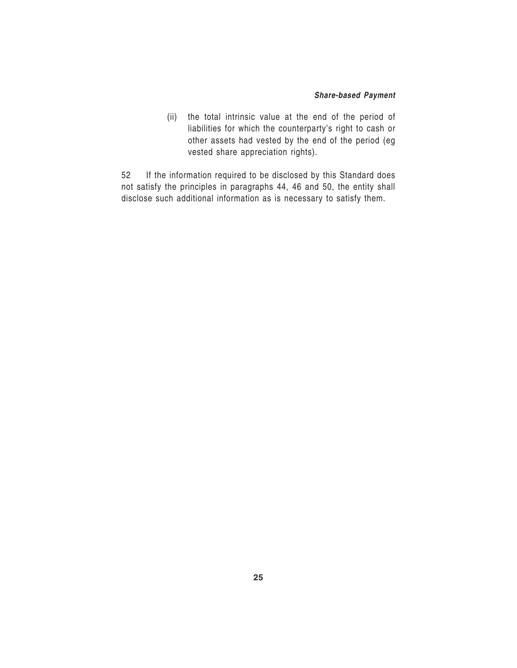(ii) the total intrinsic value at the end of the period of liabilities for which the counterparty's right to cash or other assets had vested by the end of the period (eg vested share appreciation rights).

52 If the information required to be disclosed by this Standard does not satisfy the principles in paragraphs 44, 46 and 50, the entity shall disclose such additional information as is necessary to satisfy them.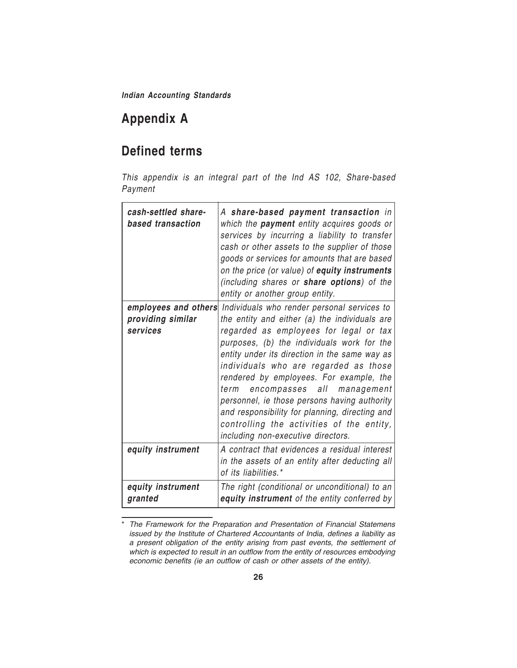# **Appendix A**

# **Defined terms**

This appendix is an integral part of the Ind AS 102, Share-based Payment

| cash-settled share-<br>based transaction                            | A share-based payment transaction in<br>which the payment entity acquires goods or<br>services by incurring a liability to transfer<br>cash or other assets to the supplier of those<br>goods or services for amounts that are based<br>on the price (or value) of equity instruments<br>(including shares or share options) of the<br>entity or another group entity.                                                                            |
|---------------------------------------------------------------------|---------------------------------------------------------------------------------------------------------------------------------------------------------------------------------------------------------------------------------------------------------------------------------------------------------------------------------------------------------------------------------------------------------------------------------------------------|
| employees and others<br>Individuals who render personal services to |                                                                                                                                                                                                                                                                                                                                                                                                                                                   |
| providing similar                                                   | the entity and either (a) the individuals are                                                                                                                                                                                                                                                                                                                                                                                                     |
| services                                                            | regarded as employees for legal or tax<br>purposes, (b) the individuals work for the<br>entity under its direction in the same way as<br>individuals who are regarded as those<br>rendered by employees. For example, the<br>term encompasses all management<br>personnel, ie those persons having authority<br>and responsibility for planning, directing and<br>controlling the activities of the entity,<br>including non-executive directors. |
| equity instrument                                                   | A contract that evidences a residual interest<br>in the assets of an entity after deducting all<br>of its liabilities.*                                                                                                                                                                                                                                                                                                                           |
| equity instrument<br>granted                                        | The right (conditional or unconditional) to an<br>equity instrument of the entity conferred by                                                                                                                                                                                                                                                                                                                                                    |

<sup>\*</sup> The Framework for the Preparation and Presentation of Financial Statemens issued by the Institute of Chartered Accountants of India, defines a liability as a present obligation of the entity arising from past events, the settlement of which is expected to result in an outflow from the entity of resources embodying economic benefits (ie an outflow of cash or other assets of the entity).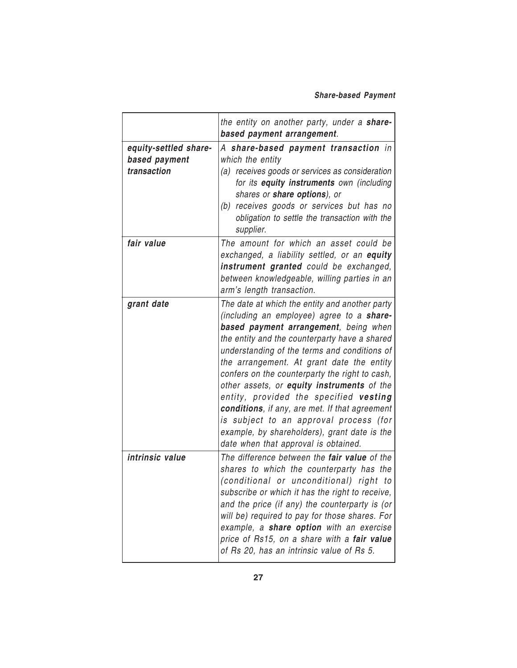|                                                       | the entity on another party, under a share-<br>based payment arrangement.                                                                                                                                                                                                                                                                                                                                                                                                                                                                                                                                        |
|-------------------------------------------------------|------------------------------------------------------------------------------------------------------------------------------------------------------------------------------------------------------------------------------------------------------------------------------------------------------------------------------------------------------------------------------------------------------------------------------------------------------------------------------------------------------------------------------------------------------------------------------------------------------------------|
| equity-settled share-<br>based payment<br>transaction | A share-based payment transaction in<br>which the entity<br>(a) receives goods or services as consideration<br>for its equity instruments own (including<br>shares or share options), or<br>(b) receives goods or services but has no<br>obligation to settle the transaction with the<br>supplier.                                                                                                                                                                                                                                                                                                              |
| fair value                                            | The amount for which an asset could be<br>exchanged, a liability settled, or an equity<br>instrument granted could be exchanged,<br>between knowledgeable, willing parties in an<br>arm's length transaction.                                                                                                                                                                                                                                                                                                                                                                                                    |
| grant date                                            | The date at which the entity and another party<br>(including an employee) agree to a share-<br>based payment arrangement, being when<br>the entity and the counterparty have a shared<br>understanding of the terms and conditions of<br>the arrangement. At grant date the entity<br>confers on the counterparty the right to cash,<br>other assets, or equity instruments of the<br>entity, provided the specified vesting<br>conditions, if any, are met. If that agreement<br>is subject to an approval process (for<br>example, by shareholders), grant date is the<br>date when that approval is obtained. |
| intrinsic value                                       | The difference between the fair value of the<br>shares to which the counterparty has the<br>(conditional or unconditional) right to<br>subscribe or which it has the right to receive,<br>and the price (if any) the counterparty is (or<br>will be) required to pay for those shares. For<br>example, a <b>share option</b> with an exercise<br>price of Rs15, on a share with a fair value<br>of Rs 20, has an intrinsic value of Rs 5.                                                                                                                                                                        |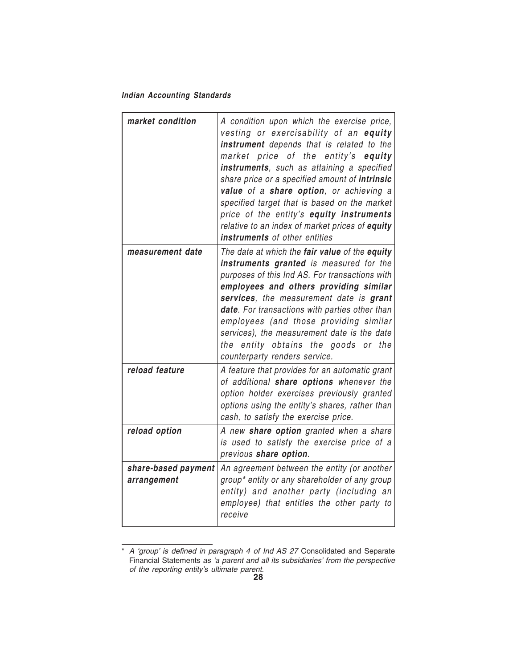| market condition                   | A condition upon which the exercise price,<br>vesting or exercisability of an equity<br>instrument depends that is related to the<br>market price of the entity's equity<br>instruments, such as attaining a specified<br>share price or a specified amount of intrinsic<br>value of a share option, or achieving a<br>specified target that is based on the market<br>price of the entity's equity instruments<br>relative to an index of market prices of equity<br>instruments of other entities |
|------------------------------------|-----------------------------------------------------------------------------------------------------------------------------------------------------------------------------------------------------------------------------------------------------------------------------------------------------------------------------------------------------------------------------------------------------------------------------------------------------------------------------------------------------|
| measurement date                   | The date at which the fair value of the equity<br>instruments granted is measured for the<br>purposes of this Ind AS. For transactions with<br>employees and others providing similar<br>services, the measurement date is grant<br>date. For transactions with parties other than<br>employees (and those providing similar<br>services), the measurement date is the date<br>the entity obtains the goods or the<br>counterparty renders service.                                                 |
| reload feature                     | A feature that provides for an automatic grant<br>of additional share options whenever the<br>option holder exercises previously granted<br>options using the entity's shares, rather than<br>cash, to satisfy the exercise price.                                                                                                                                                                                                                                                                  |
| reload option                      | A new share option granted when a share<br>is used to satisfy the exercise price of a<br>previous share option.                                                                                                                                                                                                                                                                                                                                                                                     |
| share-based payment<br>arrangement | An agreement between the entity (or another<br>group* entity or any shareholder of any group<br>entity) and another party (including an<br>employee) that entitles the other party to<br>receive                                                                                                                                                                                                                                                                                                    |

<sup>\*</sup> A 'group' is defined in paragraph 4 of Ind AS 27 Consolidated and Separate Financial Statements as 'a parent and all its subsidiaries' from the perspective of the reporting entity's ultimate parent.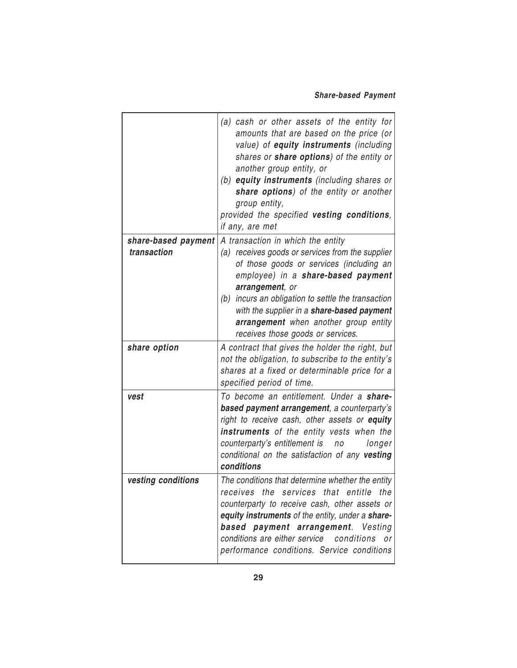|                                    | (a) cash or other assets of the entity for<br>amounts that are based on the price (or<br>value) of equity instruments (including<br>shares or share options) of the entity or<br>another group entity, or<br>equity instruments (including shares or<br>(b)<br>share options) of the entity or another<br>group entity,<br>provided the specified vesting conditions,<br>if any, are met |
|------------------------------------|------------------------------------------------------------------------------------------------------------------------------------------------------------------------------------------------------------------------------------------------------------------------------------------------------------------------------------------------------------------------------------------|
| share-based payment<br>transaction | A transaction in which the entity<br>(a) receives goods or services from the supplier<br>of those goods or services (including an<br>employee) in a share-based payment<br>arrangement, or<br>(b) incurs an obligation to settle the transaction<br>with the supplier in a share-based payment<br>arrangement when another group entity<br>receives those goods or services.             |
| share option                       | A contract that gives the holder the right, but<br>not the obligation, to subscribe to the entity's<br>shares at a fixed or determinable price for a<br>specified period of time.                                                                                                                                                                                                        |
| vest                               | To become an entitlement. Under a share-<br>based payment arrangement, a counterparty's<br>right to receive cash, other assets or equity<br>instruments of the entity vests when the<br>counterparty's entitlement is<br>longer<br>no<br>conditional on the satisfaction of any vesting<br>conditions                                                                                    |
| vesting conditions                 | The conditions that determine whether the entity<br>receives the services that entitle the<br>counterparty to receive cash, other assets or<br>equity instruments of the entity, under a share-<br>based payment arrangement. Vesting<br>conditions are either service conditions<br>or<br>performance conditions. Service conditions                                                    |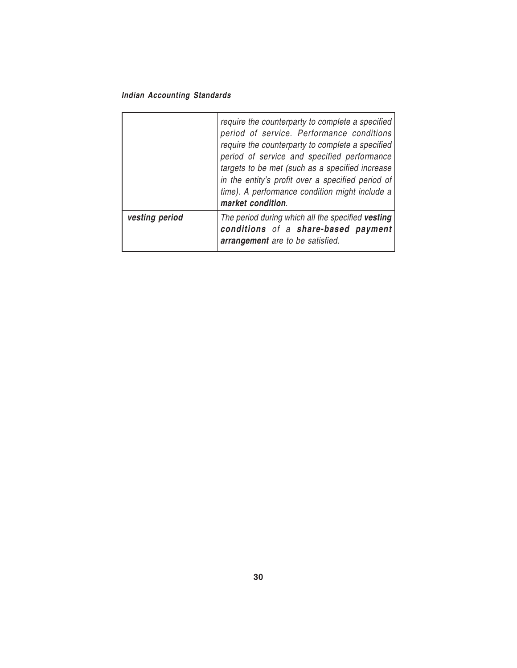|                | require the counterparty to complete a specified<br>period of service. Performance conditions<br>require the counterparty to complete a specified<br>period of service and specified performance<br>targets to be met (such as a specified increase<br>in the entity's profit over a specified period of<br>time). A performance condition might include a<br>market condition. |
|----------------|---------------------------------------------------------------------------------------------------------------------------------------------------------------------------------------------------------------------------------------------------------------------------------------------------------------------------------------------------------------------------------|
| vesting period | The period during which all the specified vesting<br>conditions of a share-based payment<br>arrangement are to be satisfied.                                                                                                                                                                                                                                                    |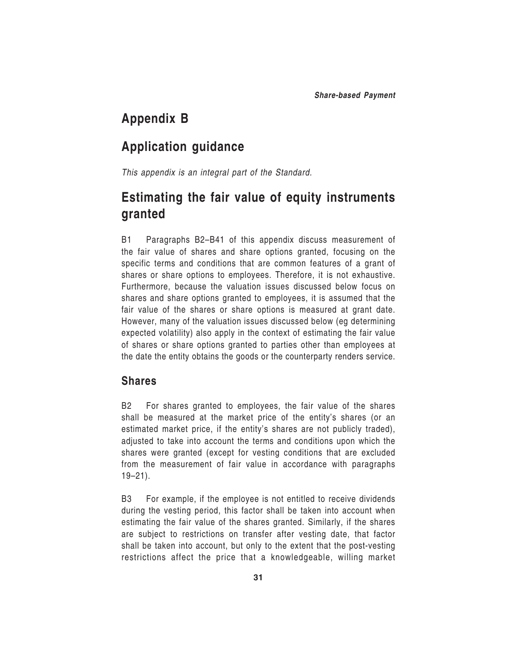# **Appendix B**

## **Application guidance**

This appendix is an integral part of the Standard.

## **Estimating the fair value of equity instruments granted**

B1 Paragraphs B2–B41 of this appendix discuss measurement of the fair value of shares and share options granted, focusing on the specific terms and conditions that are common features of a grant of shares or share options to employees. Therefore, it is not exhaustive. Furthermore, because the valuation issues discussed below focus on shares and share options granted to employees, it is assumed that the fair value of the shares or share options is measured at grant date. However, many of the valuation issues discussed below (eg determining expected volatility) also apply in the context of estimating the fair value of shares or share options granted to parties other than employees at the date the entity obtains the goods or the counterparty renders service.

## **Shares**

B2 For shares granted to employees, the fair value of the shares shall be measured at the market price of the entity's shares (or an estimated market price, if the entity's shares are not publicly traded), adjusted to take into account the terms and conditions upon which the shares were granted (except for vesting conditions that are excluded from the measurement of fair value in accordance with paragraphs 19–21).

B3 For example, if the employee is not entitled to receive dividends during the vesting period, this factor shall be taken into account when estimating the fair value of the shares granted. Similarly, if the shares are subject to restrictions on transfer after vesting date, that factor shall be taken into account, but only to the extent that the post-vesting restrictions affect the price that a knowledgeable, willing market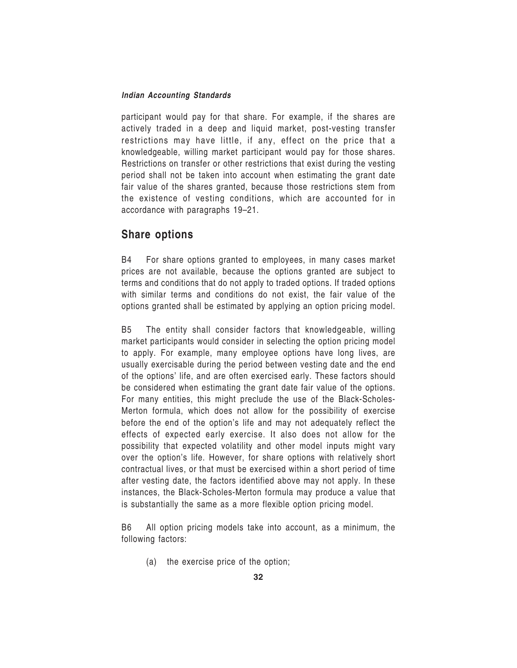participant would pay for that share. For example, if the shares are actively traded in a deep and liquid market, post-vesting transfer restrictions may have little, if any, effect on the price that a knowledgeable, willing market participant would pay for those shares. Restrictions on transfer or other restrictions that exist during the vesting period shall not be taken into account when estimating the grant date fair value of the shares granted, because those restrictions stem from the existence of vesting conditions, which are accounted for in accordance with paragraphs 19–21.

### **Share options**

B4 For share options granted to employees, in many cases market prices are not available, because the options granted are subject to terms and conditions that do not apply to traded options. If traded options with similar terms and conditions do not exist, the fair value of the options granted shall be estimated by applying an option pricing model.

B5 The entity shall consider factors that knowledgeable, willing market participants would consider in selecting the option pricing model to apply. For example, many employee options have long lives, are usually exercisable during the period between vesting date and the end of the options' life, and are often exercised early. These factors should be considered when estimating the grant date fair value of the options. For many entities, this might preclude the use of the Black-Scholes-Merton formula, which does not allow for the possibility of exercise before the end of the option's life and may not adequately reflect the effects of expected early exercise. It also does not allow for the possibility that expected volatility and other model inputs might vary over the option's life. However, for share options with relatively short contractual lives, or that must be exercised within a short period of time after vesting date, the factors identified above may not apply. In these instances, the Black-Scholes-Merton formula may produce a value that is substantially the same as a more flexible option pricing model.

B6 All option pricing models take into account, as a minimum, the following factors:

(a) the exercise price of the option;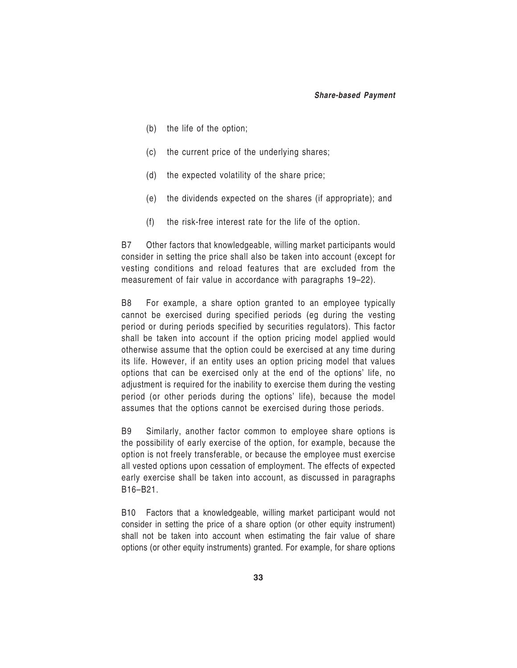- (b) the life of the option;
- (c) the current price of the underlying shares;
- (d) the expected volatility of the share price;
- (e) the dividends expected on the shares (if appropriate); and
- (f) the risk-free interest rate for the life of the option.

B7 Other factors that knowledgeable, willing market participants would consider in setting the price shall also be taken into account (except for vesting conditions and reload features that are excluded from the measurement of fair value in accordance with paragraphs 19–22).

B8 For example, a share option granted to an employee typically cannot be exercised during specified periods (eg during the vesting period or during periods specified by securities regulators). This factor shall be taken into account if the option pricing model applied would otherwise assume that the option could be exercised at any time during its life. However, if an entity uses an option pricing model that values options that can be exercised only at the end of the options' life, no adjustment is required for the inability to exercise them during the vesting period (or other periods during the options' life), because the model assumes that the options cannot be exercised during those periods.

B9 Similarly, another factor common to employee share options is the possibility of early exercise of the option, for example, because the option is not freely transferable, or because the employee must exercise all vested options upon cessation of employment. The effects of expected early exercise shall be taken into account, as discussed in paragraphs B16–B21.

B10 Factors that a knowledgeable, willing market participant would not consider in setting the price of a share option (or other equity instrument) shall not be taken into account when estimating the fair value of share options (or other equity instruments) granted. For example, for share options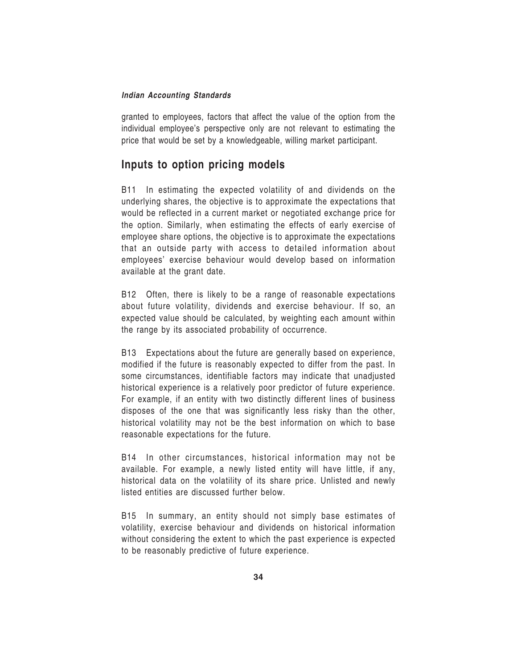granted to employees, factors that affect the value of the option from the individual employee's perspective only are not relevant to estimating the price that would be set by a knowledgeable, willing market participant.

### **Inputs to option pricing models**

B11 In estimating the expected volatility of and dividends on the underlying shares, the objective is to approximate the expectations that would be reflected in a current market or negotiated exchange price for the option. Similarly, when estimating the effects of early exercise of employee share options, the objective is to approximate the expectations that an outside party with access to detailed information about employees' exercise behaviour would develop based on information available at the grant date.

B12 Often, there is likely to be a range of reasonable expectations about future volatility, dividends and exercise behaviour. If so, an expected value should be calculated, by weighting each amount within the range by its associated probability of occurrence.

B13 Expectations about the future are generally based on experience, modified if the future is reasonably expected to differ from the past. In some circumstances, identifiable factors may indicate that unadjusted historical experience is a relatively poor predictor of future experience. For example, if an entity with two distinctly different lines of business disposes of the one that was significantly less risky than the other, historical volatility may not be the best information on which to base reasonable expectations for the future.

B14 In other circumstances, historical information may not be available. For example, a newly listed entity will have little, if any, historical data on the volatility of its share price. Unlisted and newly listed entities are discussed further below.

B15 In summary, an entity should not simply base estimates of volatility, exercise behaviour and dividends on historical information without considering the extent to which the past experience is expected to be reasonably predictive of future experience.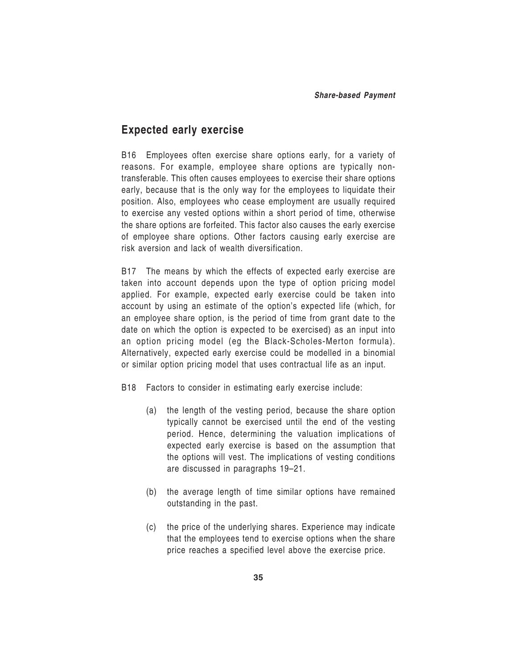## **Expected early exercise**

B16 Employees often exercise share options early, for a variety of reasons. For example, employee share options are typically nontransferable. This often causes employees to exercise their share options early, because that is the only way for the employees to liquidate their position. Also, employees who cease employment are usually required to exercise any vested options within a short period of time, otherwise the share options are forfeited. This factor also causes the early exercise of employee share options. Other factors causing early exercise are risk aversion and lack of wealth diversification.

B17 The means by which the effects of expected early exercise are taken into account depends upon the type of option pricing model applied. For example, expected early exercise could be taken into account by using an estimate of the option's expected life (which, for an employee share option, is the period of time from grant date to the date on which the option is expected to be exercised) as an input into an option pricing model (eg the Black-Scholes-Merton formula). Alternatively, expected early exercise could be modelled in a binomial or similar option pricing model that uses contractual life as an input.

- B18 Factors to consider in estimating early exercise include:
	- (a) the length of the vesting period, because the share option typically cannot be exercised until the end of the vesting period. Hence, determining the valuation implications of expected early exercise is based on the assumption that the options will vest. The implications of vesting conditions are discussed in paragraphs 19–21.
	- (b) the average length of time similar options have remained outstanding in the past.
	- (c) the price of the underlying shares. Experience may indicate that the employees tend to exercise options when the share price reaches a specified level above the exercise price.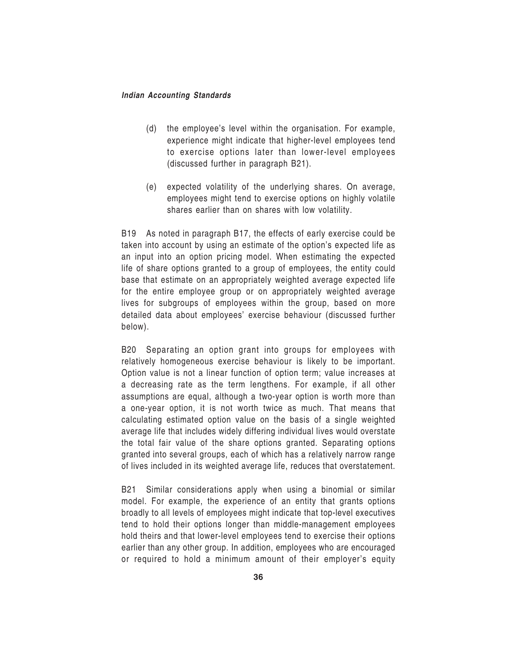- (d) the employee's level within the organisation. For example, experience might indicate that higher-level employees tend to exercise options later than lower-level employees (discussed further in paragraph B21).
- (e) expected volatility of the underlying shares. On average, employees might tend to exercise options on highly volatile shares earlier than on shares with low volatility.

B19 As noted in paragraph B17, the effects of early exercise could be taken into account by using an estimate of the option's expected life as an input into an option pricing model. When estimating the expected life of share options granted to a group of employees, the entity could base that estimate on an appropriately weighted average expected life for the entire employee group or on appropriately weighted average lives for subgroups of employees within the group, based on more detailed data about employees' exercise behaviour (discussed further below).

B20 Separating an option grant into groups for employees with relatively homogeneous exercise behaviour is likely to be important. Option value is not a linear function of option term; value increases at a decreasing rate as the term lengthens. For example, if all other assumptions are equal, although a two-year option is worth more than a one-year option, it is not worth twice as much. That means that calculating estimated option value on the basis of a single weighted average life that includes widely differing individual lives would overstate the total fair value of the share options granted. Separating options granted into several groups, each of which has a relatively narrow range of lives included in its weighted average life, reduces that overstatement.

B21 Similar considerations apply when using a binomial or similar model. For example, the experience of an entity that grants options broadly to all levels of employees might indicate that top-level executives tend to hold their options longer than middle-management employees hold theirs and that lower-level employees tend to exercise their options earlier than any other group. In addition, employees who are encouraged or required to hold a minimum amount of their employer's equity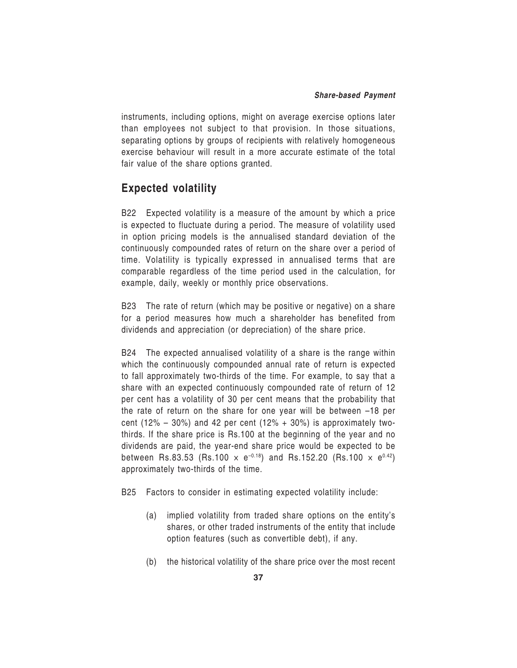instruments, including options, might on average exercise options later than employees not subject to that provision. In those situations, separating options by groups of recipients with relatively homogeneous exercise behaviour will result in a more accurate estimate of the total fair value of the share options granted.

# **Expected volatility**

B22 Expected volatility is a measure of the amount by which a price is expected to fluctuate during a period. The measure of volatility used in option pricing models is the annualised standard deviation of the continuously compounded rates of return on the share over a period of time. Volatility is typically expressed in annualised terms that are comparable regardless of the time period used in the calculation, for example, daily, weekly or monthly price observations.

B23 The rate of return (which may be positive or negative) on a share for a period measures how much a shareholder has benefited from dividends and appreciation (or depreciation) of the share price.

B24 The expected annualised volatility of a share is the range within which the continuously compounded annual rate of return is expected to fall approximately two-thirds of the time. For example, to say that a share with an expected continuously compounded rate of return of 12 per cent has a volatility of 30 per cent means that the probability that the rate of return on the share for one year will be between –18 per cent (12% – 30%) and 42 per cent (12% + 30%) is approximately twothirds. If the share price is Rs.100 at the beginning of the year and no dividends are paid, the year-end share price would be expected to be between Rs.83.53 (Rs.100  $\times$  e<sup>-0.18</sup>) and Rs.152.20 (Rs.100  $\times$  e<sup>0.42</sup>) approximately two-thirds of the time.

B25 Factors to consider in estimating expected volatility include:

- (a) implied volatility from traded share options on the entity's shares, or other traded instruments of the entity that include option features (such as convertible debt), if any.
- (b) the historical volatility of the share price over the most recent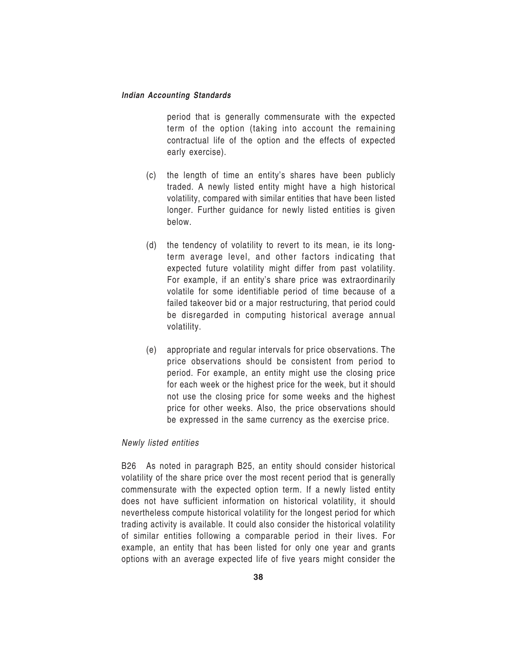period that is generally commensurate with the expected term of the option (taking into account the remaining contractual life of the option and the effects of expected early exercise).

- (c) the length of time an entity's shares have been publicly traded. A newly listed entity might have a high historical volatility, compared with similar entities that have been listed longer. Further guidance for newly listed entities is given below.
- (d) the tendency of volatility to revert to its mean, ie its longterm average level, and other factors indicating that expected future volatility might differ from past volatility. For example, if an entity's share price was extraordinarily volatile for some identifiable period of time because of a failed takeover bid or a major restructuring, that period could be disregarded in computing historical average annual volatility.
- (e) appropriate and regular intervals for price observations. The price observations should be consistent from period to period. For example, an entity might use the closing price for each week or the highest price for the week, but it should not use the closing price for some weeks and the highest price for other weeks. Also, the price observations should be expressed in the same currency as the exercise price.

#### Newly listed entities

B26 As noted in paragraph B25, an entity should consider historical volatility of the share price over the most recent period that is generally commensurate with the expected option term. If a newly listed entity does not have sufficient information on historical volatility, it should nevertheless compute historical volatility for the longest period for which trading activity is available. It could also consider the historical volatility of similar entities following a comparable period in their lives. For example, an entity that has been listed for only one year and grants options with an average expected life of five years might consider the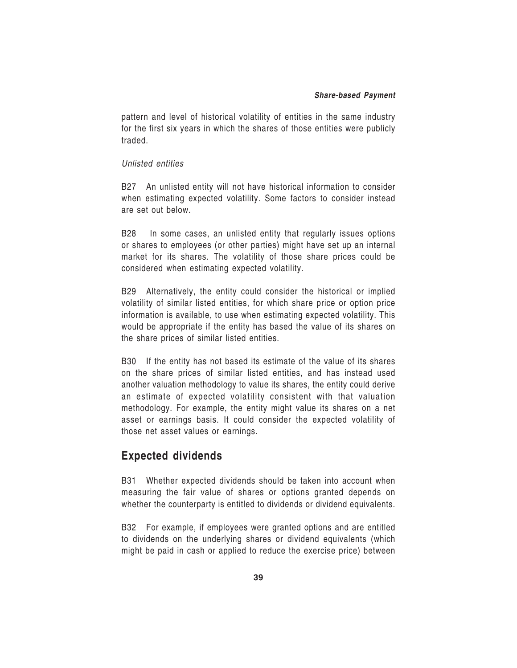pattern and level of historical volatility of entities in the same industry for the first six years in which the shares of those entities were publicly traded.

#### Unlisted entities

B27 An unlisted entity will not have historical information to consider when estimating expected volatility. Some factors to consider instead are set out below.

B28 In some cases, an unlisted entity that regularly issues options or shares to employees (or other parties) might have set up an internal market for its shares. The volatility of those share prices could be considered when estimating expected volatility.

B29 Alternatively, the entity could consider the historical or implied volatility of similar listed entities, for which share price or option price information is available, to use when estimating expected volatility. This would be appropriate if the entity has based the value of its shares on the share prices of similar listed entities.

B30 If the entity has not based its estimate of the value of its shares on the share prices of similar listed entities, and has instead used another valuation methodology to value its shares, the entity could derive an estimate of expected volatility consistent with that valuation methodology. For example, the entity might value its shares on a net asset or earnings basis. It could consider the expected volatility of those net asset values or earnings.

# **Expected dividends**

B31 Whether expected dividends should be taken into account when measuring the fair value of shares or options granted depends on whether the counterparty is entitled to dividends or dividend equivalents.

B32 For example, if employees were granted options and are entitled to dividends on the underlying shares or dividend equivalents (which might be paid in cash or applied to reduce the exercise price) between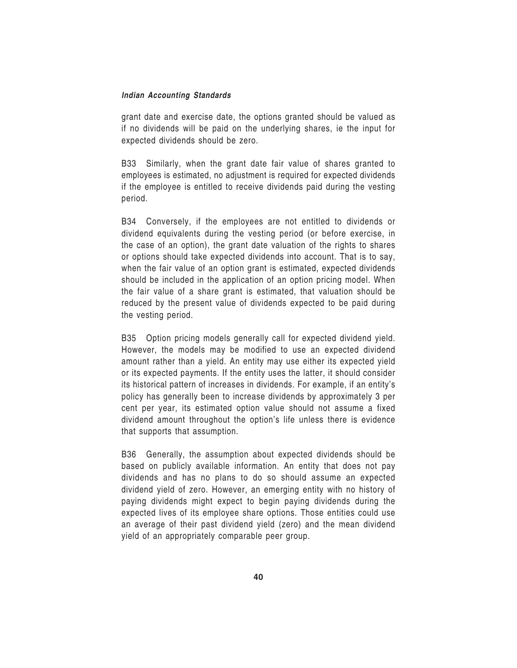grant date and exercise date, the options granted should be valued as if no dividends will be paid on the underlying shares, ie the input for expected dividends should be zero.

B33 Similarly, when the grant date fair value of shares granted to employees is estimated, no adjustment is required for expected dividends if the employee is entitled to receive dividends paid during the vesting period.

B34 Conversely, if the employees are not entitled to dividends or dividend equivalents during the vesting period (or before exercise, in the case of an option), the grant date valuation of the rights to shares or options should take expected dividends into account. That is to say, when the fair value of an option grant is estimated, expected dividends should be included in the application of an option pricing model. When the fair value of a share grant is estimated, that valuation should be reduced by the present value of dividends expected to be paid during the vesting period.

B35 Option pricing models generally call for expected dividend yield. However, the models may be modified to use an expected dividend amount rather than a yield. An entity may use either its expected yield or its expected payments. If the entity uses the latter, it should consider its historical pattern of increases in dividends. For example, if an entity's policy has generally been to increase dividends by approximately 3 per cent per year, its estimated option value should not assume a fixed dividend amount throughout the option's life unless there is evidence that supports that assumption.

B36 Generally, the assumption about expected dividends should be based on publicly available information. An entity that does not pay dividends and has no plans to do so should assume an expected dividend yield of zero. However, an emerging entity with no history of paying dividends might expect to begin paying dividends during the expected lives of its employee share options. Those entities could use an average of their past dividend yield (zero) and the mean dividend yield of an appropriately comparable peer group.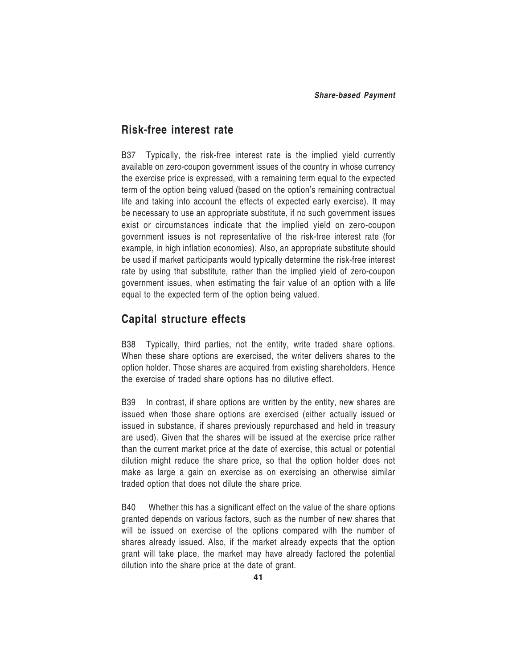# **Risk-free interest rate**

B37 Typically, the risk-free interest rate is the implied yield currently available on zero-coupon government issues of the country in whose currency the exercise price is expressed, with a remaining term equal to the expected term of the option being valued (based on the option's remaining contractual life and taking into account the effects of expected early exercise). It may be necessary to use an appropriate substitute, if no such government issues exist or circumstances indicate that the implied yield on zero-coupon government issues is not representative of the risk-free interest rate (for example, in high inflation economies). Also, an appropriate substitute should be used if market participants would typically determine the risk-free interest rate by using that substitute, rather than the implied yield of zero-coupon government issues, when estimating the fair value of an option with a life equal to the expected term of the option being valued.

# **Capital structure effects**

B38 Typically, third parties, not the entity, write traded share options. When these share options are exercised, the writer delivers shares to the option holder. Those shares are acquired from existing shareholders. Hence the exercise of traded share options has no dilutive effect.

B39 In contrast, if share options are written by the entity, new shares are issued when those share options are exercised (either actually issued or issued in substance, if shares previously repurchased and held in treasury are used). Given that the shares will be issued at the exercise price rather than the current market price at the date of exercise, this actual or potential dilution might reduce the share price, so that the option holder does not make as large a gain on exercise as on exercising an otherwise similar traded option that does not dilute the share price.

B40 Whether this has a significant effect on the value of the share options granted depends on various factors, such as the number of new shares that will be issued on exercise of the options compared with the number of shares already issued. Also, if the market already expects that the option grant will take place, the market may have already factored the potential dilution into the share price at the date of grant.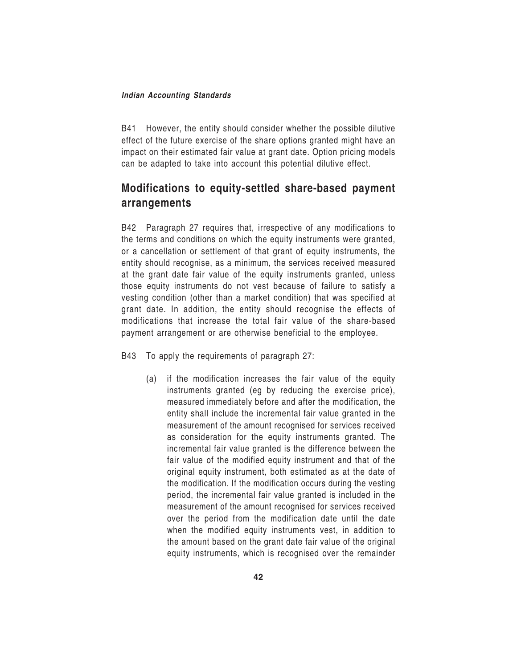B41 However, the entity should consider whether the possible dilutive effect of the future exercise of the share options granted might have an impact on their estimated fair value at grant date. Option pricing models can be adapted to take into account this potential dilutive effect.

# **Modifications to equity-settled share-based payment arrangements**

B42 Paragraph 27 requires that, irrespective of any modifications to the terms and conditions on which the equity instruments were granted, or a cancellation or settlement of that grant of equity instruments, the entity should recognise, as a minimum, the services received measured at the grant date fair value of the equity instruments granted, unless those equity instruments do not vest because of failure to satisfy a vesting condition (other than a market condition) that was specified at grant date. In addition, the entity should recognise the effects of modifications that increase the total fair value of the share-based payment arrangement or are otherwise beneficial to the employee.

B43 To apply the requirements of paragraph 27:

(a) if the modification increases the fair value of the equity instruments granted (eg by reducing the exercise price), measured immediately before and after the modification, the entity shall include the incremental fair value granted in the measurement of the amount recognised for services received as consideration for the equity instruments granted. The incremental fair value granted is the difference between the fair value of the modified equity instrument and that of the original equity instrument, both estimated as at the date of the modification. If the modification occurs during the vesting period, the incremental fair value granted is included in the measurement of the amount recognised for services received over the period from the modification date until the date when the modified equity instruments vest, in addition to the amount based on the grant date fair value of the original equity instruments, which is recognised over the remainder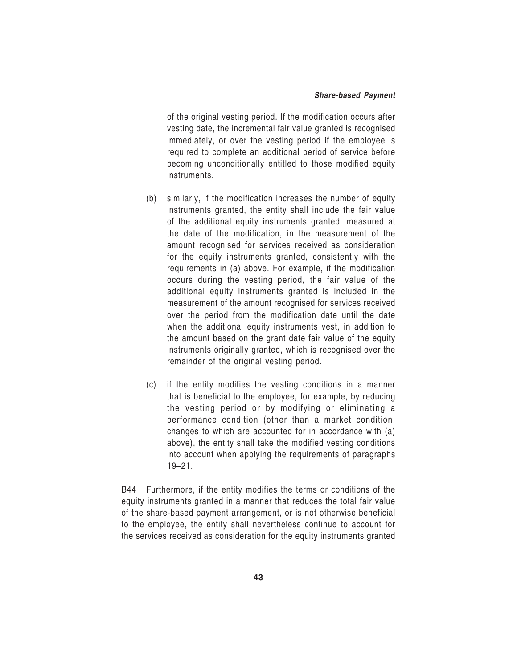of the original vesting period. If the modification occurs after vesting date, the incremental fair value granted is recognised immediately, or over the vesting period if the employee is required to complete an additional period of service before becoming unconditionally entitled to those modified equity instruments.

- (b) similarly, if the modification increases the number of equity instruments granted, the entity shall include the fair value of the additional equity instruments granted, measured at the date of the modification, in the measurement of the amount recognised for services received as consideration for the equity instruments granted, consistently with the requirements in (a) above. For example, if the modification occurs during the vesting period, the fair value of the additional equity instruments granted is included in the measurement of the amount recognised for services received over the period from the modification date until the date when the additional equity instruments vest, in addition to the amount based on the grant date fair value of the equity instruments originally granted, which is recognised over the remainder of the original vesting period.
- (c) if the entity modifies the vesting conditions in a manner that is beneficial to the employee, for example, by reducing the vesting period or by modifying or eliminating a performance condition (other than a market condition, changes to which are accounted for in accordance with (a) above), the entity shall take the modified vesting conditions into account when applying the requirements of paragraphs 19–21.

B44 Furthermore, if the entity modifies the terms or conditions of the equity instruments granted in a manner that reduces the total fair value of the share-based payment arrangement, or is not otherwise beneficial to the employee, the entity shall nevertheless continue to account for the services received as consideration for the equity instruments granted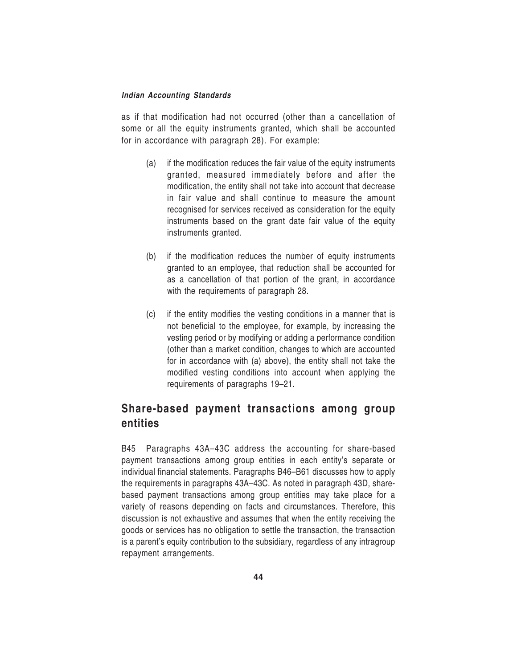as if that modification had not occurred (other than a cancellation of some or all the equity instruments granted, which shall be accounted for in accordance with paragraph 28). For example:

- (a) if the modification reduces the fair value of the equity instruments granted, measured immediately before and after the modification, the entity shall not take into account that decrease in fair value and shall continue to measure the amount recognised for services received as consideration for the equity instruments based on the grant date fair value of the equity instruments granted.
- (b) if the modification reduces the number of equity instruments granted to an employee, that reduction shall be accounted for as a cancellation of that portion of the grant, in accordance with the requirements of paragraph 28.
- (c) if the entity modifies the vesting conditions in a manner that is not beneficial to the employee, for example, by increasing the vesting period or by modifying or adding a performance condition (other than a market condition, changes to which are accounted for in accordance with (a) above), the entity shall not take the modified vesting conditions into account when applying the requirements of paragraphs 19–21.

# **Share-based payment transactions among group entities**

B45 Paragraphs 43A–43C address the accounting for share-based payment transactions among group entities in each entity's separate or individual financial statements. Paragraphs B46–B61 discusses how to apply the requirements in paragraphs 43A–43C. As noted in paragraph 43D, sharebased payment transactions among group entities may take place for a variety of reasons depending on facts and circumstances. Therefore, this discussion is not exhaustive and assumes that when the entity receiving the goods or services has no obligation to settle the transaction, the transaction is a parent's equity contribution to the subsidiary, regardless of any intragroup repayment arrangements.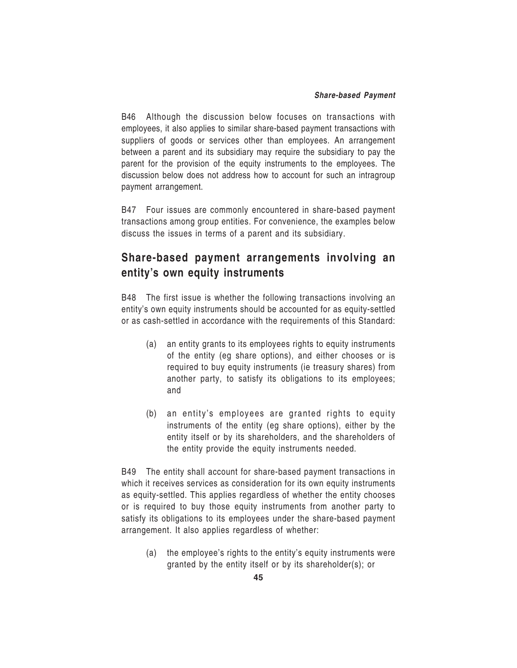B46 Although the discussion below focuses on transactions with employees, it also applies to similar share-based payment transactions with suppliers of goods or services other than employees. An arrangement between a parent and its subsidiary may require the subsidiary to pay the parent for the provision of the equity instruments to the employees. The discussion below does not address how to account for such an intragroup payment arrangement.

B47 Four issues are commonly encountered in share-based payment transactions among group entities. For convenience, the examples below discuss the issues in terms of a parent and its subsidiary.

# **Share-based payment arrangements involving an entity's own equity instruments**

B48 The first issue is whether the following transactions involving an entity's own equity instruments should be accounted for as equity-settled or as cash-settled in accordance with the requirements of this Standard:

- (a) an entity grants to its employees rights to equity instruments of the entity (eg share options), and either chooses or is required to buy equity instruments (ie treasury shares) from another party, to satisfy its obligations to its employees; and
- (b) an entity's employees are granted rights to equity instruments of the entity (eg share options), either by the entity itself or by its shareholders, and the shareholders of the entity provide the equity instruments needed.

B49 The entity shall account for share-based payment transactions in which it receives services as consideration for its own equity instruments as equity-settled. This applies regardless of whether the entity chooses or is required to buy those equity instruments from another party to satisfy its obligations to its employees under the share-based payment arrangement. It also applies regardless of whether:

(a) the employee's rights to the entity's equity instruments were granted by the entity itself or by its shareholder(s); or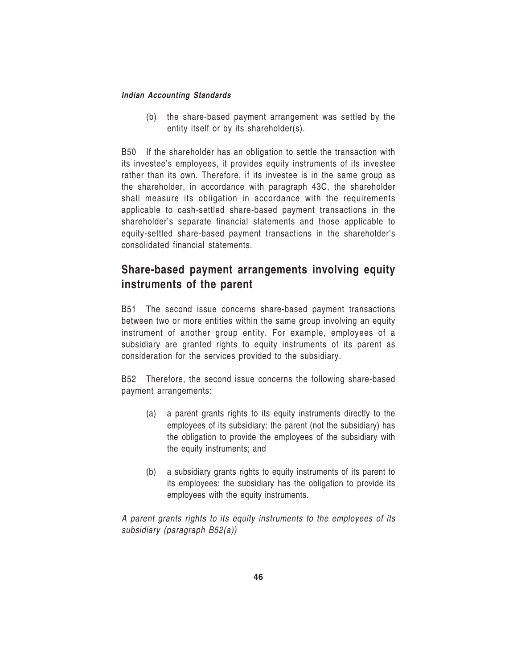(b) the share-based payment arrangement was settled by the entity itself or by its shareholder(s).

B50 If the shareholder has an obligation to settle the transaction with its investee's employees, it provides equity instruments of its investee rather than its own. Therefore, if its investee is in the same group as the shareholder, in accordance with paragraph 43C, the shareholder shall measure its obligation in accordance with the requirements applicable to cash-settled share-based payment transactions in the shareholder's separate financial statements and those applicable to equity-settled share-based payment transactions in the shareholder's consolidated financial statements.

# **Share-based payment arrangements involving equity instruments of the parent**

B51 The second issue concerns share-based payment transactions between two or more entities within the same group involving an equity instrument of another group entity. For example, employees of a subsidiary are granted rights to equity instruments of its parent as consideration for the services provided to the subsidiary.

B52 Therefore, the second issue concerns the following share-based payment arrangements:

- (a) a parent grants rights to its equity instruments directly to the employees of its subsidiary: the parent (not the subsidiary) has the obligation to provide the employees of the subsidiary with the equity instruments; and
- (b) a subsidiary grants rights to equity instruments of its parent to its employees: the subsidiary has the obligation to provide its employees with the equity instruments.

A parent grants rights to its equity instruments to the employees of its subsidiary (paragraph B52(a))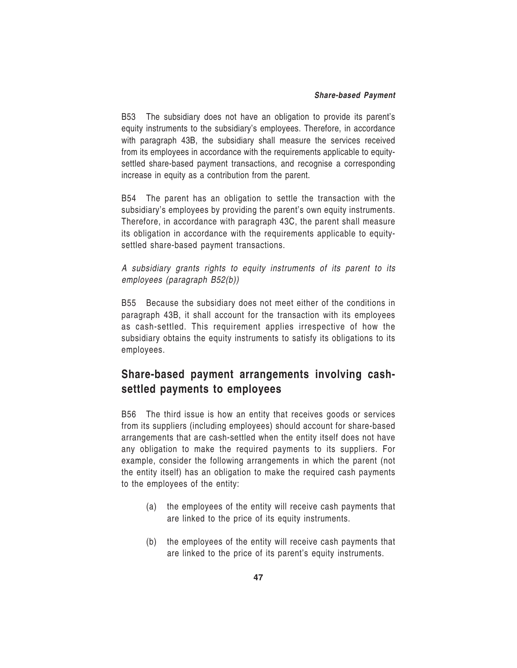B53 The subsidiary does not have an obligation to provide its parent's equity instruments to the subsidiary's employees. Therefore, in accordance with paragraph 43B, the subsidiary shall measure the services received from its employees in accordance with the requirements applicable to equitysettled share-based payment transactions, and recognise a corresponding increase in equity as a contribution from the parent.

B54 The parent has an obligation to settle the transaction with the subsidiary's employees by providing the parent's own equity instruments. Therefore, in accordance with paragraph 43C, the parent shall measure its obligation in accordance with the requirements applicable to equitysettled share-based payment transactions.

A subsidiary grants rights to equity instruments of its parent to its employees (paragraph B52(b))

B55 Because the subsidiary does not meet either of the conditions in paragraph 43B, it shall account for the transaction with its employees as cash-settled. This requirement applies irrespective of how the subsidiary obtains the equity instruments to satisfy its obligations to its employees.

# **Share-based payment arrangements involving cashsettled payments to employees**

B56 The third issue is how an entity that receives goods or services from its suppliers (including employees) should account for share-based arrangements that are cash-settled when the entity itself does not have any obligation to make the required payments to its suppliers. For example, consider the following arrangements in which the parent (not the entity itself) has an obligation to make the required cash payments to the employees of the entity:

- (a) the employees of the entity will receive cash payments that are linked to the price of its equity instruments.
- (b) the employees of the entity will receive cash payments that are linked to the price of its parent's equity instruments.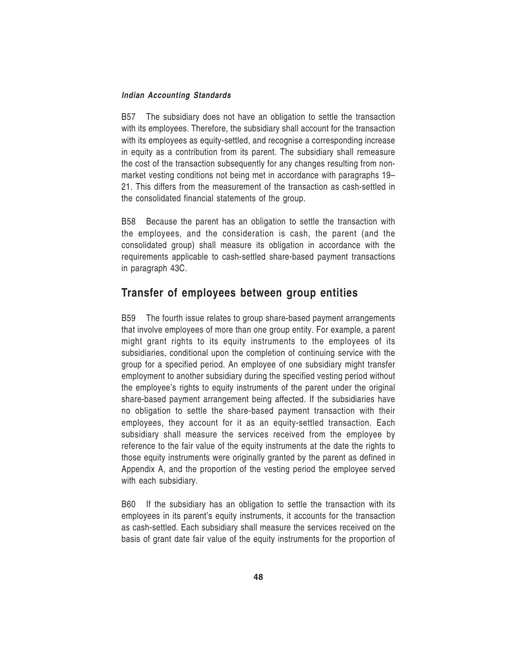B57 The subsidiary does not have an obligation to settle the transaction with its employees. Therefore, the subsidiary shall account for the transaction with its employees as equity-settled, and recognise a corresponding increase in equity as a contribution from its parent. The subsidiary shall remeasure the cost of the transaction subsequently for any changes resulting from nonmarket vesting conditions not being met in accordance with paragraphs 19– 21. This differs from the measurement of the transaction as cash-settled in the consolidated financial statements of the group.

B58 Because the parent has an obligation to settle the transaction with the employees, and the consideration is cash, the parent (and the consolidated group) shall measure its obligation in accordance with the requirements applicable to cash-settled share-based payment transactions in paragraph 43C.

# **Transfer of employees between group entities**

B59 The fourth issue relates to group share-based payment arrangements that involve employees of more than one group entity. For example, a parent might grant rights to its equity instruments to the employees of its subsidiaries, conditional upon the completion of continuing service with the group for a specified period. An employee of one subsidiary might transfer employment to another subsidiary during the specified vesting period without the employee's rights to equity instruments of the parent under the original share-based payment arrangement being affected. If the subsidiaries have no obligation to settle the share-based payment transaction with their employees, they account for it as an equity-settled transaction. Each subsidiary shall measure the services received from the employee by reference to the fair value of the equity instruments at the date the rights to those equity instruments were originally granted by the parent as defined in Appendix A, and the proportion of the vesting period the employee served with each subsidiary.

B60 If the subsidiary has an obligation to settle the transaction with its employees in its parent's equity instruments, it accounts for the transaction as cash-settled. Each subsidiary shall measure the services received on the basis of grant date fair value of the equity instruments for the proportion of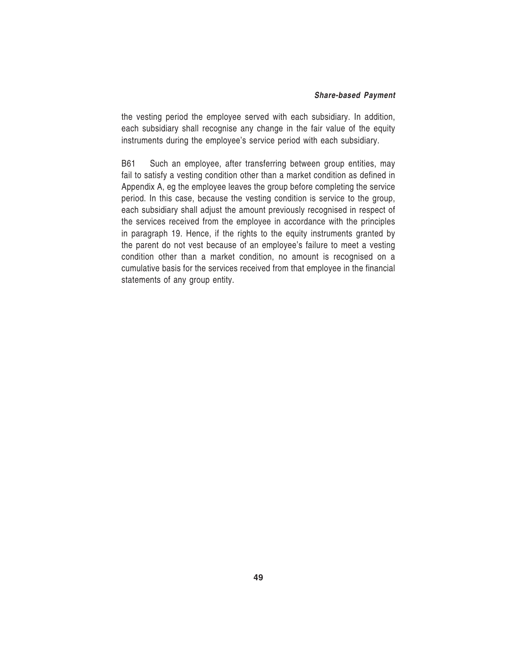the vesting period the employee served with each subsidiary. In addition, each subsidiary shall recognise any change in the fair value of the equity instruments during the employee's service period with each subsidiary.

B61 Such an employee, after transferring between group entities, may fail to satisfy a vesting condition other than a market condition as defined in Appendix A, eg the employee leaves the group before completing the service period. In this case, because the vesting condition is service to the group, each subsidiary shall adjust the amount previously recognised in respect of the services received from the employee in accordance with the principles in paragraph 19. Hence, if the rights to the equity instruments granted by the parent do not vest because of an employee's failure to meet a vesting condition other than a market condition, no amount is recognised on a cumulative basis for the services received from that employee in the financial statements of any group entity.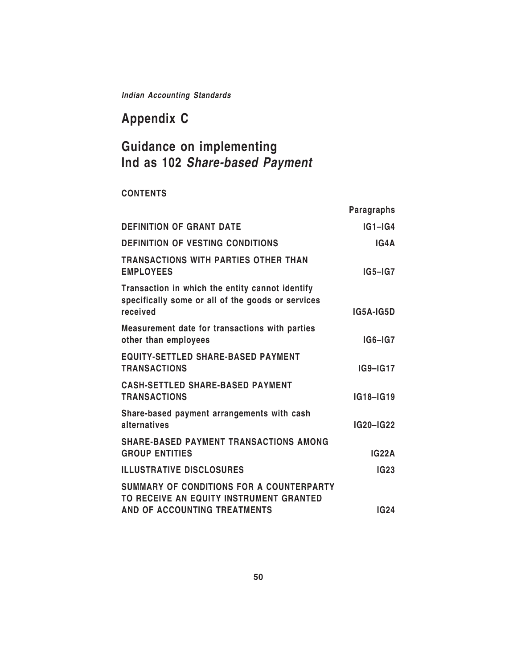# **Appendix C**

# **Guidance on implementing Ind as 102 Share-based Payment**

# **CONTENTS**

|                                                                                                                  | <b>Paragraphs</b> |
|------------------------------------------------------------------------------------------------------------------|-------------------|
| <b>DEFINITION OF GRANT DATE</b>                                                                                  | $IG1-IG4$         |
| <b>DEFINITION OF VESTING CONDITIONS</b>                                                                          | IG4A              |
| <b>TRANSACTIONS WITH PARTIES OTHER THAN</b><br><b>EMPLOYEES</b>                                                  | $IG5-IG7$         |
| Transaction in which the entity cannot identify<br>specifically some or all of the goods or services<br>received | IG5A-IG5D         |
| Measurement date for transactions with parties<br>other than employees                                           | <b>IG6-IG7</b>    |
| <b>EQUITY-SETTLED SHARE-BASED PAYMENT</b><br><b>TRANSACTIONS</b>                                                 | IG9-IG17          |
| <b>CASH-SETTLED SHARE-BASED PAYMENT</b><br><b>TRANSACTIONS</b>                                                   | IG18-IG19         |
| Share-based payment arrangements with cash<br>alternatives                                                       | IG20-IG22         |
| <b>SHARE-BASED PAYMENT TRANSACTIONS AMONG</b><br><b>GROUP ENTITIES</b>                                           | <b>IG22A</b>      |
| <b>ILLUSTRATIVE DISCLOSURES</b>                                                                                  | <b>IG23</b>       |
| SUMMARY OF CONDITIONS FOR A COUNTERPARTY<br>TO RECEIVE AN EQUITY INSTRUMENT GRANTED                              |                   |
| AND OF ACCOUNTING TREATMENTS                                                                                     | <b>IG24</b>       |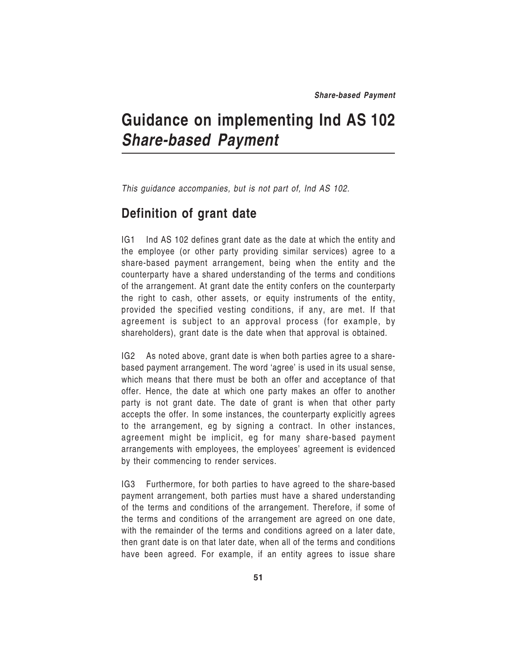# **Guidance on implementing Ind AS 102 Share-based Payment**

This guidance accompanies, but is not part of, Ind AS 102.

# **Definition of grant date**

IG1 Ind AS 102 defines grant date as the date at which the entity and the employee (or other party providing similar services) agree to a share-based payment arrangement, being when the entity and the counterparty have a shared understanding of the terms and conditions of the arrangement. At grant date the entity confers on the counterparty the right to cash, other assets, or equity instruments of the entity, provided the specified vesting conditions, if any, are met. If that agreement is subject to an approval process (for example, by shareholders), grant date is the date when that approval is obtained.

IG2 As noted above, grant date is when both parties agree to a sharebased payment arrangement. The word 'agree' is used in its usual sense, which means that there must be both an offer and acceptance of that offer. Hence, the date at which one party makes an offer to another party is not grant date. The date of grant is when that other party accepts the offer. In some instances, the counterparty explicitly agrees to the arrangement, eg by signing a contract. In other instances, agreement might be implicit, eg for many share-based payment arrangements with employees, the employees' agreement is evidenced by their commencing to render services.

IG3 Furthermore, for both parties to have agreed to the share-based payment arrangement, both parties must have a shared understanding of the terms and conditions of the arrangement. Therefore, if some of the terms and conditions of the arrangement are agreed on one date, with the remainder of the terms and conditions agreed on a later date, then grant date is on that later date, when all of the terms and conditions have been agreed. For example, if an entity agrees to issue share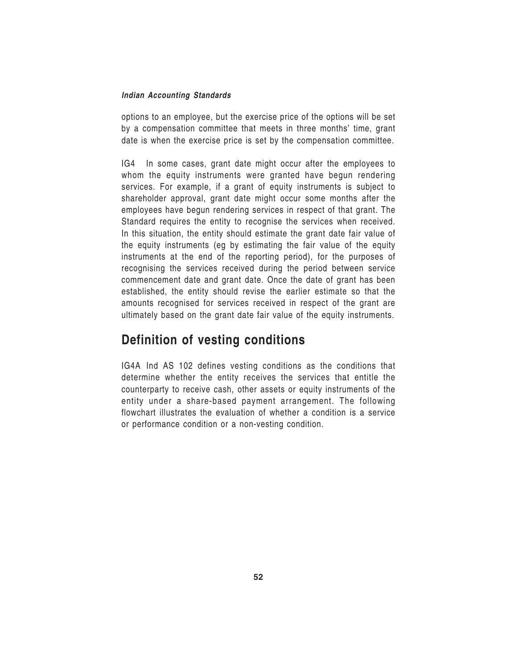options to an employee, but the exercise price of the options will be set by a compensation committee that meets in three months' time, grant date is when the exercise price is set by the compensation committee.

IG4 In some cases, grant date might occur after the employees to whom the equity instruments were granted have begun rendering services. For example, if a grant of equity instruments is subject to shareholder approval, grant date might occur some months after the employees have begun rendering services in respect of that grant. The Standard requires the entity to recognise the services when received. In this situation, the entity should estimate the grant date fair value of the equity instruments (eg by estimating the fair value of the equity instruments at the end of the reporting period), for the purposes of recognising the services received during the period between service commencement date and grant date. Once the date of grant has been established, the entity should revise the earlier estimate so that the amounts recognised for services received in respect of the grant are ultimately based on the grant date fair value of the equity instruments.

# **Definition of vesting conditions**

IG4A Ind AS 102 defines vesting conditions as the conditions that determine whether the entity receives the services that entitle the counterparty to receive cash, other assets or equity instruments of the entity under a share-based payment arrangement. The following flowchart illustrates the evaluation of whether a condition is a service or performance condition or a non-vesting condition.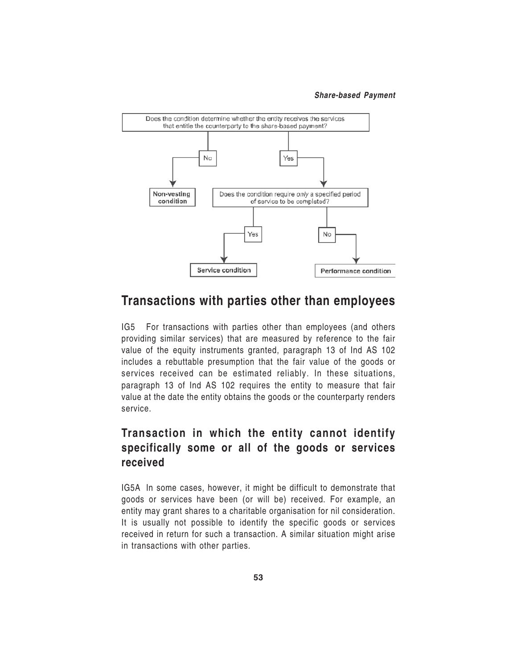

# **Transactions with parties other than employees**

IG5 For transactions with parties other than employees (and others providing similar services) that are measured by reference to the fair value of the equity instruments granted, paragraph 13 of Ind AS 102 includes a rebuttable presumption that the fair value of the goods or services received can be estimated reliably. In these situations, paragraph 13 of Ind AS 102 requires the entity to measure that fair value at the date the entity obtains the goods or the counterparty renders service.

# **Transaction in which the entity cannot identify specifically some or all of the goods or services received**

IG5A In some cases, however, it might be difficult to demonstrate that goods or services have been (or will be) received. For example, an entity may grant shares to a charitable organisation for nil consideration. It is usually not possible to identify the specific goods or services received in return for such a transaction. A similar situation might arise in transactions with other parties.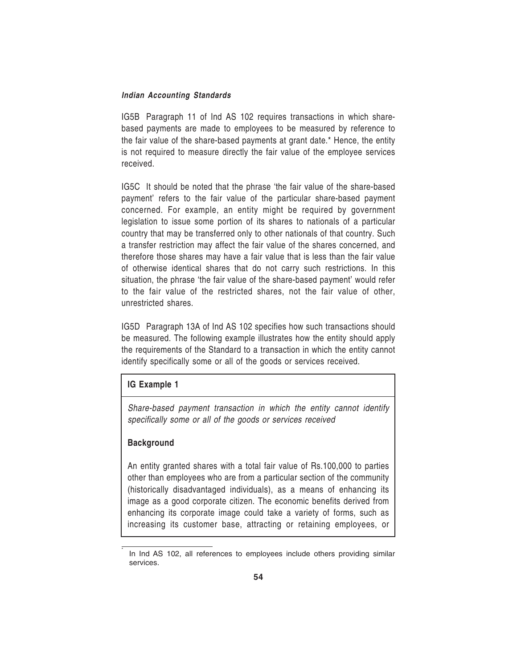IG5B Paragraph 11 of Ind AS 102 requires transactions in which sharebased payments are made to employees to be measured by reference to the fair value of the share-based payments at grant date.\* Hence, the entity is not required to measure directly the fair value of the employee services received.

IG5C It should be noted that the phrase 'the fair value of the share-based payment' refers to the fair value of the particular share-based payment concerned. For example, an entity might be required by government legislation to issue some portion of its shares to nationals of a particular country that may be transferred only to other nationals of that country. Such a transfer restriction may affect the fair value of the shares concerned, and therefore those shares may have a fair value that is less than the fair value of otherwise identical shares that do not carry such restrictions. In this situation, the phrase 'the fair value of the share-based payment' would refer to the fair value of the restricted shares, not the fair value of other, unrestricted shares.

IG5D Paragraph 13A of Ind AS 102 specifies how such transactions should be measured. The following example illustrates how the entity should apply the requirements of the Standard to a transaction in which the entity cannot identify specifically some or all of the goods or services received.

#### **IG Example 1**

Share-based payment transaction in which the entity cannot identify specifically some or all of the goods or services received

#### **Background**

\*

An entity granted shares with a total fair value of Rs.100,000 to parties other than employees who are from a particular section of the community (historically disadvantaged individuals), as a means of enhancing its image as a good corporate citizen. The economic benefits derived from enhancing its corporate image could take a variety of forms, such as increasing its customer base, attracting or retaining employees, or

In Ind AS 102, all references to employees include others providing similar services.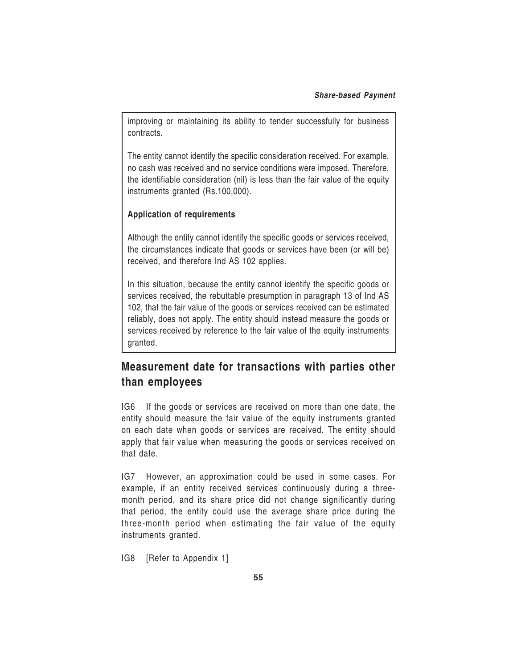improving or maintaining its ability to tender successfully for business contracts.

The entity cannot identify the specific consideration received. For example, no cash was received and no service conditions were imposed. Therefore, the identifiable consideration (nil) is less than the fair value of the equity instruments granted (Rs.100,000).

#### **Application of requirements**

Although the entity cannot identify the specific goods or services received, the circumstances indicate that goods or services have been (or will be) received, and therefore Ind AS 102 applies.

In this situation, because the entity cannot identify the specific goods or services received, the rebuttable presumption in paragraph 13 of Ind AS 102, that the fair value of the goods or services received can be estimated reliably, does not apply. The entity should instead measure the goods or services received by reference to the fair value of the equity instruments granted.

# **Measurement date for transactions with parties other than employees**

IG6 If the goods or services are received on more than one date, the entity should measure the fair value of the equity instruments granted on each date when goods or services are received. The entity should apply that fair value when measuring the goods or services received on that date.

IG7 However, an approximation could be used in some cases. For example, if an entity received services continuously during a threemonth period, and its share price did not change significantly during that period, the entity could use the average share price during the three-month period when estimating the fair value of the equity instruments granted.

IG8 [Refer to Appendix 1]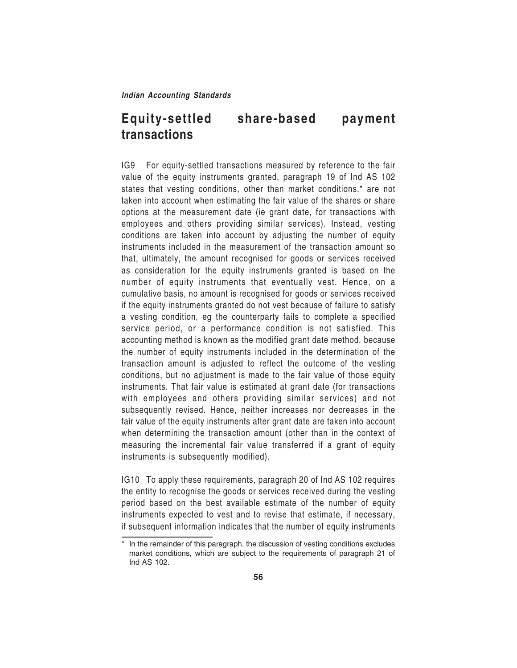# **Equity-settled share-based payment transactions**

IG9 For equity-settled transactions measured by reference to the fair value of the equity instruments granted, paragraph 19 of Ind AS 102 states that vesting conditions, other than market conditions,\* are not taken into account when estimating the fair value of the shares or share options at the measurement date (ie grant date, for transactions with employees and others providing similar services). Instead, vesting conditions are taken into account by adjusting the number of equity instruments included in the measurement of the transaction amount so that, ultimately, the amount recognised for goods or services received as consideration for the equity instruments granted is based on the number of equity instruments that eventually vest. Hence, on a cumulative basis, no amount is recognised for goods or services received if the equity instruments granted do not vest because of failure to satisfy a vesting condition, eg the counterparty fails to complete a specified service period, or a performance condition is not satisfied. This accounting method is known as the modified grant date method, because the number of equity instruments included in the determination of the transaction amount is adjusted to reflect the outcome of the vesting conditions, but no adjustment is made to the fair value of those equity instruments. That fair value is estimated at grant date (for transactions with employees and others providing similar services) and not subsequently revised. Hence, neither increases nor decreases in the fair value of the equity instruments after grant date are taken into account when determining the transaction amount (other than in the context of measuring the incremental fair value transferred if a grant of equity instruments is subsequently modified).

IG10 To apply these requirements, paragraph 20 of Ind AS 102 requires the entity to recognise the goods or services received during the vesting period based on the best available estimate of the number of equity instruments expected to vest and to revise that estimate, if necessary, if subsequent information indicates that the number of equity instruments

In the remainder of this paragraph, the discussion of vesting conditions excludes market conditions, which are subject to the requirements of paragraph 21 of Ind AS 102.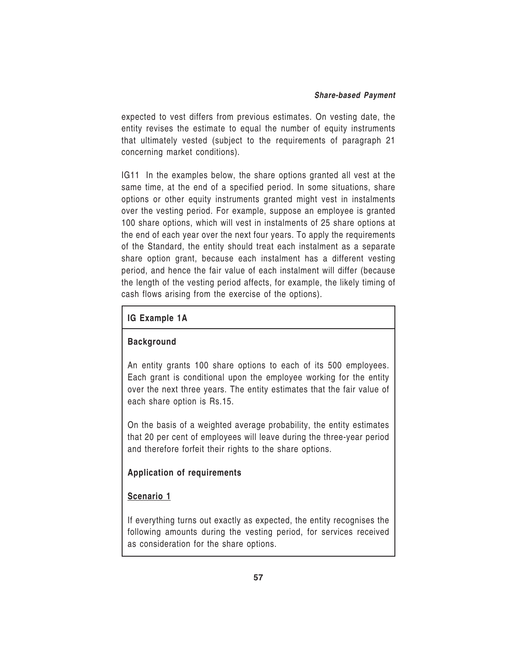expected to vest differs from previous estimates. On vesting date, the entity revises the estimate to equal the number of equity instruments that ultimately vested (subject to the requirements of paragraph 21 concerning market conditions).

IG11 In the examples below, the share options granted all vest at the same time, at the end of a specified period. In some situations, share options or other equity instruments granted might vest in instalments over the vesting period. For example, suppose an employee is granted 100 share options, which will vest in instalments of 25 share options at the end of each year over the next four years. To apply the requirements of the Standard, the entity should treat each instalment as a separate share option grant, because each instalment has a different vesting period, and hence the fair value of each instalment will differ (because the length of the vesting period affects, for example, the likely timing of cash flows arising from the exercise of the options).

# **IG Example 1A**

# **Background**

An entity grants 100 share options to each of its 500 employees. Each grant is conditional upon the employee working for the entity over the next three years. The entity estimates that the fair value of each share option is Rs.15.

On the basis of a weighted average probability, the entity estimates that 20 per cent of employees will leave during the three-year period and therefore forfeit their rights to the share options.

# **Application of requirements**

# **Scenario 1**

If everything turns out exactly as expected, the entity recognises the following amounts during the vesting period, for services received as consideration for the share options.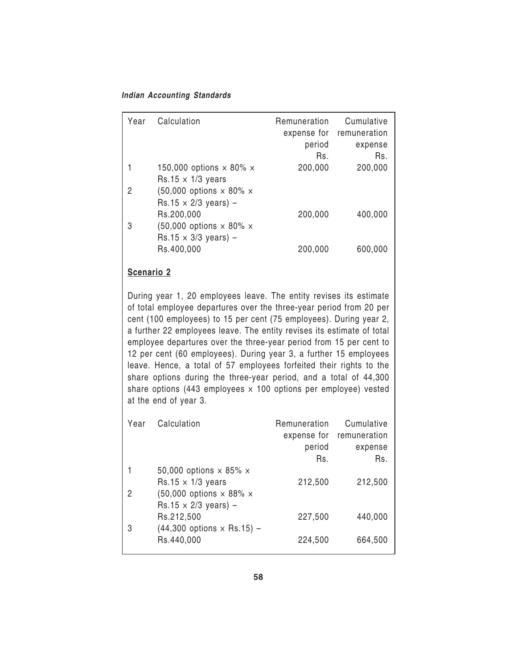| Year       | Calculation                             | Remuneration<br>expense for<br>period | Cumulative<br>remuneration<br>expense |  |
|------------|-----------------------------------------|---------------------------------------|---------------------------------------|--|
|            |                                         | Rs.                                   | Rs.                                   |  |
|            | 150,000 options $\times$ 80% $\times$   | 200,000                               | 200,000                               |  |
|            | $Rs.15 \times 1/3$ years                |                                       |                                       |  |
| 2          | $(50,000$ options $\times$ 80% $\times$ |                                       |                                       |  |
|            | $Rs.15 \times 2/3 \text{ years}$ ) –    |                                       |                                       |  |
|            | Rs.200,000                              | 200,000                               | 400,000                               |  |
| 3          | $(50,000$ options $\times$ 80% $\times$ |                                       |                                       |  |
|            | $Rs.15 \times 3/3$ years) –             |                                       |                                       |  |
|            | Rs.400,000                              | 200,000                               | 600,000                               |  |
|            |                                         |                                       |                                       |  |
| Scenario 2 |                                         |                                       |                                       |  |

During year 1, 20 employees leave. The entity revises its estimate of total employee departures over the three-year period from 20 per cent (100 employees) to 15 per cent (75 employees). During year 2, a further 22 employees leave. The entity revises its estimate of total employee departures over the three-year period from 15 per cent to 12 per cent (60 employees). During year 3, a further 15 employees leave. Hence, a total of 57 employees forfeited their rights to the share options during the three-year period, and a total of 44,300 share options (443 employees  $\times$  100 options per employee) vested at the end of year 3.

| Year | Calculation                           | Remuneration | Cumulative   |
|------|---------------------------------------|--------------|--------------|
|      |                                       | expense for  | remuneration |
|      |                                       | period       | expense      |
|      |                                       | Rs.          | Rs.          |
|      | 50,000 options $\times$ 85% $\times$  |              |              |
|      | $Rs.15 \times 1/3$ years              | 212,500      | 212,500      |
| 2    | (50,000 options $\times$ 88% $\times$ |              |              |
|      | $Rs.15 \times 2/3 \text{ years}$ ) –  |              |              |
|      | Rs.212,500                            | 227,500      | 440,000      |
| З    | $(44,300$ options $\times$ Rs.15) -   |              |              |
|      | Rs.440,000                            | 224,500      | 664,500      |
|      |                                       |              |              |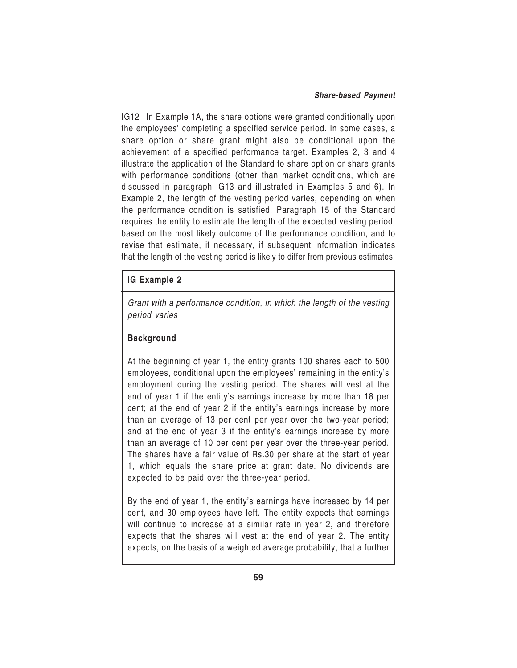IG12 In Example 1A, the share options were granted conditionally upon the employees' completing a specified service period. In some cases, a share option or share grant might also be conditional upon the achievement of a specified performance target. Examples 2, 3 and 4 illustrate the application of the Standard to share option or share grants with performance conditions (other than market conditions, which are discussed in paragraph IG13 and illustrated in Examples 5 and 6). In Example 2, the length of the vesting period varies, depending on when the performance condition is satisfied. Paragraph 15 of the Standard requires the entity to estimate the length of the expected vesting period, based on the most likely outcome of the performance condition, and to revise that estimate, if necessary, if subsequent information indicates that the length of the vesting period is likely to differ from previous estimates.

#### **IG Example 2**

Grant with a performance condition, in which the length of the vesting period varies

### **Background**

At the beginning of year 1, the entity grants 100 shares each to 500 employees, conditional upon the employees' remaining in the entity's employment during the vesting period. The shares will vest at the end of year 1 if the entity's earnings increase by more than 18 per cent; at the end of year 2 if the entity's earnings increase by more than an average of 13 per cent per year over the two-year period; and at the end of year 3 if the entity's earnings increase by more than an average of 10 per cent per year over the three-year period. The shares have a fair value of Rs.30 per share at the start of year 1, which equals the share price at grant date. No dividends are expected to be paid over the three-year period.

By the end of year 1, the entity's earnings have increased by 14 per cent, and 30 employees have left. The entity expects that earnings will continue to increase at a similar rate in year 2, and therefore expects that the shares will vest at the end of year 2. The entity expects, on the basis of a weighted average probability, that a further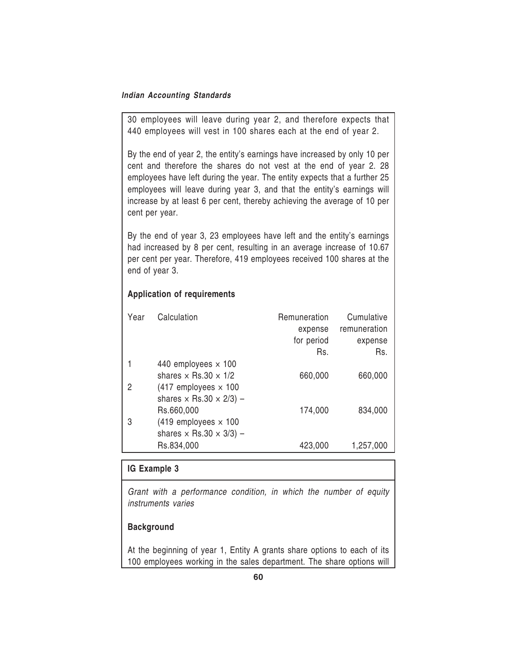30 employees will leave during year 2, and therefore expects that 440 employees will vest in 100 shares each at the end of year 2.

By the end of year 2, the entity's earnings have increased by only 10 per cent and therefore the shares do not vest at the end of year 2. 28 employees have left during the year. The entity expects that a further 25 employees will leave during year 3, and that the entity's earnings will increase by at least 6 per cent, thereby achieving the average of 10 per cent per year.

By the end of year 3, 23 employees have left and the entity's earnings had increased by 8 per cent, resulting in an average increase of 10.67 per cent per year. Therefore, 419 employees received 100 shares at the end of year 3.

#### **Application of requirements**

| Year | Calculation                           | Remuneration | Cumulative   |
|------|---------------------------------------|--------------|--------------|
|      |                                       | expense      | remuneration |
|      |                                       | for period   | expense      |
|      |                                       | Rs.          | Rs.          |
|      | 440 employees $\times$ 100            |              |              |
|      | shares $\times$ Rs.30 $\times$ 1/2    | 660,000      | 660,000      |
| 2    | $(417$ employees $\times$ 100         |              |              |
|      | shares $\times$ Rs.30 $\times$ 2/3) – |              |              |
|      | Rs.660,000                            | 174,000      | 834,000      |
| 3    | $(419$ employees $\times$ 100         |              |              |
|      | shares $\times$ Rs.30 $\times$ 3/3) – |              |              |
|      | Rs.834,000                            | 423,000      | 1,257,000    |

### **IG Example 3**

Grant with a performance condition, in which the number of equity instruments varies

# **Background**

At the beginning of year 1, Entity A grants share options to each of its 100 employees working in the sales department. The share options will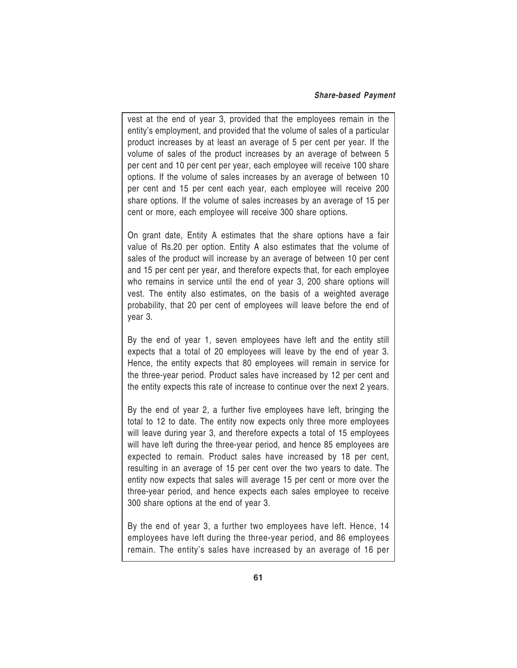vest at the end of year 3, provided that the employees remain in the entity's employment, and provided that the volume of sales of a particular product increases by at least an average of 5 per cent per year. If the volume of sales of the product increases by an average of between 5 per cent and 10 per cent per year, each employee will receive 100 share options. If the volume of sales increases by an average of between 10 per cent and 15 per cent each year, each employee will receive 200 share options. If the volume of sales increases by an average of 15 per cent or more, each employee will receive 300 share options.

On grant date, Entity A estimates that the share options have a fair value of Rs.20 per option. Entity A also estimates that the volume of sales of the product will increase by an average of between 10 per cent and 15 per cent per year, and therefore expects that, for each employee who remains in service until the end of year 3, 200 share options will vest. The entity also estimates, on the basis of a weighted average probability, that 20 per cent of employees will leave before the end of year 3.

By the end of year 1, seven employees have left and the entity still expects that a total of 20 employees will leave by the end of year 3. Hence, the entity expects that 80 employees will remain in service for the three-year period. Product sales have increased by 12 per cent and the entity expects this rate of increase to continue over the next 2 years.

By the end of year 2, a further five employees have left, bringing the total to 12 to date. The entity now expects only three more employees will leave during year 3, and therefore expects a total of 15 employees will have left during the three-year period, and hence 85 employees are expected to remain. Product sales have increased by 18 per cent, resulting in an average of 15 per cent over the two years to date. The entity now expects that sales will average 15 per cent or more over the three-year period, and hence expects each sales employee to receive 300 share options at the end of year 3.

By the end of year 3, a further two employees have left. Hence, 14 employees have left during the three-year period, and 86 employees remain. The entity's sales have increased by an average of 16 per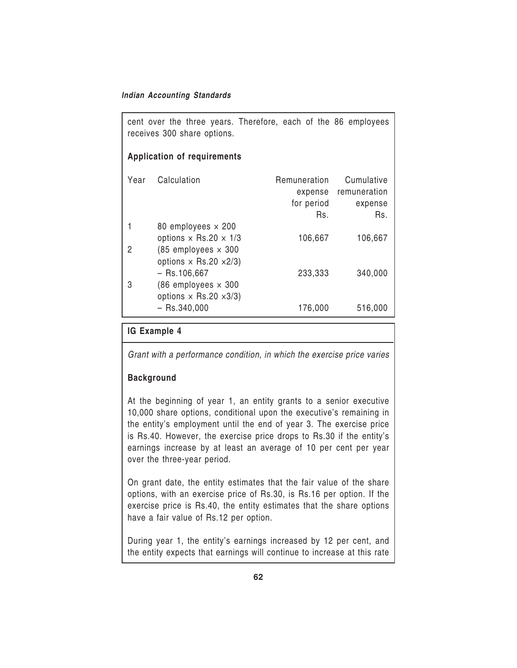| cent over the three years. Therefore, each of the 86 employees<br>receives 300 share options. |                                                                                                                        |                                          |                                                      |  |
|-----------------------------------------------------------------------------------------------|------------------------------------------------------------------------------------------------------------------------|------------------------------------------|------------------------------------------------------|--|
|                                                                                               | <b>Application of requirements</b>                                                                                     |                                          |                                                      |  |
| Year                                                                                          | Calculation                                                                                                            | <b>Remuneration</b><br>for period<br>Rs. | Cumulative<br>expense remuneration<br>expense<br>Rs. |  |
|                                                                                               | 80 employees $\times$ 200<br>options $\times$ Rs.20 $\times$ 1/3                                                       | 106,667                                  | 106,667                                              |  |
| 2<br>3                                                                                        | $(85$ employees $\times$ 300<br>options $\times$ Rs.20 $\times$ 2/3)<br>$-$ Rs.106,667<br>$(86$ employees $\times$ 300 | 233,333                                  | 340,000                                              |  |
|                                                                                               | options $\times$ Rs.20 $\times$ 3/3)<br>$-$ Rs.340,000                                                                 | 176,000                                  | 516,000                                              |  |

### **IG Example 4**

Grant with a performance condition, in which the exercise price varies

### **Background**

At the beginning of year 1, an entity grants to a senior executive 10,000 share options, conditional upon the executive's remaining in the entity's employment until the end of year 3. The exercise price is Rs.40. However, the exercise price drops to Rs.30 if the entity's earnings increase by at least an average of 10 per cent per year over the three-year period.

On grant date, the entity estimates that the fair value of the share options, with an exercise price of Rs.30, is Rs.16 per option. If the exercise price is Rs.40, the entity estimates that the share options have a fair value of Rs.12 per option.

During year 1, the entity's earnings increased by 12 per cent, and the entity expects that earnings will continue to increase at this rate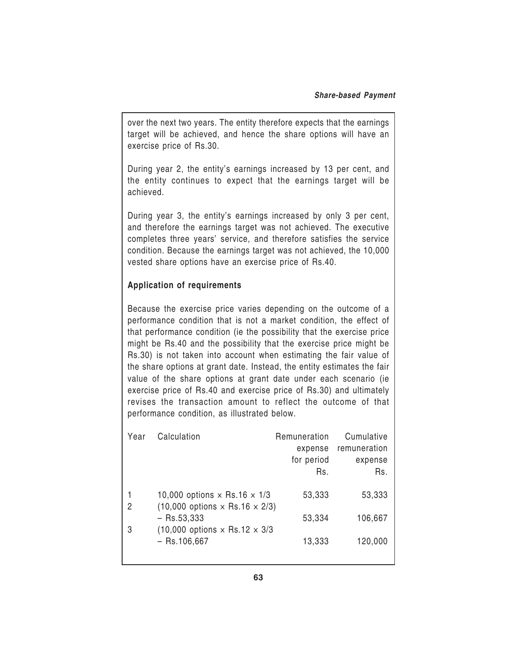over the next two years. The entity therefore expects that the earnings target will be achieved, and hence the share options will have an exercise price of Rs.30.

During year 2, the entity's earnings increased by 13 per cent, and the entity continues to expect that the earnings target will be achieved.

During year 3, the entity's earnings increased by only 3 per cent, and therefore the earnings target was not achieved. The executive completes three years' service, and therefore satisfies the service condition. Because the earnings target was not achieved, the 10,000 vested share options have an exercise price of Rs.40.

### **Application of requirements**

Because the exercise price varies depending on the outcome of a performance condition that is not a market condition, the effect of that performance condition (ie the possibility that the exercise price might be Rs.40 and the possibility that the exercise price might be Rs.30) is not taken into account when estimating the fair value of the share options at grant date. Instead, the entity estimates the fair value of the share options at grant date under each scenario (ie exercise price of Rs.40 and exercise price of Rs.30) and ultimately revises the transaction amount to reflect the outcome of that performance condition, as illustrated below.

| Year | Calculation                                    | Remuneration | Cumulative   |
|------|------------------------------------------------|--------------|--------------|
|      |                                                | expense      | remuneration |
|      |                                                | for period   | expense      |
|      |                                                | Rs.          | Rs.          |
|      | 10,000 options $\times$ Rs.16 $\times$ 1/3     | 53,333       | 53,333       |
| 2    | $(10,000$ options $\times$ Rs.16 $\times$ 2/3) |              |              |
|      | $-$ Rs.53,333                                  | 53,334       | 106,667      |
| 3    | $(10,000$ options $\times$ Rs.12 $\times$ 3/3  |              |              |
|      | $-$ Rs.106,667                                 | 13,333       | 120,000      |
|      |                                                |              |              |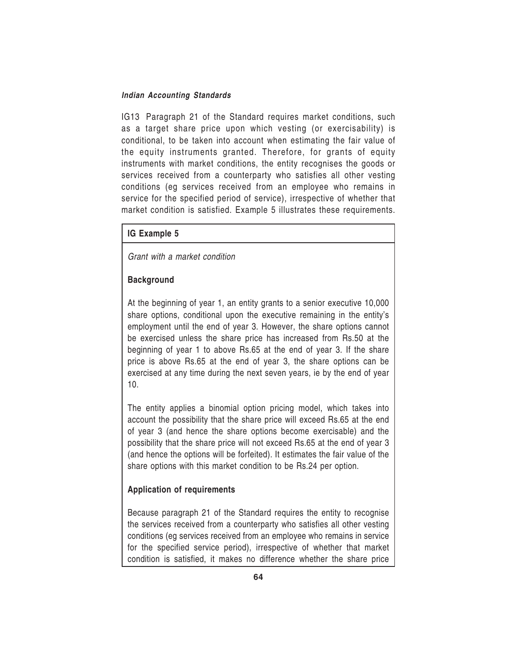IG13 Paragraph 21 of the Standard requires market conditions, such as a target share price upon which vesting (or exercisability) is conditional, to be taken into account when estimating the fair value of the equity instruments granted. Therefore, for grants of equity instruments with market conditions, the entity recognises the goods or services received from a counterparty who satisfies all other vesting conditions (eg services received from an employee who remains in service for the specified period of service), irrespective of whether that market condition is satisfied. Example 5 illustrates these requirements.

#### **IG Example 5**

Grant with a market condition

#### **Background**

At the beginning of year 1, an entity grants to a senior executive 10,000 share options, conditional upon the executive remaining in the entity's employment until the end of year 3. However, the share options cannot be exercised unless the share price has increased from Rs.50 at the beginning of year 1 to above Rs.65 at the end of year 3. If the share price is above Rs.65 at the end of year 3, the share options can be exercised at any time during the next seven years, ie by the end of year 10.

The entity applies a binomial option pricing model, which takes into account the possibility that the share price will exceed Rs.65 at the end of year 3 (and hence the share options become exercisable) and the possibility that the share price will not exceed Rs.65 at the end of year 3 (and hence the options will be forfeited). It estimates the fair value of the share options with this market condition to be Rs.24 per option.

#### **Application of requirements**

Because paragraph 21 of the Standard requires the entity to recognise the services received from a counterparty who satisfies all other vesting conditions (eg services received from an employee who remains in service for the specified service period), irrespective of whether that market condition is satisfied, it makes no difference whether the share price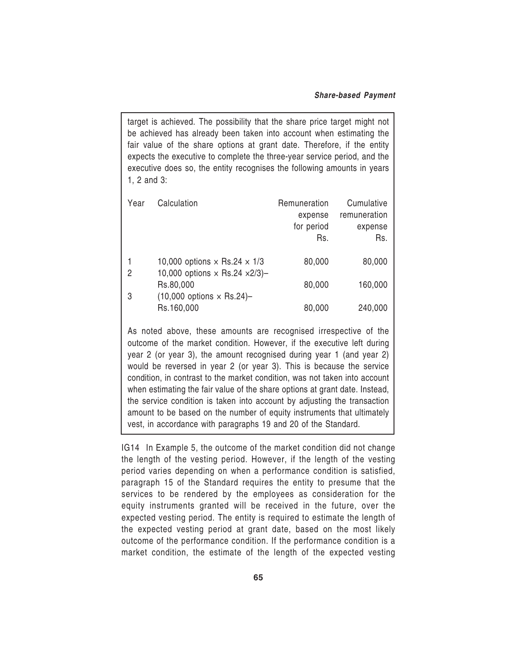target is achieved. The possibility that the share price target might not be achieved has already been taken into account when estimating the fair value of the share options at grant date. Therefore, if the entity expects the executive to complete the three-year service period, and the executive does so, the entity recognises the following amounts in years 1, 2 and 3:

| Year           | Calculation                                     | Remuneration<br>expense<br>for period<br>Rs. | Cumulative<br>remuneration<br>expense<br>Rs. |
|----------------|-------------------------------------------------|----------------------------------------------|----------------------------------------------|
|                | 10,000 options $\times$ Rs.24 $\times$ 1/3      | 80,000                                       | 80,000                                       |
| $\overline{2}$ | 10,000 options $\times$ Rs.24 $\times$ 2/3)–    |                                              |                                              |
| 3              | Rs.80,000<br>$(10,000$ options $\times$ Rs.24)- | 80,000                                       | 160,000                                      |
|                | Rs.160,000                                      | 80,000                                       | 240,000                                      |

As noted above, these amounts are recognised irrespective of the outcome of the market condition. However, if the executive left during year 2 (or year 3), the amount recognised during year 1 (and year 2) would be reversed in year 2 (or year 3). This is because the service condition, in contrast to the market condition, was not taken into account when estimating the fair value of the share options at grant date. Instead, the service condition is taken into account by adjusting the transaction amount to be based on the number of equity instruments that ultimately vest, in accordance with paragraphs 19 and 20 of the Standard.

IG14 In Example 5, the outcome of the market condition did not change the length of the vesting period. However, if the length of the vesting period varies depending on when a performance condition is satisfied, paragraph 15 of the Standard requires the entity to presume that the services to be rendered by the employees as consideration for the equity instruments granted will be received in the future, over the expected vesting period. The entity is required to estimate the length of the expected vesting period at grant date, based on the most likely outcome of the performance condition. If the performance condition is a market condition, the estimate of the length of the expected vesting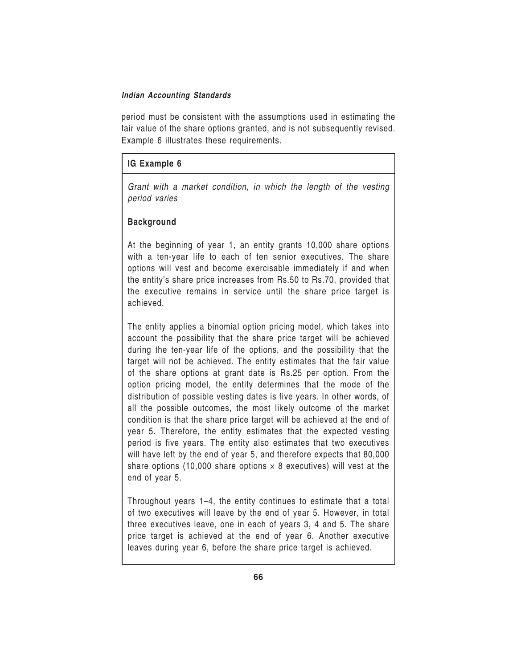period must be consistent with the assumptions used in estimating the fair value of the share options granted, and is not subsequently revised. Example 6 illustrates these requirements.

### **IG Example 6**

Grant with a market condition, in which the length of the vesting period varies

# **Background**

At the beginning of year 1, an entity grants 10,000 share options with a ten-year life to each of ten senior executives. The share options will vest and become exercisable immediately if and when the entity's share price increases from Rs.50 to Rs.70, provided that the executive remains in service until the share price target is achieved.

The entity applies a binomial option pricing model, which takes into account the possibility that the share price target will be achieved during the ten-year life of the options, and the possibility that the target will not be achieved. The entity estimates that the fair value of the share options at grant date is Rs.25 per option. From the option pricing model, the entity determines that the mode of the distribution of possible vesting dates is five years. In other words, of all the possible outcomes, the most likely outcome of the market condition is that the share price target will be achieved at the end of year 5. Therefore, the entity estimates that the expected vesting period is five years. The entity also estimates that two executives will have left by the end of year 5, and therefore expects that 80,000 share options (10,000 share options  $\times$  8 executives) will vest at the end of year 5.

Throughout years 1–4, the entity continues to estimate that a total of two executives will leave by the end of year 5. However, in total three executives leave, one in each of years 3, 4 and 5. The share price target is achieved at the end of year 6. Another executive leaves during year 6, before the share price target is achieved.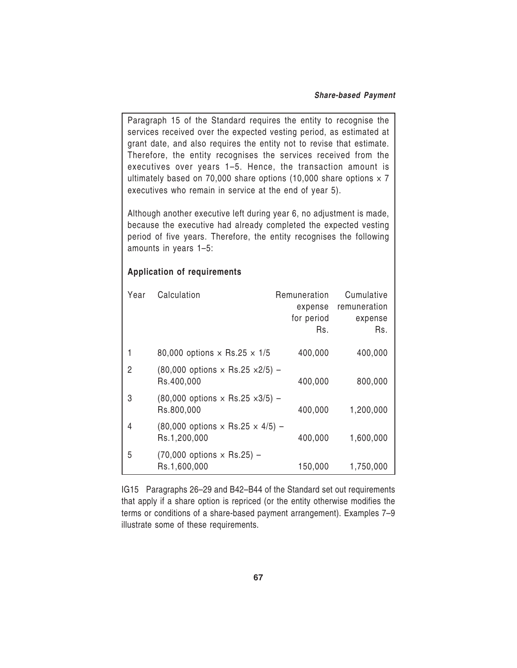Paragraph 15 of the Standard requires the entity to recognise the services received over the expected vesting period, as estimated at grant date, and also requires the entity not to revise that estimate. Therefore, the entity recognises the services received from the executives over years 1–5. Hence, the transaction amount is ultimately based on 70,000 share options (10,000 share options  $\times$  7 executives who remain in service at the end of year 5).

Although another executive left during year 6, no adjustment is made, because the executive had already completed the expected vesting period of five years. Therefore, the entity recognises the following amounts in years 1–5:

### **Application of requirements**

| Year | Calculation                                                      | Remuneration<br>expense<br>for period<br>Rs. | Cumulative<br>remuneration<br>expense<br>Rs. |
|------|------------------------------------------------------------------|----------------------------------------------|----------------------------------------------|
|      | 80,000 options $\times$ Rs.25 $\times$ 1/5                       | 400,000                                      | 400,000                                      |
| 2    | $(80,000$ options $\times$ Rs.25 $\times$ 2/5) –<br>Rs.400,000   | 400,000                                      | 800,000                                      |
| 3    | $(80,000$ options $\times$ Rs.25 $\times$ 3/5) –<br>Rs.800,000   | 400,000                                      | 1,200,000                                    |
| 4    | $(80,000$ options $\times$ Rs.25 $\times$ 4/5) -<br>Rs.1,200,000 | 400,000                                      | 1,600,000                                    |
| 5    | $(70,000$ options $\times$ Rs.25) -<br>Rs.1,600,000              | 150,000                                      | 1,750,000                                    |

IG15 Paragraphs 26–29 and B42–B44 of the Standard set out requirements that apply if a share option is repriced (or the entity otherwise modifies the terms or conditions of a share-based payment arrangement). Examples 7–9 illustrate some of these requirements.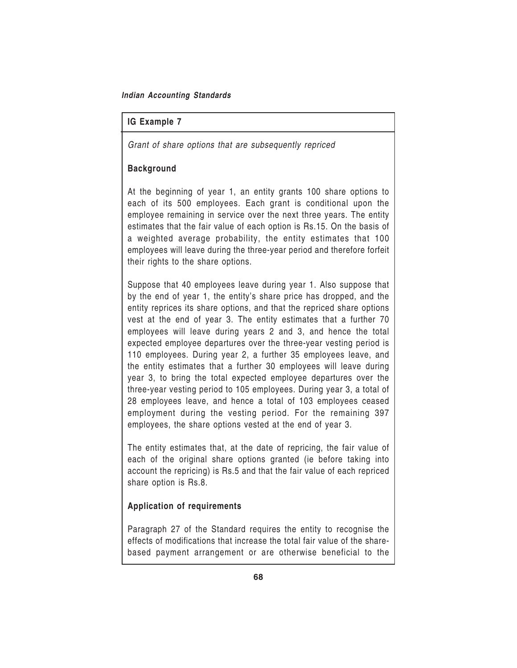#### **IG Example 7**

Grant of share options that are subsequently repriced

### **Background**

At the beginning of year 1, an entity grants 100 share options to each of its 500 employees. Each grant is conditional upon the employee remaining in service over the next three years. The entity estimates that the fair value of each option is Rs.15. On the basis of a weighted average probability, the entity estimates that 100 employees will leave during the three-year period and therefore forfeit their rights to the share options.

Suppose that 40 employees leave during year 1. Also suppose that by the end of year 1, the entity's share price has dropped, and the entity reprices its share options, and that the repriced share options vest at the end of year 3. The entity estimates that a further 70 employees will leave during years 2 and 3, and hence the total expected employee departures over the three-year vesting period is 110 employees. During year 2, a further 35 employees leave, and the entity estimates that a further 30 employees will leave during year 3, to bring the total expected employee departures over the three-year vesting period to 105 employees. During year 3, a total of 28 employees leave, and hence a total of 103 employees ceased employment during the vesting period. For the remaining 397 employees, the share options vested at the end of year 3.

The entity estimates that, at the date of repricing, the fair value of each of the original share options granted (ie before taking into account the repricing) is Rs.5 and that the fair value of each repriced share option is Rs.8.

#### **Application of requirements**

Paragraph 27 of the Standard requires the entity to recognise the effects of modifications that increase the total fair value of the sharebased payment arrangement or are otherwise beneficial to the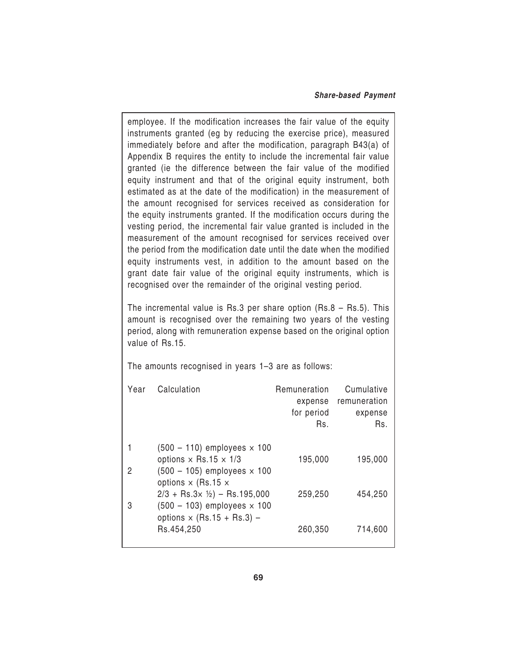employee. If the modification increases the fair value of the equity instruments granted (eg by reducing the exercise price), measured immediately before and after the modification, paragraph B43(a) of Appendix B requires the entity to include the incremental fair value granted (ie the difference between the fair value of the modified equity instrument and that of the original equity instrument, both estimated as at the date of the modification) in the measurement of the amount recognised for services received as consideration for the equity instruments granted. If the modification occurs during the vesting period, the incremental fair value granted is included in the measurement of the amount recognised for services received over the period from the modification date until the date when the modified equity instruments vest, in addition to the amount based on the grant date fair value of the original equity instruments, which is recognised over the remainder of the original vesting period.

The incremental value is Rs.3 per share option (Rs.8 – Rs.5). This amount is recognised over the remaining two years of the vesting period, along with remuneration expense based on the original option value of Rs.15.

The amounts recognised in years 1–3 are as follows:

| Year | Calculation                                                                                                            | Remuneration<br>expense<br>for period<br>Rs. | Cumulative<br>remuneration<br>expense<br>Rs. |
|------|------------------------------------------------------------------------------------------------------------------------|----------------------------------------------|----------------------------------------------|
|      | $(500 - 110)$ employees $\times$ 100                                                                                   |                                              |                                              |
| 2    | options $\times$ Rs.15 $\times$ 1/3<br>$(500 - 105)$ employees $\times$ 100                                            | 195,000                                      | 195,000                                      |
| 3    | options $\times$ (Rs.15 $\times$<br>$2/3$ + Rs.3x $\frac{1}{2}$ ) – Rs.195,000<br>$(500 - 103)$ employees $\times$ 100 | 259,250                                      | 454,250                                      |
|      | options $\times$ (Rs.15 + Rs.3) –<br>Rs.454,250                                                                        | 260,350                                      | 714,600                                      |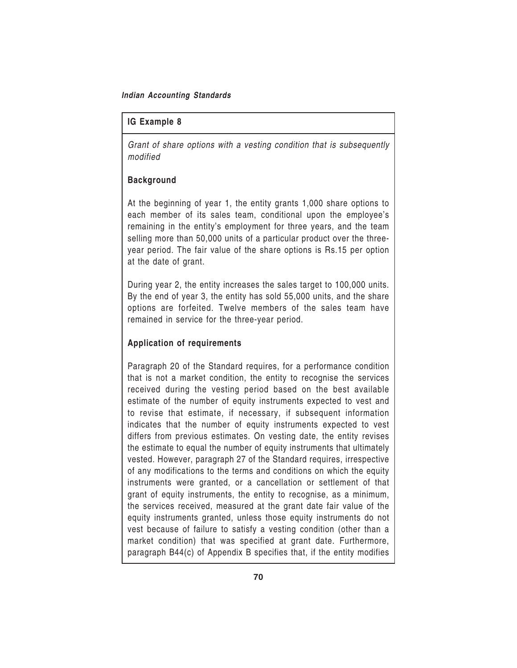#### **IG Example 8**

Grant of share options with a vesting condition that is subsequently modified

#### **Background**

At the beginning of year 1, the entity grants 1,000 share options to each member of its sales team, conditional upon the employee's remaining in the entity's employment for three years, and the team selling more than 50,000 units of a particular product over the threeyear period. The fair value of the share options is Rs.15 per option at the date of grant.

During year 2, the entity increases the sales target to 100,000 units. By the end of year 3, the entity has sold 55,000 units, and the share options are forfeited. Twelve members of the sales team have remained in service for the three-year period.

### **Application of requirements**

Paragraph 20 of the Standard requires, for a performance condition that is not a market condition, the entity to recognise the services received during the vesting period based on the best available estimate of the number of equity instruments expected to vest and to revise that estimate, if necessary, if subsequent information indicates that the number of equity instruments expected to vest differs from previous estimates. On vesting date, the entity revises the estimate to equal the number of equity instruments that ultimately vested. However, paragraph 27 of the Standard requires, irrespective of any modifications to the terms and conditions on which the equity instruments were granted, or a cancellation or settlement of that grant of equity instruments, the entity to recognise, as a minimum, the services received, measured at the grant date fair value of the equity instruments granted, unless those equity instruments do not vest because of failure to satisfy a vesting condition (other than a market condition) that was specified at grant date. Furthermore, paragraph B44(c) of Appendix B specifies that, if the entity modifies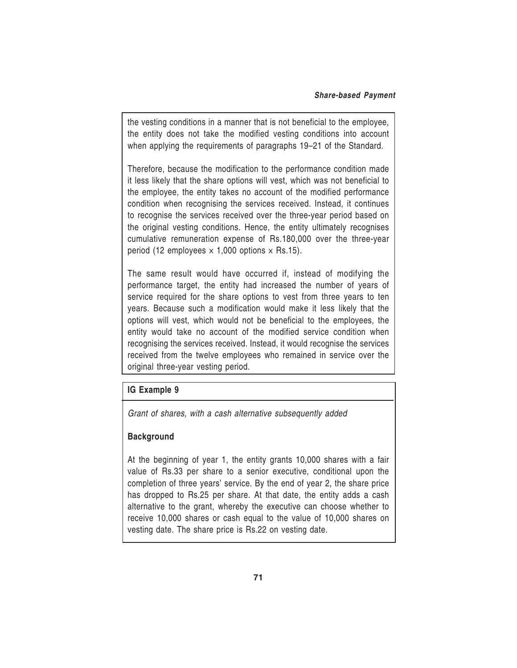the vesting conditions in a manner that is not beneficial to the employee, the entity does not take the modified vesting conditions into account when applying the requirements of paragraphs 19–21 of the Standard.

Therefore, because the modification to the performance condition made it less likely that the share options will vest, which was not beneficial to the employee, the entity takes no account of the modified performance condition when recognising the services received. Instead, it continues to recognise the services received over the three-year period based on the original vesting conditions. Hence, the entity ultimately recognises cumulative remuneration expense of Rs.180,000 over the three-year period (12 employees  $\times$  1,000 options  $\times$  Rs.15).

The same result would have occurred if, instead of modifying the performance target, the entity had increased the number of years of service required for the share options to vest from three years to ten years. Because such a modification would make it less likely that the options will vest, which would not be beneficial to the employees, the entity would take no account of the modified service condition when recognising the services received. Instead, it would recognise the services received from the twelve employees who remained in service over the original three-year vesting period.

### **IG Example 9**

Grant of shares, with a cash alternative subsequently added

### **Background**

At the beginning of year 1, the entity grants 10,000 shares with a fair value of Rs.33 per share to a senior executive, conditional upon the completion of three years' service. By the end of year 2, the share price has dropped to Rs.25 per share. At that date, the entity adds a cash alternative to the grant, whereby the executive can choose whether to receive 10,000 shares or cash equal to the value of 10,000 shares on vesting date. The share price is Rs.22 on vesting date.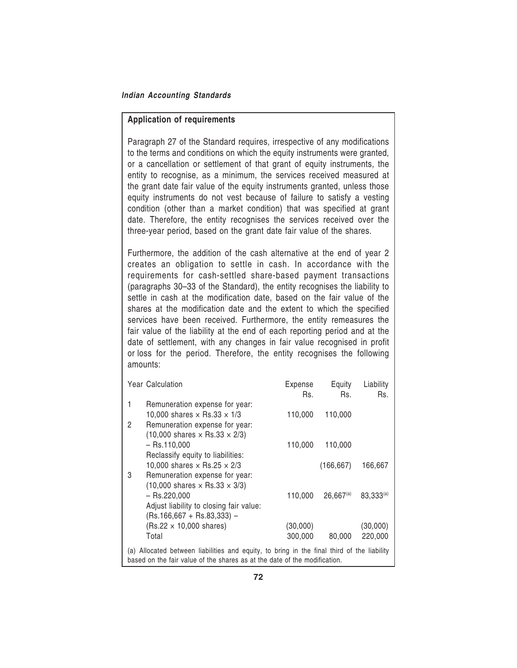#### **Application of requirements**

Paragraph 27 of the Standard requires, irrespective of any modifications to the terms and conditions on which the equity instruments were granted, or a cancellation or settlement of that grant of equity instruments, the entity to recognise, as a minimum, the services received measured at the grant date fair value of the equity instruments granted, unless those equity instruments do not vest because of failure to satisfy a vesting condition (other than a market condition) that was specified at grant date. Therefore, the entity recognises the services received over the three-year period, based on the grant date fair value of the shares.

Furthermore, the addition of the cash alternative at the end of year 2 creates an obligation to settle in cash. In accordance with the requirements for cash-settled share-based payment transactions (paragraphs 30–33 of the Standard), the entity recognises the liability to settle in cash at the modification date, based on the fair value of the shares at the modification date and the extent to which the specified services have been received. Furthermore, the entity remeasures the fair value of the liability at the end of each reporting period and at the date of settlement, with any changes in fair value recognised in profit or loss for the period. Therefore, the entity recognises the following amounts:

|                                                                                                                                                                         | <b>Year Calculation</b>                                  | Expense<br>Rs. | Equity<br>Rs.  | Liability<br>Rs. |
|-------------------------------------------------------------------------------------------------------------------------------------------------------------------------|----------------------------------------------------------|----------------|----------------|------------------|
| 1                                                                                                                                                                       | Remuneration expense for year:                           |                |                |                  |
|                                                                                                                                                                         | 10,000 shares $\times$ Rs.33 $\times$ 1/3                | 110,000        | 110,000        |                  |
| $\overline{2}$                                                                                                                                                          | Remuneration expense for year:                           |                |                |                  |
|                                                                                                                                                                         | $(10,000 \text{ shares} \times \text{Rs}.33 \times 2/3)$ |                |                |                  |
|                                                                                                                                                                         | $-$ Rs.110,000                                           | 110,000        | 110,000        |                  |
|                                                                                                                                                                         | Reclassify equity to liabilities:                        |                |                |                  |
|                                                                                                                                                                         | 10,000 shares $\times$ Rs.25 $\times$ 2/3                |                | (166, 667)     | 166,667          |
| 3                                                                                                                                                                       | Remuneration expense for year:                           |                |                |                  |
|                                                                                                                                                                         | $(10,000 \text{ shares} \times \text{Rs}.33 \times 3/3)$ |                |                |                  |
|                                                                                                                                                                         | $-$ Rs.220,000                                           | 110,000        | $26,667^{(a)}$ | $83,333^{(a)}$   |
|                                                                                                                                                                         | Adjust liability to closing fair value:                  |                |                |                  |
|                                                                                                                                                                         | $(Rs.166, 667 + Rs.83, 333)$ -                           |                |                |                  |
|                                                                                                                                                                         | $(Rs.22 \times 10,000 \text{ shares})$                   | (30,000)       |                | (30,000)         |
|                                                                                                                                                                         | Total                                                    | 300,000        | 80,000         | 220,000          |
| (a) Allocated between liabilities and equity, to bring in the final third of the liability<br>based on the fair value of the shares as at the date of the modification. |                                                          |                |                |                  |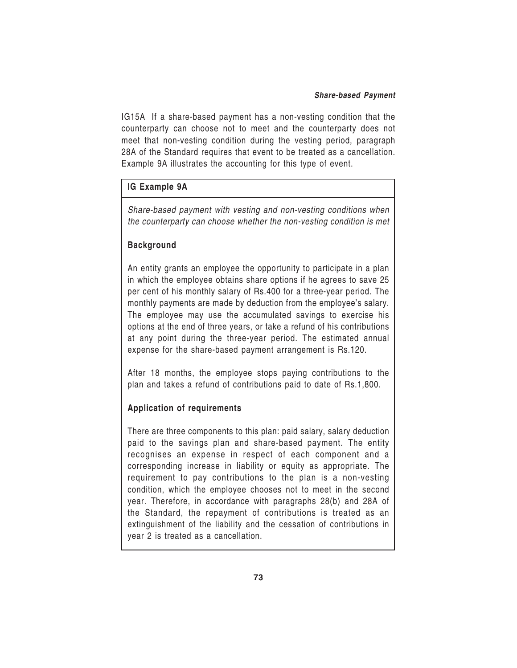IG15A If a share-based payment has a non-vesting condition that the counterparty can choose not to meet and the counterparty does not meet that non-vesting condition during the vesting period, paragraph 28A of the Standard requires that event to be treated as a cancellation. Example 9A illustrates the accounting for this type of event.

#### **IG Example 9A**

Share-based payment with vesting and non-vesting conditions when the counterparty can choose whether the non-vesting condition is met

#### **Background**

An entity grants an employee the opportunity to participate in a plan in which the employee obtains share options if he agrees to save 25 per cent of his monthly salary of Rs.400 for a three-year period. The monthly payments are made by deduction from the employee's salary. The employee may use the accumulated savings to exercise his options at the end of three years, or take a refund of his contributions at any point during the three-year period. The estimated annual expense for the share-based payment arrangement is Rs.120.

After 18 months, the employee stops paying contributions to the plan and takes a refund of contributions paid to date of Rs.1,800.

#### **Application of requirements**

There are three components to this plan: paid salary, salary deduction paid to the savings plan and share-based payment. The entity recognises an expense in respect of each component and a corresponding increase in liability or equity as appropriate. The requirement to pay contributions to the plan is a non-vesting condition, which the employee chooses not to meet in the second year. Therefore, in accordance with paragraphs 28(b) and 28A of the Standard, the repayment of contributions is treated as an extinguishment of the liability and the cessation of contributions in year 2 is treated as a cancellation.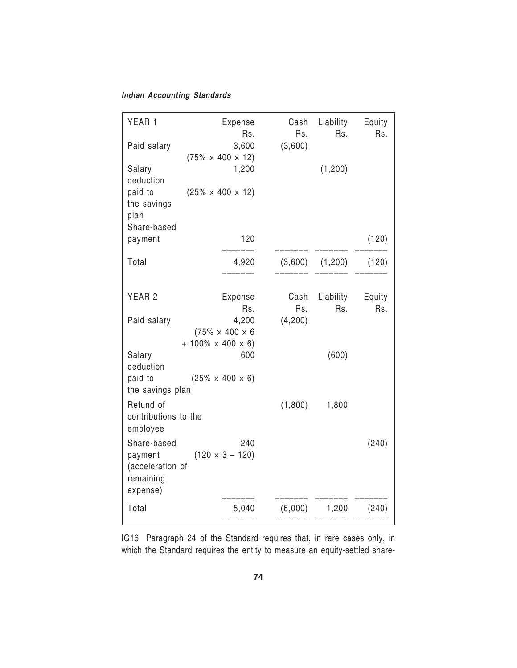| 3,600<br>(3,600)<br>Paid salary<br>$(75\% \times 400 \times 12)$<br>1,200<br>(1,200)<br>Salary<br>deduction |        |
|-------------------------------------------------------------------------------------------------------------|--------|
|                                                                                                             |        |
|                                                                                                             |        |
| paid to<br>$(25\% \times 400 \times 12)$<br>the savings<br>plan                                             |        |
| Share-based                                                                                                 |        |
| 120<br>payment                                                                                              | (120)  |
| 4,920<br>Total<br>(3,600)<br>(1,200)                                                                        | (120)  |
|                                                                                                             |        |
| YEAR <sub>2</sub><br>Expense<br>Liability<br>Cash                                                           | Equity |
| Rs.<br>Rs.<br>Rs.                                                                                           | Rs.    |
| 4,200<br>(4,200)<br>Paid salary                                                                             |        |
| $(75\% \times 400 \times 6)$                                                                                |        |
| $+ 100\% \times 400 \times 6$                                                                               |        |
| (600)<br>Salary<br>600<br>deduction                                                                         |        |
| paid to<br>$(25\% \times 400 \times 6)$                                                                     |        |
| the savings plan                                                                                            |        |
| Refund of<br>(1,800)<br>1,800                                                                               |        |
| contributions to the<br>employee                                                                            |        |
| Share-based<br>240                                                                                          | (240)  |
| payment<br>$(120 \times 3 - 120)$<br>(acceleration of<br>remaining<br>expense)                              |        |
| 5,040<br>(6,000)<br>Total<br>1,200                                                                          | (240)  |

IG16 Paragraph 24 of the Standard requires that, in rare cases only, in which the Standard requires the entity to measure an equity-settled share-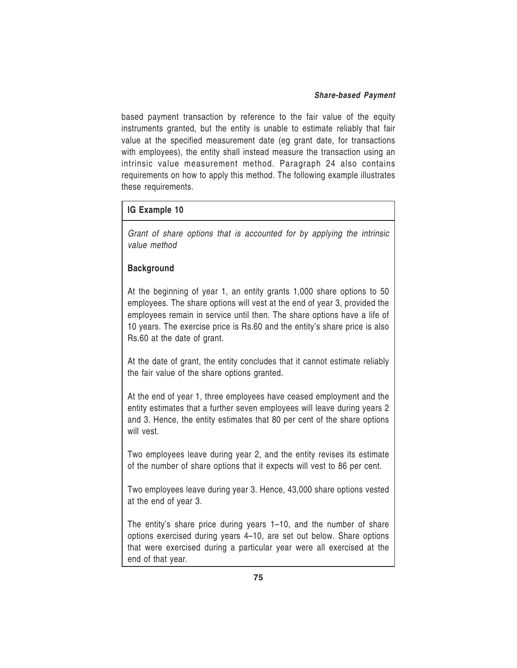based payment transaction by reference to the fair value of the equity instruments granted, but the entity is unable to estimate reliably that fair value at the specified measurement date (eg grant date, for transactions with employees), the entity shall instead measure the transaction using an intrinsic value measurement method. Paragraph 24 also contains requirements on how to apply this method. The following example illustrates these requirements.

#### **IG Example 10**

Grant of share options that is accounted for by applying the intrinsic value method

#### **Background**

At the beginning of year 1, an entity grants 1,000 share options to 50 employees. The share options will vest at the end of year 3, provided the employees remain in service until then. The share options have a life of 10 years. The exercise price is Rs.60 and the entity's share price is also Rs.60 at the date of grant.

At the date of grant, the entity concludes that it cannot estimate reliably the fair value of the share options granted.

At the end of year 1, three employees have ceased employment and the entity estimates that a further seven employees will leave during years 2 and 3. Hence, the entity estimates that 80 per cent of the share options will vest.

Two employees leave during year 2, and the entity revises its estimate of the number of share options that it expects will vest to 86 per cent.

Two employees leave during year 3. Hence, 43,000 share options vested at the end of year 3.

The entity's share price during years 1–10, and the number of share options exercised during years 4–10, are set out below. Share options that were exercised during a particular year were all exercised at the end of that year.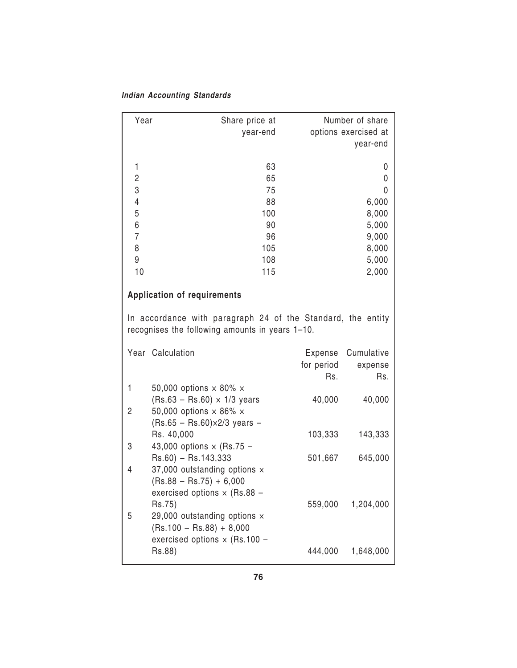| Year                | Share price at                                                                                                 |                              | Number of share              |
|---------------------|----------------------------------------------------------------------------------------------------------------|------------------------------|------------------------------|
|                     | year-end                                                                                                       |                              | options exercised at         |
|                     |                                                                                                                |                              | year-end                     |
|                     |                                                                                                                |                              |                              |
| 1                   | 63                                                                                                             |                              | 0                            |
| $\overline{c}$      | 65                                                                                                             |                              | 0                            |
| 3                   | 75                                                                                                             |                              | 0                            |
| $\overline{4}$      | 88                                                                                                             |                              | 6,000                        |
| 5                   | 100                                                                                                            |                              | 8,000                        |
| 6<br>$\overline{7}$ | 90                                                                                                             |                              | 5,000                        |
| 8                   | 96<br>105                                                                                                      |                              | 9,000                        |
| 9                   | 108                                                                                                            |                              | 8,000<br>5,000               |
| 10                  | 115                                                                                                            |                              | 2,000                        |
|                     |                                                                                                                |                              |                              |
|                     | <b>Application of requirements</b>                                                                             |                              |                              |
|                     | In accordance with paragraph 24 of the Standard, the entity<br>recognises the following amounts in years 1-10. |                              |                              |
|                     | Year Calculation                                                                                               | Expense<br>for period<br>Rs. | Cumulative<br>expense<br>Rs. |
| 1                   | 50,000 options $\times$ 80% $\times$                                                                           |                              |                              |
|                     | $(Rs.63 - Rs.60) \times 1/3$ years                                                                             | 40,000                       | 40,000                       |
| 2                   | 50,000 options $\times$ 86% $\times$                                                                           |                              |                              |
|                     | $(Rs.65 - Rs.60) \times 2/3$ years -                                                                           |                              |                              |
|                     | Rs. 40,000                                                                                                     | 103,333                      | 143,333                      |
| 3                   | 43,000 options $\times$ (Rs.75 –                                                                               |                              |                              |
|                     | $Rs.60 - Rs.143,333$                                                                                           | 501,667                      | 645,000                      |
| 4                   | 37,000 outstanding options $\times$                                                                            |                              |                              |
|                     | $(Rs.88 - Rs.75) + 6,000$                                                                                      |                              |                              |
|                     |                                                                                                                |                              |                              |
|                     | exercised options $\times$ (Rs.88 -                                                                            |                              |                              |
|                     | Rs.75)                                                                                                         | 559,000                      | 1,204,000                    |
| 5                   | 29,000 outstanding options $\times$                                                                            |                              |                              |
|                     | $(Rs.100 - Rs.88) + 8,000$                                                                                     |                              |                              |
|                     | exercised options $\times$ (Rs.100 –<br>Rs.88)                                                                 | 444,000                      | 1,648,000                    |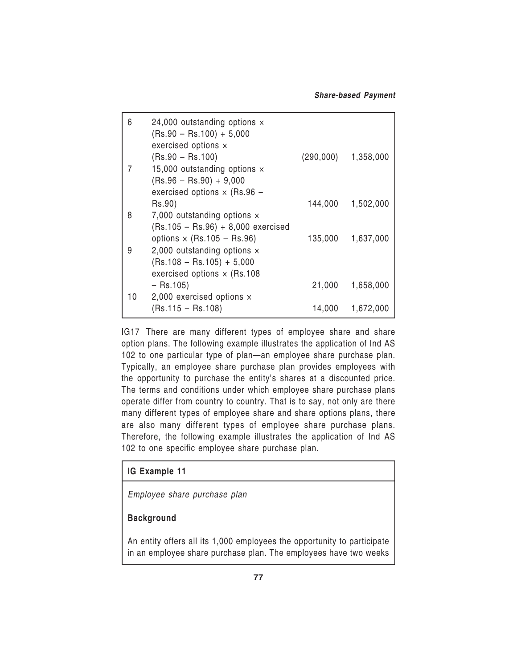| 6  | 24,000 outstanding options $\times$<br>$(Rs.90 - Rs.100) + 5,000$<br>exercised options x |         |                       |
|----|------------------------------------------------------------------------------------------|---------|-----------------------|
| 7  | $(Rs.90 - Rs.100)$<br>15,000 outstanding options $\times$                                |         | $(290,000)$ 1,358,000 |
|    | $(Rs.96 - Rs.90) + 9,000$                                                                |         |                       |
|    | exercised options $\times$ (Rs.96 –                                                      |         |                       |
|    | Rs.90)                                                                                   | 144,000 | 1,502,000             |
| 8  | 7,000 outstanding options $\times$                                                       |         |                       |
|    | $(Rs.105 - Rs.96) + 8,000$ exercised                                                     |         |                       |
|    | options $\times$ (Rs.105 – Rs.96)                                                        | 135,000 | 1,637,000             |
| 9  | 2,000 outstanding options $\times$                                                       |         |                       |
|    | $(Rs.108 - Rs.105) + 5,000$                                                              |         |                       |
|    | exercised options $\times$ (Rs.108)                                                      |         |                       |
|    | $-$ Rs.105)                                                                              | 21,000  | 1,658,000             |
| 10 | 2,000 exercised options $\times$                                                         |         |                       |
|    | $(Rs.115 - Rs.108)$                                                                      | 14,000  | 1,672,000             |

IG17 There are many different types of employee share and share option plans. The following example illustrates the application of Ind AS 102 to one particular type of plan—an employee share purchase plan. Typically, an employee share purchase plan provides employees with the opportunity to purchase the entity's shares at a discounted price. The terms and conditions under which employee share purchase plans operate differ from country to country. That is to say, not only are there many different types of employee share and share options plans, there are also many different types of employee share purchase plans. Therefore, the following example illustrates the application of Ind AS 102 to one specific employee share purchase plan.

#### **IG Example 11**

Employee share purchase plan

#### **Background**

An entity offers all its 1,000 employees the opportunity to participate in an employee share purchase plan. The employees have two weeks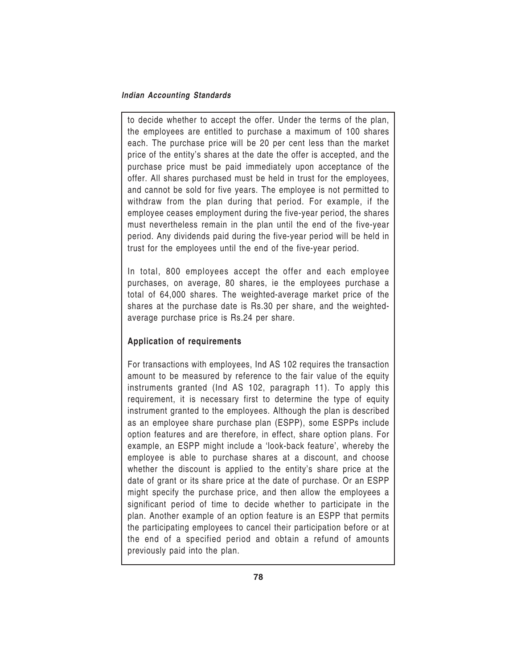to decide whether to accept the offer. Under the terms of the plan, the employees are entitled to purchase a maximum of 100 shares each. The purchase price will be 20 per cent less than the market price of the entity's shares at the date the offer is accepted, and the purchase price must be paid immediately upon acceptance of the offer. All shares purchased must be held in trust for the employees, and cannot be sold for five years. The employee is not permitted to withdraw from the plan during that period. For example, if the employee ceases employment during the five-year period, the shares must nevertheless remain in the plan until the end of the five-year period. Any dividends paid during the five-year period will be held in trust for the employees until the end of the five-year period.

In total, 800 employees accept the offer and each employee purchases, on average, 80 shares, ie the employees purchase a total of 64,000 shares. The weighted-average market price of the shares at the purchase date is Rs.30 per share, and the weightedaverage purchase price is Rs.24 per share.

#### **Application of requirements**

For transactions with employees, Ind AS 102 requires the transaction amount to be measured by reference to the fair value of the equity instruments granted (Ind AS 102, paragraph 11). To apply this requirement, it is necessary first to determine the type of equity instrument granted to the employees. Although the plan is described as an employee share purchase plan (ESPP), some ESPPs include option features and are therefore, in effect, share option plans. For example, an ESPP might include a 'look-back feature', whereby the employee is able to purchase shares at a discount, and choose whether the discount is applied to the entity's share price at the date of grant or its share price at the date of purchase. Or an ESPP might specify the purchase price, and then allow the employees a significant period of time to decide whether to participate in the plan. Another example of an option feature is an ESPP that permits the participating employees to cancel their participation before or at the end of a specified period and obtain a refund of amounts previously paid into the plan.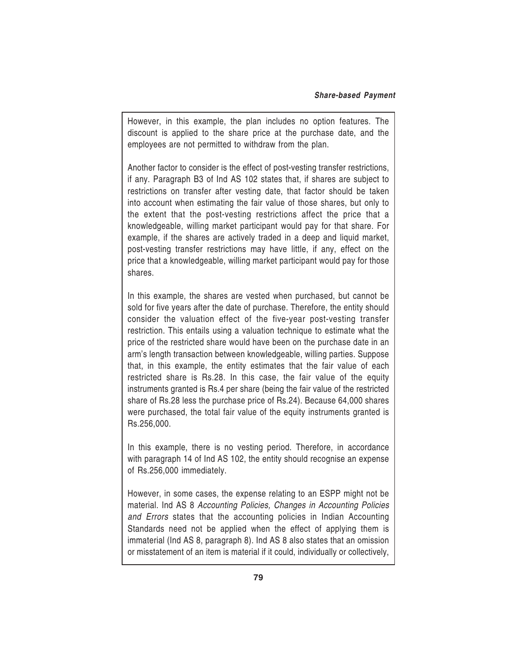However, in this example, the plan includes no option features. The discount is applied to the share price at the purchase date, and the employees are not permitted to withdraw from the plan.

Another factor to consider is the effect of post-vesting transfer restrictions, if any. Paragraph B3 of Ind AS 102 states that, if shares are subject to restrictions on transfer after vesting date, that factor should be taken into account when estimating the fair value of those shares, but only to the extent that the post-vesting restrictions affect the price that a knowledgeable, willing market participant would pay for that share. For example, if the shares are actively traded in a deep and liquid market, post-vesting transfer restrictions may have little, if any, effect on the price that a knowledgeable, willing market participant would pay for those shares.

In this example, the shares are vested when purchased, but cannot be sold for five years after the date of purchase. Therefore, the entity should consider the valuation effect of the five-year post-vesting transfer restriction. This entails using a valuation technique to estimate what the price of the restricted share would have been on the purchase date in an arm's length transaction between knowledgeable, willing parties. Suppose that, in this example, the entity estimates that the fair value of each restricted share is Rs.28. In this case, the fair value of the equity instruments granted is Rs.4 per share (being the fair value of the restricted share of Rs.28 less the purchase price of Rs.24). Because 64,000 shares were purchased, the total fair value of the equity instruments granted is Rs.256,000.

In this example, there is no vesting period. Therefore, in accordance with paragraph 14 of Ind AS 102, the entity should recognise an expense of Rs.256,000 immediately.

However, in some cases, the expense relating to an ESPP might not be material. Ind AS 8 Accounting Policies, Changes in Accounting Policies and Errors states that the accounting policies in Indian Accounting Standards need not be applied when the effect of applying them is immaterial (Ind AS 8, paragraph 8). Ind AS 8 also states that an omission or misstatement of an item is material if it could, individually or collectively,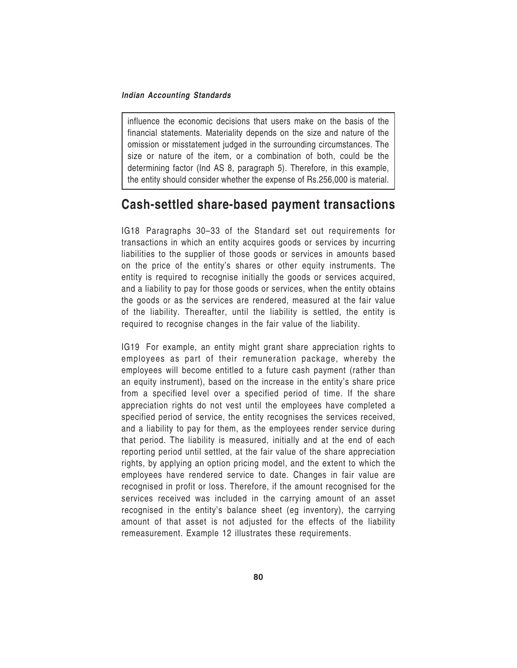influence the economic decisions that users make on the basis of the financial statements. Materiality depends on the size and nature of the omission or misstatement judged in the surrounding circumstances. The size or nature of the item, or a combination of both, could be the determining factor (Ind AS 8, paragraph 5). Therefore, in this example, the entity should consider whether the expense of Rs.256,000 is material.

## **Cash-settled share-based payment transactions**

IG18 Paragraphs 30–33 of the Standard set out requirements for transactions in which an entity acquires goods or services by incurring liabilities to the supplier of those goods or services in amounts based on the price of the entity's shares or other equity instruments. The entity is required to recognise initially the goods or services acquired, and a liability to pay for those goods or services, when the entity obtains the goods or as the services are rendered, measured at the fair value of the liability. Thereafter, until the liability is settled, the entity is required to recognise changes in the fair value of the liability.

IG19 For example, an entity might grant share appreciation rights to employees as part of their remuneration package, whereby the employees will become entitled to a future cash payment (rather than an equity instrument), based on the increase in the entity's share price from a specified level over a specified period of time. If the share appreciation rights do not vest until the employees have completed a specified period of service, the entity recognises the services received, and a liability to pay for them, as the employees render service during that period. The liability is measured, initially and at the end of each reporting period until settled, at the fair value of the share appreciation rights, by applying an option pricing model, and the extent to which the employees have rendered service to date. Changes in fair value are recognised in profit or loss. Therefore, if the amount recognised for the services received was included in the carrying amount of an asset recognised in the entity's balance sheet (eg inventory), the carrying amount of that asset is not adjusted for the effects of the liability remeasurement. Example 12 illustrates these requirements.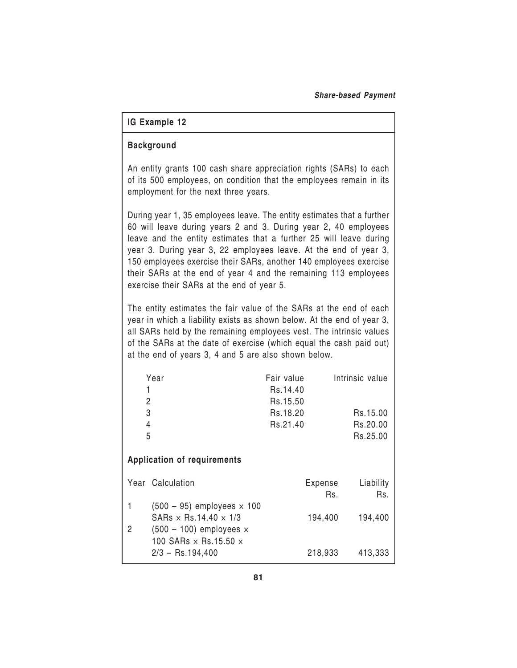# **IG Example 12 Background** An entity grants 100 cash share appreciation rights (SARs) to each of its 500 employees, on condition that the employees remain in its employment for the next three years. During year 1, 35 employees leave. The entity estimates that a further 60 will leave during years 2 and 3. During year 2, 40 employees leave and the entity estimates that a further 25 will leave during year 3. During year 3, 22 employees leave. At the end of year 3, 150 employees exercise their SARs, another 140 employees exercise their SARs at the end of year 4 and the remaining 113 employees exercise their SARs at the end of year 5. The entity estimates the fair value of the SARs at the end of each year in which a liability exists as shown below. At the end of year 3, all SARs held by the remaining employees vest. The intrinsic values of the SARs at the date of exercise (which equal the cash paid out) at the end of years 3, 4 and 5 are also shown below. Year **Fair value** Intrinsic value 1 Rs.14.40 2 Rs.15.50 3 Rs.18.20 Rs.15.00 4 Rs.21.40 Rs.20.00 5 Rs.25.00 **Application of requirements** Year Calculation **Expense** Liability Rs. Rs. 1  $(500 - 95)$  employees  $\times 100$ SARs × Rs.14.40 × 1/3 194,400 194,400 2  $(500 - 100)$  employees  $\times$ 100 SARs  $\times$  Rs.15.50  $\times$ 2/3 – Rs.194,400 218,933 413,333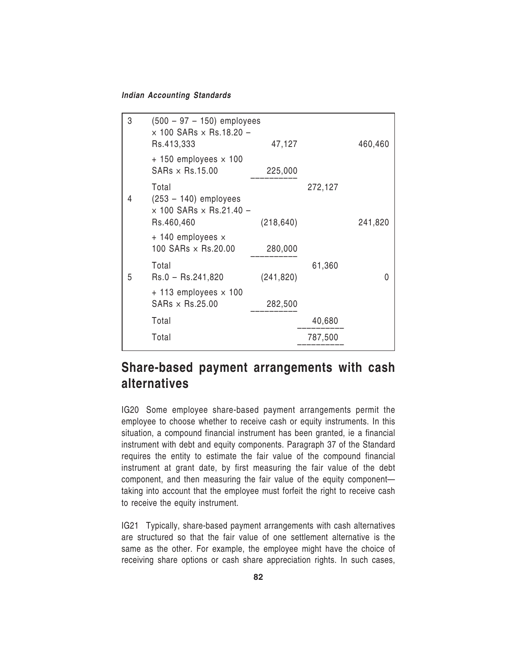| 3 | $(500 - 97 - 150)$ employees<br>$\times$ 100 SARs $\times$ Rs.18.20 -<br>Rs.413,333 | 47,127     |         | 460,460 |
|---|-------------------------------------------------------------------------------------|------------|---------|---------|
|   | $+$ 150 employees $\times$ 100<br>$SARS \times Rs.15.00$                            | 225,000    |         |         |
| 4 | Total<br>$(253 - 140)$ employees<br>$\times$ 100 SARs $\times$ Rs.21.40 -           |            | 272,127 |         |
|   | Rs.460,460                                                                          | (218, 640) |         | 241,820 |
|   | $+$ 140 employees $\times$<br>100 SARs $\times$ Rs.20.00                            | 280,000    |         |         |
| 5 | Total<br>$Rs.0 - Rs.241,820$                                                        | (241, 820) | 61,360  | 0       |
|   | $+$ 113 employees $\times$ 100<br>SARs × Rs.25.00                                   | 282,500    |         |         |
|   | Total                                                                               |            | 40,680  |         |
|   | Total                                                                               |            | 787,500 |         |

# **Share-based payment arrangements with cash alternatives**

IG20 Some employee share-based payment arrangements permit the employee to choose whether to receive cash or equity instruments. In this situation, a compound financial instrument has been granted, ie a financial instrument with debt and equity components. Paragraph 37 of the Standard requires the entity to estimate the fair value of the compound financial instrument at grant date, by first measuring the fair value of the debt component, and then measuring the fair value of the equity component taking into account that the employee must forfeit the right to receive cash to receive the equity instrument.

IG21 Typically, share-based payment arrangements with cash alternatives are structured so that the fair value of one settlement alternative is the same as the other. For example, the employee might have the choice of receiving share options or cash share appreciation rights. In such cases,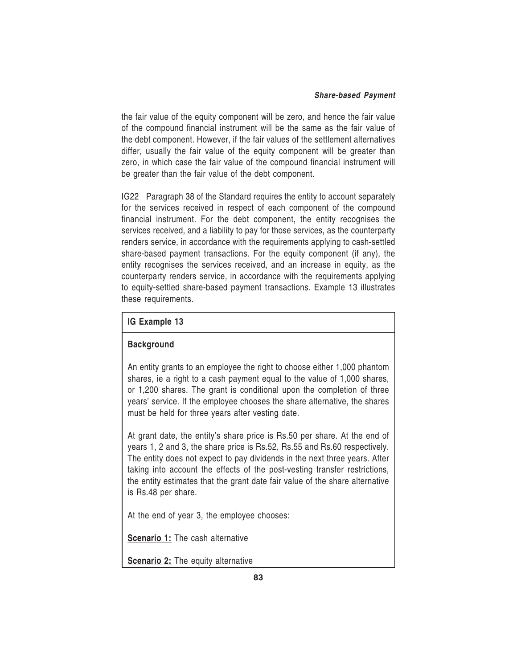the fair value of the equity component will be zero, and hence the fair value of the compound financial instrument will be the same as the fair value of the debt component. However, if the fair values of the settlement alternatives differ, usually the fair value of the equity component will be greater than zero, in which case the fair value of the compound financial instrument will be greater than the fair value of the debt component.

IG22 Paragraph 38 of the Standard requires the entity to account separately for the services received in respect of each component of the compound financial instrument. For the debt component, the entity recognises the services received, and a liability to pay for those services, as the counterparty renders service, in accordance with the requirements applying to cash-settled share-based payment transactions. For the equity component (if any), the entity recognises the services received, and an increase in equity, as the counterparty renders service, in accordance with the requirements applying to equity-settled share-based payment transactions. Example 13 illustrates these requirements.

#### **IG Example 13**

#### **Background**

An entity grants to an employee the right to choose either 1,000 phantom shares, ie a right to a cash payment equal to the value of 1,000 shares, or 1,200 shares. The grant is conditional upon the completion of three years' service. If the employee chooses the share alternative, the shares must be held for three years after vesting date.

At grant date, the entity's share price is Rs.50 per share. At the end of years 1, 2 and 3, the share price is Rs.52, Rs.55 and Rs.60 respectively. The entity does not expect to pay dividends in the next three years. After taking into account the effects of the post-vesting transfer restrictions, the entity estimates that the grant date fair value of the share alternative is Rs.48 per share.

At the end of year 3, the employee chooses:

**Scenario 1:** The cash alternative

**Scenario 2:** The equity alternative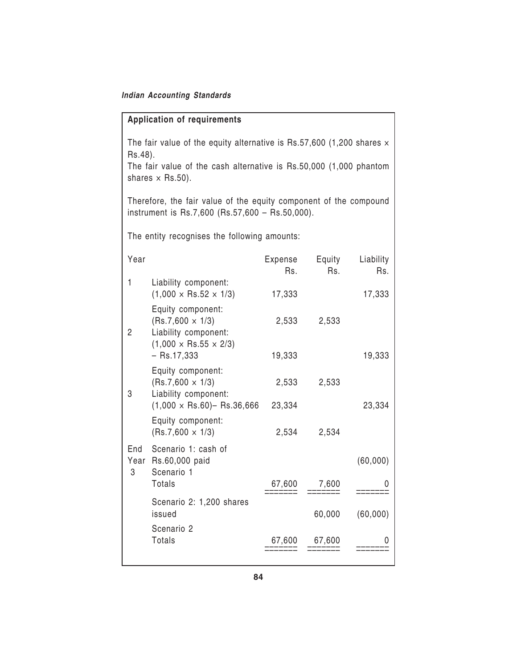| <b>Application of requirements</b>                                                                                                                                                       |                                                                                                                              |                 |               |                  |  |
|------------------------------------------------------------------------------------------------------------------------------------------------------------------------------------------|------------------------------------------------------------------------------------------------------------------------------|-----------------|---------------|------------------|--|
| The fair value of the equity alternative is Rs.57,600 (1,200 shares $\times$<br>Rs.48).<br>The fair value of the cash alternative is Rs.50,000 (1,000 phantom<br>shares $\times$ Rs.50). |                                                                                                                              |                 |               |                  |  |
|                                                                                                                                                                                          | Therefore, the fair value of the equity component of the compound<br>instrument is Rs.7,600 (Rs.57,600 - Rs.50,000).         |                 |               |                  |  |
|                                                                                                                                                                                          | The entity recognises the following amounts:                                                                                 |                 |               |                  |  |
| Year                                                                                                                                                                                     |                                                                                                                              | Expense<br>Rs.  | Equity<br>Rs. | Liability<br>Rs. |  |
| 1                                                                                                                                                                                        | Liability component:<br>$(1,000 \times$ Rs.52 $\times$ 1/3)                                                                  | 17,333          |               | 17,333           |  |
| $\overline{2}$                                                                                                                                                                           | Equity component:<br>$(Rs.7,600 \times 1/3)$<br>Liability component:<br>$(1,000 \times$ Rs.55 $\times$ 2/3)<br>$-$ Rs.17,333 | 2,533<br>19,333 | 2,533         | 19,333           |  |
| 3                                                                                                                                                                                        | Equity component:<br>$(Rs.7,600 \times 1/3)$<br>Liability component:<br>$(1,000 \times$ Rs.60) - Rs.36,666                   | 2,533<br>23,334 | 2,533         | 23,334           |  |
|                                                                                                                                                                                          | Equity component:<br>$(Rs.7,600 \times 1/3)$                                                                                 | 2,534           | 2,534         |                  |  |
| 3                                                                                                                                                                                        | End Scenario 1: cash of<br>Year Rs.60,000 paid<br>Scenario 1<br>Totals                                                       | 67,600          | 7,600         | (60,000)<br>0    |  |
|                                                                                                                                                                                          | Scenario 2: 1,200 shares<br>issued                                                                                           |                 | 60,000        | (60,000)         |  |
|                                                                                                                                                                                          | Scenario 2<br><b>Totals</b>                                                                                                  | 67,600          | 67,600        |                  |  |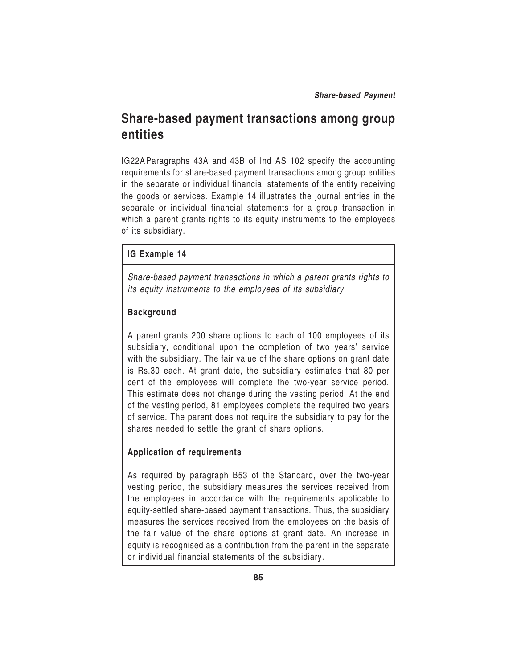## **Share-based payment transactions among group entities**

IG22AParagraphs 43A and 43B of Ind AS 102 specify the accounting requirements for share-based payment transactions among group entities in the separate or individual financial statements of the entity receiving the goods or services. Example 14 illustrates the journal entries in the separate or individual financial statements for a group transaction in which a parent grants rights to its equity instruments to the employees of its subsidiary.

#### **IG Example 14**

Share-based payment transactions in which a parent grants rights to its equity instruments to the employees of its subsidiary

#### **Background**

A parent grants 200 share options to each of 100 employees of its subsidiary, conditional upon the completion of two years' service with the subsidiary. The fair value of the share options on grant date is Rs.30 each. At grant date, the subsidiary estimates that 80 per cent of the employees will complete the two-year service period. This estimate does not change during the vesting period. At the end of the vesting period, 81 employees complete the required two years of service. The parent does not require the subsidiary to pay for the shares needed to settle the grant of share options.

#### **Application of requirements**

As required by paragraph B53 of the Standard, over the two-year vesting period, the subsidiary measures the services received from the employees in accordance with the requirements applicable to equity-settled share-based payment transactions. Thus, the subsidiary measures the services received from the employees on the basis of the fair value of the share options at grant date. An increase in equity is recognised as a contribution from the parent in the separate or individual financial statements of the subsidiary.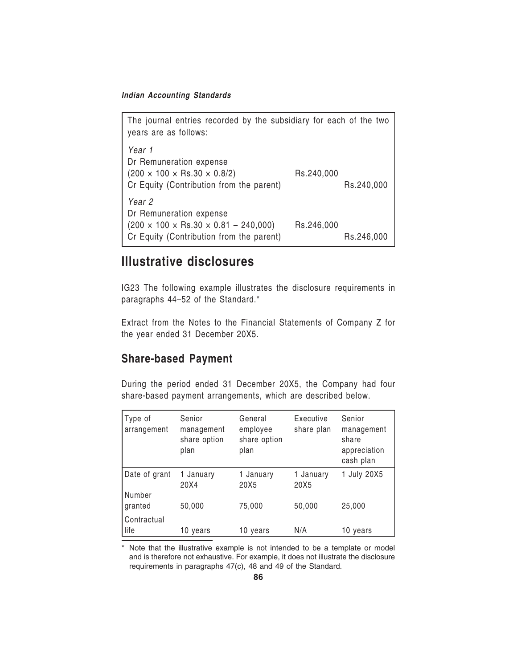| The journal entries recorded by the subsidiary for each of the two<br>years are as follows:                                              |            |            |
|------------------------------------------------------------------------------------------------------------------------------------------|------------|------------|
| Year 1<br>Dr Remuneration expense<br>$(200 \times 100 \times \text{Rs.}30 \times 0.8/2)$<br>Cr Equity (Contribution from the parent)     | Rs.240,000 | Rs.240,000 |
| Year 2<br>Dr Remuneration expense<br>$(200 \times 100 \times$ Rs.30 $\times$ 0.81 - 240,000)<br>Cr Equity (Contribution from the parent) | Rs.246,000 | Rs.246,000 |

# **Illustrative disclosures**

IG23 The following example illustrates the disclosure requirements in paragraphs 44–52 of the Standard.\*

Extract from the Notes to the Financial Statements of Company Z for the year ended 31 December 20X5.

## **Share-based Payment**

During the period ended 31 December 20X5, the Company had four share-based payment arrangements, which are described below.

| Type of<br>arrangement  | Senior<br>management<br>share option<br>plan | General<br>employee<br>share option<br>plan | Executive<br>share plan | Senior<br>management<br>share<br>appreciation<br>cash plan |
|-------------------------|----------------------------------------------|---------------------------------------------|-------------------------|------------------------------------------------------------|
| Date of grant<br>Number | 1 January<br>20X4                            | 1 January<br>20X5                           | 1 January<br>20X5       | 1 July 20X5                                                |
| granted                 | 50,000                                       | 75,000                                      | 50,000                  | 25,000                                                     |
| Contractual<br>l life   | 10 vears                                     | 10 vears                                    | N/A                     | 10 years                                                   |

\* Note that the illustrative example is not intended to be a template or model and is therefore not exhaustive. For example, it does not illustrate the disclosure requirements in paragraphs 47(c), 48 and 49 of the Standard.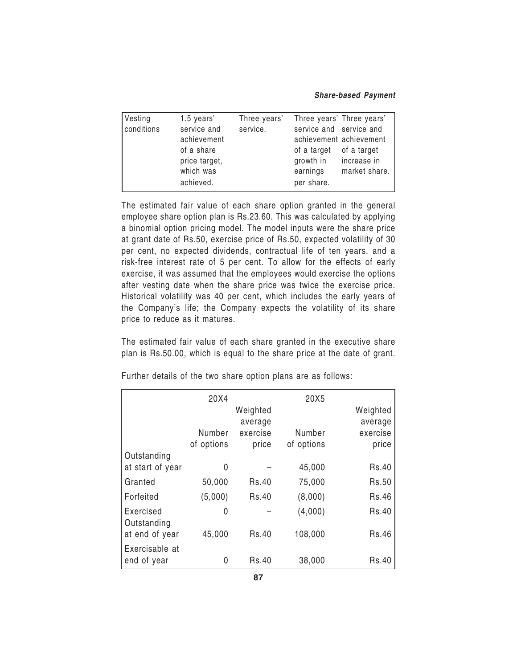| Vesting<br>conditions | 1.5 years'<br>service and<br>achievement<br>of a share<br>price target,<br>which was<br>achieved. | Three years'<br>service. | Three years' Three years'<br>service and service and<br>of a target<br>growth in<br>earnings<br>per share. | achievement achievement<br>of a target<br>increase in<br>market share. |
|-----------------------|---------------------------------------------------------------------------------------------------|--------------------------|------------------------------------------------------------------------------------------------------------|------------------------------------------------------------------------|
|                       |                                                                                                   |                          |                                                                                                            |                                                                        |

The estimated fair value of each share option granted in the general employee share option plan is Rs.23.60. This was calculated by applying a binomial option pricing model. The model inputs were the share price at grant date of Rs.50, exercise price of Rs.50, expected volatility of 30 per cent, no expected dividends, contractual life of ten years, and a risk-free interest rate of 5 per cent. To allow for the effects of early exercise, it was assumed that the employees would exercise the options after vesting date when the share price was twice the exercise price. Historical volatility was 40 per cent, which includes the early years of the Company's life; the Company expects the volatility of its share price to reduce as it matures.

The estimated fair value of each share granted in the executive share plan is Rs.50.00, which is equal to the share price at the date of grant.

|                  | 20X4       |              | 20X5       |              |
|------------------|------------|--------------|------------|--------------|
|                  |            | Weighted     |            | Weighted     |
|                  |            | average      |            | average      |
|                  | Number     | exercise     | Number     | exercise     |
|                  | of options | price        | of options | price        |
| Outstanding      |            |              |            |              |
| at start of year | 0          |              | 45,000     | <b>Rs.40</b> |
| Granted          | 50,000     | <b>Rs.40</b> | 75,000     | <b>Rs.50</b> |
| Forfeited        | (5,000)    | Rs.40        | (8,000)    | <b>Rs.46</b> |
| Exercised        | 0          |              | (4,000)    | <b>Rs.40</b> |
| Outstanding      |            |              |            |              |
| at end of year   | 45,000     | <b>Rs.40</b> | 108,000    | <b>Rs.46</b> |
| Exercisable at   |            |              |            |              |
| end of year      | 0          | <b>Rs.40</b> | 38,000     | <b>Rs.40</b> |

Further details of the two share option plans are as follows: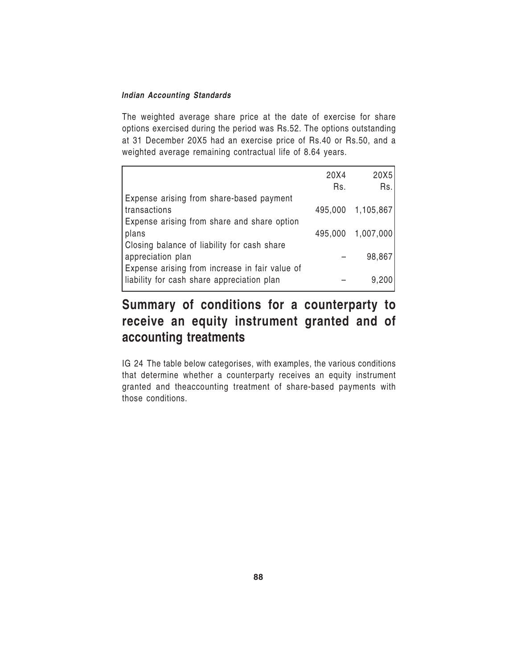The weighted average share price at the date of exercise for share options exercised during the period was Rs.52. The options outstanding at 31 December 20X5 had an exercise price of Rs.40 or Rs.50, and a weighted average remaining contractual life of 8.64 years.

|                                                | 20X4    | 20X5              |
|------------------------------------------------|---------|-------------------|
|                                                | Rs.     | Rs.               |
| Expense arising from share-based payment       |         |                   |
| transactions                                   |         | 495,000 1,105,867 |
| Expense arising from share and share option    |         |                   |
| plans                                          | 495,000 | 1,007,000         |
| Closing balance of liability for cash share    |         |                   |
| appreciation plan                              |         | 98,867            |
| Expense arising from increase in fair value of |         |                   |
| liability for cash share appreciation plan     |         | 9,200             |
|                                                |         |                   |

# **Summary of conditions for a counterparty to receive an equity instrument granted and of accounting treatments**

IG 24 The table below categorises, with examples, the various conditions that determine whether a counterparty receives an equity instrument granted and theaccounting treatment of share-based payments with those conditions.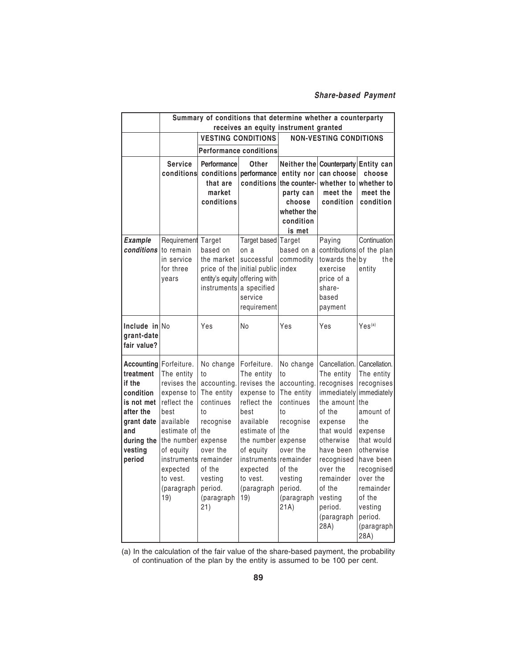| Summary of conditions that determine whether a counterparty<br>receives an equity instrument granted                |                                                                                                                                                                                                                       |                                                                                                                                                                 |                                                                                                                                                                                                      |                                                                                                                                                                        |                                                                                                                                                                                                                                  |                                                                                                                                                                                                                                     |
|---------------------------------------------------------------------------------------------------------------------|-----------------------------------------------------------------------------------------------------------------------------------------------------------------------------------------------------------------------|-----------------------------------------------------------------------------------------------------------------------------------------------------------------|------------------------------------------------------------------------------------------------------------------------------------------------------------------------------------------------------|------------------------------------------------------------------------------------------------------------------------------------------------------------------------|----------------------------------------------------------------------------------------------------------------------------------------------------------------------------------------------------------------------------------|-------------------------------------------------------------------------------------------------------------------------------------------------------------------------------------------------------------------------------------|
|                                                                                                                     |                                                                                                                                                                                                                       |                                                                                                                                                                 | <b>VESTING CONDITIONS</b>                                                                                                                                                                            |                                                                                                                                                                        | <b>NON-VESTING CONDITIONS</b>                                                                                                                                                                                                    |                                                                                                                                                                                                                                     |
|                                                                                                                     |                                                                                                                                                                                                                       | Performance conditions                                                                                                                                          |                                                                                                                                                                                                      |                                                                                                                                                                        |                                                                                                                                                                                                                                  |                                                                                                                                                                                                                                     |
|                                                                                                                     | <b>Service</b><br>conditions                                                                                                                                                                                          | Performance<br>conditions<br>that are<br>market<br>conditions                                                                                                   | Other<br>performance<br>conditions                                                                                                                                                                   | entity nor<br>the counter-<br>party can<br>choose<br>whether the<br>condition<br>is met                                                                                | Neither the Counterparty<br>can choose<br>whether to<br>meet the<br>condition                                                                                                                                                    | <b>Entity can</b><br>choose<br>whether to<br>meet the<br>condition                                                                                                                                                                  |
| <b>Example</b><br>conditions                                                                                        | Requirement<br>to remain<br>in service<br>for three<br>vears                                                                                                                                                          | Target<br>based on<br>the market<br>entity's equity<br>instruments                                                                                              | Target based Target<br>on a<br>successful<br>price of the initial public index<br>offering with<br>a specified<br>service<br>requirement                                                             | based on a<br>commodity                                                                                                                                                | Paying<br>contributions<br>towards the<br>exercise<br>price of a<br>share-<br>based<br>payment                                                                                                                                   | Continuation<br>of the plan<br>by<br>thel<br>entity                                                                                                                                                                                 |
| Include in No<br>grant-date<br>fair value?                                                                          |                                                                                                                                                                                                                       | Yes                                                                                                                                                             | No                                                                                                                                                                                                   | Yes                                                                                                                                                                    | Yes                                                                                                                                                                                                                              | $Yes^{(a)}$                                                                                                                                                                                                                         |
| treatment<br>if the<br>condition<br>is not met<br>after the<br>grant date<br>and<br>during the<br>vesting<br>period | Accounting Forfeiture.<br>The entity<br>revises the<br>expense to<br>reflect the<br>best<br>available<br>estimate of<br>the number<br>of equity<br>instruments remainder<br>expected<br>to vest.<br>(paragraph<br>19) | No change<br>to<br>accounting.<br>The entity<br>continues<br>to<br>recognise<br>the<br>expense<br>over the<br>of the<br>vesting<br>period.<br>(paragraph<br>21) | Forfeiture.<br>The entity<br>revises the<br>expense to<br>reflect the<br>best<br>available<br>estimate of the<br>the number<br>of equity<br>instruments<br>expected<br>to vest.<br>(paragraph<br>19) | No change<br>to<br>accounting.<br>The entity<br>continues<br>to<br>recognise<br>expense<br>over the<br>remainder<br>of the<br>vesting<br>period.<br>(paragraph<br>21A) | Cancellation.<br>The entity<br>recognises<br>immediately<br>the amount<br>of the<br>expense<br>that would<br>otherwise<br>have been<br>recognised<br>over the<br>remainder<br>of the<br>vesting<br>period.<br>(paragraph<br>28A) | Cancellation.<br>The entity<br>recognises<br>immediately<br>the<br>amount of<br>the<br>expense<br>that would<br>otherwise<br>have been<br>recognised<br>over the<br>remainder<br>of the<br>vesting<br>period.<br>(paragraph<br>28A) |

(a) In the calculation of the fair value of the share-based payment, the probability of continuation of the plan by the entity is assumed to be 100 per cent.